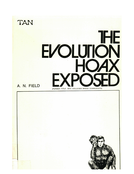



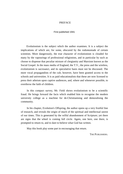#### PREFACE

#### First published 1941

Evolutionism is the subject which the author examines. It is a subject the implications of which are, for some, obscured by the rodomontade of certain scientists. More dangerously, the true character of evolutionism is clouded for many by the vapourings of professional religionists, and in particular by such as choose to dispense that peculiar mixture of clergianity and Marxism known as the Social Gospel. In the mass media of England, the T.V., the press and the wireless, evolutionism is sacrosanct, and its speculative basis must not be discussed. The more vocal propagandists of the cult, however, have been granted access to the schools and universities. It is as paid educationalists that these are now licensed to press their atheism upon captive audiences, and, where and whenever possible, to overthrow the faith of children.

In this compact survey, Mr. Field shows evolutionism to be a scientific fraud. He brings forward the facts which enabled him to recognise the modern university college as a machine for de-Christianising and demoralising the community.

In his chapter, Evolution's Offspring, the author opens up a very fruitful line of research, and reveals the origin of much of the spiritual and intellectual unrest of our times. This is generated by the wilful abandonment of Scripture; yet there are signs that the wheel is coming full circle. Again, one here, one there, is prompted to return to, and to dare to believe what God has written.

May this book play some part in encouraging that return.

THE PUBLISHERS.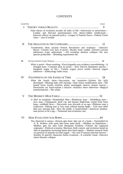#### **CONTENTS**

#### CHAPTER PAGE I THEORY VERSUS REALITY, ................................................... 9

False theory of evolution invades all sides of life—Subversion in universities— London and Harvard questionnaires—Our theory-ridden intellectuals— Injurious effects on national policy—League of Nations fiasco—Federal Union craze— root of trouble

#### II THE SKELETON IN THE CUPBOARD.......................................... 12

Transformist ideas ancient—French Revolution and evolution —Darwin's theory—Glosses over lack of proof—Huxley more candid—Darwin's private admission—Later admissions —All evolution theories collapse—No new species producible —Breeding experiments fail

#### III EVOLUTION'S CASE TODAY........................................................................... 18

What is proof—Nose-counting—Encyclopaedia says evidence overwhelming—A changed tune—Common plan no proof— How Darwin distributes species— Imagined origin of life— Useless organs prove useful—Nascent organs unknown— Embryology fades away.

IV FOOTPRINTS ON THE SANDS OF TIME ............................... 24 What the fossils show—Succession, not transition—Earliest life fully developed—Missing links still missing—Only minor modification seen—The famed horse fossils—Earliest plants unchanged—Insects remain insects— Darwinians say fossil-isation a miracle—Statistics show otherwise—Magical transformations—The whale.

#### V THE MONKEY-MAN FABLE..................................................... 32

A libel on mankind—Neanderthal Man—Rhodesian man— Heidelberg man— Java man—Chimpanzee skull cap and human thigh-bone sorted from bone heap—withheld facts— Discoverer now discards as an ape—Piltdown man a conjecture—Peking man is Java man without human thigh— True man older than any missing link—How the public is hoodwinked—American monkeyman proves to be a pig— Tennessee anti-evolution case.

# VI How EVOLUTION WAS BORN...................................................44

Not observed in nature—Darwin gets basic idea out of a book— Forestalled by A. R. Wallace with same idea from same book —Malthus on Population— Malthus gets his idea from Benjamin Franklin—Voltaire the supposed originator—Political economy, Marxism, birth control, and evolution based on idea of population increasing faster than food supply— Modern research finds no pressure of animals on food supply —No case of natural selection known— Inutility of specific characters belies evolution—A scientific fraud—Darwin's minor theories collapse.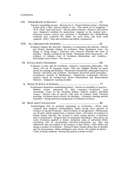| <b>VII</b> | FROM BOOM TO RACKET<br>$\ldots$ 52<br>Darwin's astounding success—Reasons for it—French Institute resists—Fleeming<br>Jenkin picks a hole—Darwin patches it up—"The master art of wriggling"—<br>Sir R. Owen "mad with envy"—Mivart annoys Darwin—Darwin's nose proves<br>case—Sedgwick condems his materialism—Agassiz on the weakest spot—<br>American science council says evolution is established fact—Disbelieving<br>scientists now outlawed—No billets for such—Press and book trade<br>captured-B.B.C. bans anti-evolution and admits communism. |
|------------|-----------------------------------------------------------------------------------------------------------------------------------------------------------------------------------------------------------------------------------------------------------------------------------------------------------------------------------------------------------------------------------------------------------------------------------------------------------------------------------------------------------------------------------------------------------|
|            | Evolution empties the churches—Mainstay of materialism and atheism—Darwin<br>and Huxley abandon religion for evolution—Their theological views—No<br>design in living things— Dice-box aids research—Pleasure the basis of<br>morality— Huxley worried for his family—Rationalist Press Association —No<br>evidence of religion—Less of evolution—Materialism and credulity—<br>Knowledge versus values—The real test.                                                                                                                                    |
|            | Evolution as sales talk for revolution—Spencer's evolutionist philosophy—The<br>theory will not fit inorganic nature—This fact dodged—Huxley on man's<br>ascent by cunning and brutality—Nietzsche's Prussianistic philosophy based on<br>Darwin—Socialism and evolution—Socialism's borrowed moral principles—<br>Evolutionist worship of Bolshevism— Bolshevism reciprocates—Psycho-<br>analysis based on monkey-man belief-Determinism and Behaviourism<br>likewise— Sedgwick's warning recalled.                                                      |
|            | Evolutionists themselves undermining theory—Darwin on mutability of species—<br>Modern science impressed by their constancy—Evolution's crazy<br>chronology—Years by the thousand million—Nature's endless individual<br>variety— Present view of species—The units of creation—Early Christian<br>teaching—Evolution leaves science for theology— Scientists' leanings prevent<br>neutrality—Strong atheistical background in incubation of theory.                                                                                                      |
|            | XI MAN AND CIVILISATION<br>Archaeologists find no primitive beginnings to civilisation— Decay more<br>common than progress. Anthroplogists report savage races provide no                                                                                                                                                                                                                                                                                                                                                                                 |

common than progress—Anthroplogists report savage races provide no evidence of upward evolution—Much evidence of retrogression—Diffusionists say all early culture spread from a common centre—All notion of evolution in human history rejected—No increase in man's mental powers—Civilisation only occurred twice—Progress due to exceptional individuals—How decay can come—Evolution applied to history minimises value of individual effort: everything due to environment—Socialist-evolutionists say able and industrious men not entitled to full produce oi their labour—Their ability and energy a product of evolution— Research shows human ability due to heredity and not environment—What intelligence tests reveal—No surplus of ability— Value of family tradition—Present-day policies counter to facts.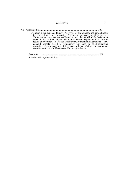# CONTENTS 7

| Evolution a fundamental fallacy—A revival of the atheism and revolutionary |                                                                                                                                                                                                                                                                                       |
|----------------------------------------------------------------------------|---------------------------------------------------------------------------------------------------------------------------------------------------------------------------------------------------------------------------------------------------------------------------------------|
| ideas preceding French Revolution—That event engineered by hidden forces—  |                                                                                                                                                                                                                                                                                       |
|                                                                            |                                                                                                                                                                                                                                                                                       |
|                                                                            |                                                                                                                                                                                                                                                                                       |
|                                                                            |                                                                                                                                                                                                                                                                                       |
| Zealand schools closed to Christianity but open to de-Christianising       |                                                                                                                                                                                                                                                                                       |
| evolution—Government's out-of-date ideas on latter—Oxford book on human    |                                                                                                                                                                                                                                                                                       |
|                                                                            |                                                                                                                                                                                                                                                                                       |
|                                                                            | Those forces very ancient —"Satanism and the World Order"—Britain's<br>downfall the present object—Naturalism versus Supernaturalism—Barren<br>results of revolution—A Russian writer's view of mankind's alternatives—New<br>evolution—Social worthlessness of University influence. |

APPENDIX ................................................................................................. 102

Scientists who reject evolution.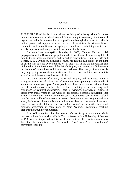## Chapter I

### THEORY VERSUS REALITY

THE PURPOSE of this book is to show the falsity of a theory which for threequarters of a century has dominated all British thought. Nominally, the theory of organic evolution is no more than a proposition in biological science. Actually, it is the parent and support of a whole host of subsidiary theories—political, economic, and scientific—all accepting as established truth things which are wholly unproven, and many of which are demonstrably untrue.

On evolution's twenty-first birthday in 1880, Thomas Huxley, chief propagandist of the Darwinian gospel, remarked that it was "the customary fate of new truths to begin as heresies, and to end as superstitions (Huxley's Life and Letters, ii, 12). Evolution, disguised as truth, has run this full course. In the light of all the facts it is no overstatement to say that it has made the universities and higher educational institutions of the British Empire, not centres of enlightenment but haunts of superstition and intellectual darkness. The theory of evolution is only kept going by constant distortion of observed fact, and its main result is wrong-headed thinking on all aspects of life.

In the universities of Britain, the British Empire, and the United States a strong under-current of subversive influence has been operating on the minds of students for many years past. Many people who have never had occasion to look into the matter closely regard this as due to nothing more than misguided ebullitions of youthful enthusiasm. There is evidence, however, of organised effort over many years in the work of deliberately pumping subversion into Britain's universities. Even a generation back it was recognised in New Zealand that the little trickle of university professors from Britain was bringing with it a steady insinuation of materialistic and subversive ideas into the minds of students. Since the outbreak of the present war public feeling on the matter has found emphatic expression in some parts of New Zealand. Evolutionist teaching prepares the ground for subversion.

It is well recognised that this mental infection is apt to colour the whole outlook on life of those who suffer it. Two professors of the University of London in 1933 were so impressed by this that they set out to collect statistics as to how far students supporting one "advanced," "progressive," or "unorthodox" movement tended to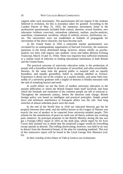support other such movements. The questionnaire did not inquire if the students believed in evolution, for this is nowadays taken for granted. According to the London Patriot of May 25, 1933, the numerous movements listed in the professorial questionnaire included birth control, abortion, sexual freedom, new education (without coercion), rationalism (atheism), nudism, psycho-analysis, anarchism, communism, socialism, refusal of military service, sterilisation, etc., etc. The universities were not established as hotbeds of propaganda for movements of the above character, but have become such.

In the United States in 1934 a somewhat similar questionnaire was circulated by an undergraduate organisation of Harvard University, the numerous questions in the forms distributed being, however, almost wholly on psychoanalytic sex lines with inquiry into students' views and habits (Boston Evening Transcript, March 14 and 15, 1934). These two inquiries bear sufficient testimony to a similar trend of infection in leading educational institutions in both Britain and the United States.

The practical outcome of university education today is the production of people with a boundless belief in all manner of unverified, and often unverifiable, theories. At the same time the general public is inspired with an equally boundless, and equally groundless, belief in anything labelled as Science. Experience is thrust out of the window as a useless teacher, and some little tomnoddy of a university graduate with a bagful of theories is blindly entrusted with the task of remaking heaven and earth.

In world affairs we see the fruits of modern university education in the present difficulties in which the British Empire finds itself involved, and from which the fortitude and resolution of the common people are left to extricate it. Throughout the nineteenth century, before the theorists took charge, British foreign policy was based on intelligent and practical principles. Ample armed force and minimum interference in European affairs was the rule. And long stretches of almost unbroken peace were the result.

At the end of the World War in 1918 our educated theorists got the bit properly between their teeth, and the edifice known as the League of Nations was exactly the sort of product to be expected from university-minded people. This scheme for the manufacture of peace on earth was all theory without any working parts whatever. Its principal promoter in the British Ministry during the last war got a Foreign Office report in 1916 on the draft plan, which report by Sir Eyre Crowe duly pointed out in detail that the projected League would do everything except operate as desired. This trifling shortcoming, however, was held in no way to detract from the theoretical beauty of the plan for remaking mankind. This text of this instructive report will be found in the Lloyd George War Memoirs (vol, iii).

In their worship of this Palace of Talk at Geneva our evolutionist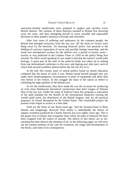university-minded intellectuals were prepared to neglect and sacrifice every British interest. The clamour of these theorists resulted in Britain first throwing away her arms, and then entangling herself in every possible and impossible direction in other people's business in Europe and elsewhere.

After four years of suffering and endurance by the common people, the British had emerged victorious from the last war. All the fruits of victory were flung away by the theorists. An amazing financial policy was pursued at the bidding of a private corporation of secret and possibly foreign ownership: and the result was unemployed workers by the million over a period of twenty years exactly as was predicted in the London Times in 1918 on the policy being first mooted. No effort worth speaking of was made to develop the nation's world-wide heritage. A great part of the time of the political heads was taken up in rushing from one international conference to the next, and signing pact after pact, each of which duly proved worthless almost before the ink was dry on it.

In the end, this twenty years of unreal politics based on unreal education collapsed like the house of cards it was. Britain found herself plunged into war under more disadvantageous circumstances in point of equipment and allies then ever before in her history. In this struggle the mass of the nation as before is exhibiting the high qualities of the British race.

As for the intellectuals, they have made the war the occasion for producing an even more flamboyant theoretical construction than their League of Nations Plan of the last war. Under the name of Federal Union this proposes a restoration of the gold standard for the benefit of the international financiers owning the world's gold stock; the dissolution of the British Empire; and, for all practical purposes, its virtual absorption by the United States. This remarkable project the present writer hopes to review at a later date.

Such are the fruits of our theory-mad age. And the fountain-head of these dreams and imaginings, divorced from reality is undoubtedly the theory of organic evolution produced by Charles Darwin just over eighty years ago. This is the grand river of falsity and corruption from which all sides of national life have been irrigated with the waters of untruth. The effects of this theory are so farreaching that they deserve the attention of all. In the following pages we will trace out the present position of the case for evolution, the origin and development of the theory, and some of its consequences.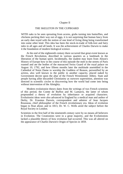### Chapter II

### THE SKELETON IN THE CUPBOARD

WITH oaks to be seen sprouting from acorns, grubs turning into butterflies, and chickens pecking their way out of eggs, it is not surprising that human fancy from an early date toyed with the notion of one kind of living thing being transformed into some other kind. This idea has been the stock-in-trade of folk-lore and fairy tales in all ages and all lands. It was the achievement of Charles Darwin to make it the foundation of modern biological science.

At the end of the eighteenth century there occurred that great event known as the French Revolution, described in various quarters as a landmark in the liberation of the human spirit. Incidentally, the student may learn from Alison's History of Europe how in the course of this episode the mob in the streets of Paris roasted and ate the bodies of the massacred Swiss Guard of the royal palace on August 10, 1792, and how fifteen months later the multitude assembled in the Cathedral of Notre Dame to worship the Goddess of Reason, personified by an actress, also well known to the public in another capacity, placed naked by Government decree upon the altar of the French Westminster Abbey. State and people having alike discarded Christianity as outworn superstition, attention was directed in scientific circles to discovering how the world had come into being without intervention of the Almighty.

Modern evolutionist theory dates from the writings of two French scientists of this period, the Comte de Buffon and M. Lamarck, the latter of whom propounded a theory of evolution by inheritance or acquired characters. Evolutionist ideas were also advanced in England by a medical man and author of Derby, Dr. Erasmus Darwin, correspondent and admirer of Jean Jacques Rousseau, chief philosopher of the French revolutionary era. Ideas of evolution began to float about, and in 1813, Dr. W. C. Wells aired the subject before the Royal Society in London.

Scientists in the first half of the nineteenth century were by no means all believers in Evolution. The Creationists were in a great majority, and the Evolutionists lacked a plausible theory of how evolution had occurred. This was all altered on the appearance of Charles Darwin's Origin of Species in 1859.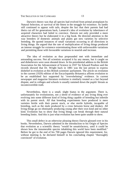## THE SKELETON IN THE CUPBOARD 13

Darwin's theory was that all species had evolved from primal protoplasm by Natural Selection, or survival of the fittest in the struggle for existence. As lambs still continued to appear with tails, despite the fact that their parents had had theirs cut off for generations back, Lamarck's idea of evolution by inheritance of acquired characters had failed to convince. Darwin not only provided a more attractive theory but he elaborated it in a big book. He directed attention to the way breeders of domestic animals and plants got new varieties by selective breeding. He quoted instances of small variations occurring in all directions in living things. He argued that the rate of multiplication of living things produced an intense struggle for existence exterminating those with unfavourable variations and permitting those with favourable variations to nourish and increase.

The idea of evolution as thus propounded met with immediate and astounding success. Not all scientists accepted it by any means, but it caught on and disbelievers were soon shouted down. In his presidential address to the British Association for the Advancement of Science in 1937 Sir Edward Poulton said the records showed that Dr. Wright back in 1881 was the last person to express disbelief in evolution at this British scientists' parliament. The article on evolution in the current (1929) edition of the Encyclopaedia Britannica affirms evolution to be an established fact supported by "overwhelming" evidence. In current newspaper and magazine literature evolution is similarly treated as a fact beyond dispute, and in colleges and schools is usually rammed down the pupils' throats as incontrovertible truth.

Nevertheless, there is a small, slight hiatus in the argument. There is, unfortunately for evolutionists, not a shred of evidence of any living thing ever evolving into some different kind of living thing capable of breeding but infertile with its parent stock. All that breeding experiments have produced is mere varieties fertile with their parent stock, or else sterile hybrids, incapable of breeding, such as the mule produced by a cross between horse and donkey. All living things go on obstinately producing young after their own kind and no other kind. Evolution has to show that living things can break through their natural breeding limits. And this is just what evolution has been quite unable to show.

This small defect in an otherwise pleasing theory Darwin glossed over in his books. Nevertheless, Darwin admitted in the introduction to his Origin of Species that evolution as a scientific theory "would be unsatisfactory, until it could be shown how the innumerable species inhabiting this world have been modified." Before he got to the end of his 700 pages Darwin ignored this requirement, for, without meeting it, he declared himself in his concluding chapter "thoroughly" convinced" of evolution.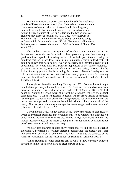Huxley, who from the outset constituted himself the chief propa gandist of Darwinism, was more logical. He made no bones about the total absence of any actual proof of evolution. In fact, he greatly annoyed Darwin by harping on the point, as anyone who cares to peruse the five volumes of Darwin's letters and the two volumes of Huxley's may discover for himself. " My God," wrote Darwin to Huxley in 1862, "is not the case difficult enough without its being, as I must think, falsely made more difficult. I believe it is all my own fault—my own d --------- d candour . . ." (More Letters of Charles Dar win, i, 230).

This outburst was in consequence of Huxley having pointed out in his lectures and books that so far it had not been possible by selective breeding to produce a form capable of breeding but infertile with the parent stock. Huxley, in admitting this lack of evidence, said in his Edinburgh lectures in 1861 that if it could be shown that such failure was "the necessary and inevitable result of all experiments" he would hold Mr. Darwin's hypothesis to be "utterly shattered." (Man's Place in Nature, Everyman edition, p. 256). He added, however, that he looked for early proof to be forthcoming. In a letter to Darwin, Huxley said he told his students that he was satisfied that twenty years' scientific breeding experiments with pigeons would provide the necessary proof (Huxley's Life and Letters, i, 195-6).

Although so heatedly rebuking Huxley in 1862, Darwin himself eight months later, privately admitted in a letter to Dr. Bentham the total absence of any proof of evolution. This is what he wrote under date of May 22, 1863 : "In fact belief in Natural Selection must at present be grounded entirely on general considerations. . . . When we descend to details, we can prove that no one species has changed (i.e., we cannot prove that a single species has changed); nor can we prove that the supposed changes are beneficial, which is the groundwork of the theory. Nor can we explain why some species have changed and others have not" (Darwin's Life and Letters, iii, 25).

Darwin died in 1882. Huxley died in 1895. Four years before he died Huxley wrote to Professor Romanes that evolution still stood without the evidence on which he had insisted thirty years before. He had always insisted, he said, on "the logical incompleteness of the theory so long as it was not backed by experimental proof" (Huxley's Life and Letters, ii, 291).

We now pass onwards another thirty years; and we find the noted English evolutionist, Professor Sir William Bateson, acknowledg ing exactly the same total absence of any proof of evolution. This is what he said to the congress of the American Association for the Advancement of Science in Toronto in 1921 :-

"When students of other sciences ask us what is now currently believed about the origin of species we have no clear answer to give...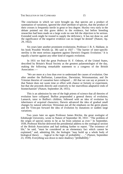The conclusion in which we were brought up, that species are a product of summation of variations, ignored the chief attribute of species, that the product of their crosses is frequently sterile in great or less degree. Huxley very early in the debate pointed out this grave defect in the evidence, but before breeding researches had been made on a large scale no one felt the objection to be serious. Extended work might be trusted to supply the deficiency. It has not done so, and the significance of the negative evidence can no longer be denied" (Nature, Ap. 29, 1922).

Six years later another prominent evolutionist, Professor J. B. S. Haldane, in his book Possible Worlds (p. 38) said in 1927 : "The barrier of inter-specific sterility is the most serious argument against Darwin's Organic Evolution." It is equally a barrier against any other kind of organic evolution.

In 1931 we find the great Professor H. F. Osborn, of the United States, described by Britain's Royal Society as the greatest palaeontologist of the day, making the following remarkable statement to a congress of the British Association :—

"We are more at a loss than ever to understand the causes of evolution. One after another the Buffonian, Lamarckian, Darwinian, Weissmannian, and De Vriesian theories of causation have collapsed ... All that we can say at present is that Nature does not waste time or effort with chance or fortuity or experiment, but that she proceeds directly and creatively to her marvellous adaptative ends of biomechanism" (Nature, September 28, 1931).

This is an admission by one of the high priests of science that all theories of evolution have collapsed. Buffon propounded a general theory of evolution; Lamarck, tutor to Buffon's children, followed with an idea of evolution by inheritance of acquired characters; Darwin advanced the idea of gradual small changes by natural selection; Weissman put all the emphasis on the germ plasm; and De Vries-put forward the idea of evolution by mutations or sudden large variations.

Two years later on again Professor James Ritchie, the great zoologist of Edinburgh University, wrote in Nature of September 30, 1933 : "The problem of the origin of species seems to be as far from solution as ever." In September, 1939, Professor Ritchie delivered the presidential address to the zoological section of the British Association and had nothing further to report. "The existence of life," he said, "must be considered as an elementary fact which cannot be explained," and, admitting life, the biologist "may build up a whole body of biological theory . . . logical in the logic of probability . . ." (Nature, September 23, 1939). Everything was down to mere shadowy "probability."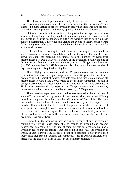The above series of pronouncements by front-rank biologists covers the entire period of eighty years since the first proclaiming of the Darwinian gospel. There is no more vestige of proof of evolution today than there was in those early days when Darwin privately, and Huxley openly, admitted its total absence.

Claims are made from time to time of the production by experiment of new species of living things, but they rapidly drop out of sight and the above series of statements at scientific headquarters is sufficient evidence that no such claim has survived examination. This evidence is vital to the evolution theory, and if it were forthcoming we may be quite sure it would be proclaimed from the house-tops for all the world to hear.

If this evidence is lacking it is not for want of seeking it. For example, a whole literature, so extensive that a bibliography of it was recently published, has grown up about the breeding experiments with the pumice fly Drosophila melanogaster. Mr. Douglas Dewar, a Fellow of the Zoological Society and one of the few British biologists rejecting evolution, in his Challenge to Evolutionists (pp. 20-21) relates how in 1910 Morgan and his collaborators hit upon the idea of experimenting with this quick-breeding fly.

This obliging little creature produces 25 generations a year at ordinary temperatures and more at higher temperatures. Over 800 generations of it have been bred with the object of transforming into something that is not a Drosophila melanogaster. It would take 20,000 years to get as many generations of human beings. Every device has been applied to this fly to make it vary its breeding. In 1927 it was discovered that by exposing it to X-rays the rate at which mutations, or marked variations, occurred could be increased by 15,000 per cent.

These breeding experiments are stated to have resulted in the production of some 400 varieties of this fly, some of them monstrosities, and some differing more from the parent form than the other wild species of Drosophila differ from one another. Nevertheless, all these varieties (unless they are too imperfect to breed at all) are stated to breed freely with the parent stock, whereas the different wild species of Drosophila on the rare occasions when they can be induced to cross, either yield no offspring at all or sterile hybrids. Immutability of species, like a mysterious angel with flaming sword, stands barring the way to the evolutionist Garden of Eden.

Summed up, the position is that there is no evidence of any interbreeding community of living things being able to change its breeding and become transformed into some different kind of thing infertile with the original stock. Evolution asserts that all species came into being in this way. And evolution is wholly unable to provide any vestige of proof of its assertion. Belief in evolution today must thus rest on "general considerations," just as Darwin privately confessed was the case awav back in 1863. In our next three chapters we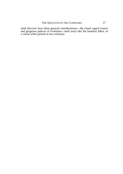shall discover how these general considerations—the cloud capp'd towers and gorgeous palaces of evolution—melt away like the baseless fabric of a vision when peered at too curiously.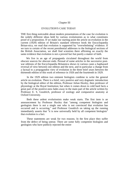#### Chapter III

## EVOLUTION'S CASE TODAY

THE first thing noticeable about modern presentations of the case for evolution is the widely different ideas held by various evolutionists as to what constitutes proof of a proposition. If we make our starting point the article on evolution in the current (1929) edition of Britain's standard reference book the Encyclopaedia Britan-nica, we read that evolution is supported by "overwhelming" evidence. If we turn to certain of the recent presidential addresses to the biological sections of the British Association, we shall find scientists there affirming on exactly the same evidence that evolution is not a proved fact but purely a matter of faith.

We live in an age of propaganda circulated throughout the world from obscure sources for obscure ends. Perusal of some articles in the successive postwar editions of the Encyclopaedia Britannica shows in various cases a haphazard reversal of view between one edition and the next, and in particular a change from a factual to a propagandist view of evolution in the three brief years between the thirteenth edition of this work of reference in 1926 and the fourteenth in 1929.

In the 1929 edition two eminent biologists combine to write the general article on evolution. There is a brief, very positive and very dogmatic introduction by the biological editor of the edition, Professor Julian Huxley, then professor of physiology at the Royal Institution; but when it comes down to cold hard facts a great part of the positive-ness fades away in the main part of the article written by Professor E. S. Goodrich, professor of zoology and comparative anatomy at Oxford University.

Both these ardent evolutionists make weak starts. The first item is an announcement by Professor Huxley that "among competent biologists and geologists there is not a single one who is not convinced that evolution has occurred and is occurring," and Professor Goodrich on taking up the running immediately asserts that "it is now universally held by all competent biologists" that evolution is a fact.

These statements are weak for two reasons. In the first place they suffer from the defect of being untrue. There are some fully competent biologists and geologists who have publicly rejected the entire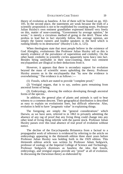theory of evolution as baseless. A list of them will be found on pp. 102- 105. In the second place, the statements are weak because the truth of a scientific proposition is not to be established by counting noses. Professor Julian Huxley's own eminent grandfather expressed himself very freely on this, matter of nose-counting. "Government by average opinion," he wrote," is merely a circuitous method of going to the devil. Those who profess to lead but in fact slavishly follow this average opinion, are simply the fastest runners and loudest speakers in the herd which is rushing blindly to its destruction" (Huxley's Life, ii, 125).

When theologians state that most people believe in the existence of God Almighty, evolutionsts like Professor Julian Huxley tell us this is merely evidence of the prevalence of superstition and credulity. On the other hand, credulity in scientific circles apparently turns fancy into fact. Besides being unreliable in their nose-counting, these two eminent encylopaedists are illogical in their deductions from it.

However, it appears that there is secondary support for evolution beyond the mass of scientific noses upholding the theory. Professor Huxley assures us in the encylopaedia that "by now the evidence is overwhelming." The evidence is as follows :—

(1) Fossils, which are stated to provide "complete proof,"

(2) Vestigial organs, that is to say, useless parts remaining from ancestral forms of being;

(3) Embryology, showing the embryo developing through ancestral forms of the species.

In addition, the general plan of plants and animals is said to bear witness to a common descent. Their geographical distribution is described as easy to explain on evolutionist lines, but difficult otherwise. Also, evolution is held to have "pragmatic value" in explaining things.

The foregoing are simply the "general considerations" which Darwin, as we have seen, referred to in 1863 in privately admitting the absence of any rag of proof that any living thing could change into any other kind of living thing infertile with the parent stock. Professor Julian Huxley passes over this total absence of real proof of evolution without notice.

The decline of the Encyclopaedia Britannica from a factual to a propagandist work of reference is evidenced by referring to the article on embryology appearing in the thirteenth edition three short years before Professor Julian Huxley was holding forth in the 1929 edition. This thirteenth edition article was written by Professor Adam Sedgwick, professor of zoology at the Imperial College of Science and Technology. Professor Sedgwick dismisses as baseless the idea that fossils, embryology, and vestigial organs provide any "proof" at all of evolution. In discussing the Darwinian theory as elaborated by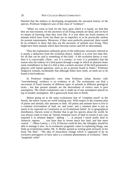Haeckel that the embryo in developing recapitulates the ancestral history of the species, Professor Sedgwick says of this class of "evidence":

"When we come to look for the facts upon which it is based, we find that they are non-existent, for the ancestors of all living animals are dead, and we have no means of knowing what they were like. It is true there are fossil remains of animals which have lived, but these are so imperfect as to be practically useless for present requirements. Moreover, if they were perfectly preserved, there would be no evidence to show that they are the ancestors of animals now living. They might have been animals which have become extinct and left no descendants.

"Thus the explanation ordinarily given of the embryonic structures referred to is purely a deduction from the evolution theory. Indeed, it is even less than this, for all that can be said is something of this kind : if the evolution theory is true, then it is conceivable. (Note : not 'it is certain,' or even 'it is probable') that the reason why the embryo of a bird passes through a stage in which its pharynx bears some resemblance to that of a fish is that a remote ancestor of the bird possessed a pharynx with lateral apertures, such as are at present found in fishes." Professor Sedgwick remarks incidentally that although fishes have teeth, no teeth are to be found in bird embryos.

In Professor Sedgwick's view what Professor Julian Huxley calls "overwhelming" evidence is no evidence at all. The evolutionist can find a succession of fossil remains of different types of animals in different geological strata : but that present animals are the descendants of extinct ones is pure assumption. The whole evolutionist case is made up of one assumption placed on top of another assumption. All is guesswork from start to finish.

Before going on to the main evolutionist line of "complete proof" in the fossils, the minor counts are worth looking over. With respect to the common plan of plants and animals, this amounts to little. All plants and animals have to live in a common environment of land, air, and water, and a common plan is just as much to be expected on Creationist as on Evolutionist belief. As to geographical distribution, Darwin wrote to Hooker that to get his species about the world, he was always ready to raise up "former immense tracts of land in oceans if any case required it in eminent degree," adding : "... at present I much prefer land in Antarctic regions . . . you have thus to invent much less land, and that more central ..." {More Letters, i, 115). If Darwin could do this, the Almighty should be able to manage it also. As to evolution's pragmatic value in explaining things, one finds an evolutionist author, Mr. A. Beebe, quoted as writing quite seriously in his book The Bird : "The idea of miraculous change which is supposed to be an exclusive prerogative of fairy tales is a common phenomenon of evolution." Does "pragmatic value"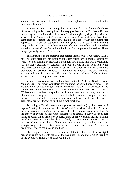simply mean that in scientific circles an untrue explanation is considered better than no explanation ?

Professor Goodrich, in coming down to the details in the fourteenth edition of the encyclopaedia, speedily loses the easy positive touch of Professor Huxley in opening the evolution article. Professor Goodrich begins by dispensing with the services of the Almighty altogether in his evolutionist Garden of Eden. Everything came from protoplasm, and "there must have been a time" when protoplasm first appeared. It "must be supposed" that inorganic substances started forming compounds, and that some of these kept on reforming themselves, and "once they started on this trick" they "would inevitably tend" to perpetuate themselves. These things "probably occurred" in the sea.

The actual fact of the matter is that neither Professor E. S. Goodrich, F.R.S., nor any other scientist, can produce for examination any inorganic substances which keep on forming compounds indefinitely and turning into living organisms. All the many attempts of scientists to produce living matter from non-living matter has been a dead flat failure. What Professor Goodrich talks of is no more producible than are Hans Andersen's witch with the tinder-box and dog with eyes as big as mill-wheels. The main difference is that Hans Andersen's flights of fancy are easier reading than professorial jargon.

Vestigial organs in animals and plants are stated by Professor Goodrich to be "numberless." The human vermiform appendix and the splint bones in horses' legs are two much-quoted vestigial organs. However, the professor proceeds in the encylopaedia with the following remarkable statements about such organs : "Unless they have been adapted to fulfil some new function, they are apt to diminish and disappear ... It is doubtful whether any useless parts are ever preserved for long unless they are insignificant, and many of the so-called vestigial organs are now known to fulfil important functions."

According to Darwin, evolution is proved (or nearly so) by the presence of organs "bearing the plain stamp of inutility" and "imperfect and useless." On the theory of creation, he argued, the presence of useless organs was inexplicable. On the theory of evolution, they were explainable as atrophied survivals from past forms of being. When Professor Goodrich talks of many vestigial organs fulfilling useful functions he at once knocks completely to pieces any claims such organs have as evidence of evolution. Grant them any use and they wholly cease to be vestigial organs in the Darwinian sense of useless survivals. The modern evolutionist tries to eat his cake and have it.

Mr. Douglas Dewar, F.Z.S., an anti-evolutionist, discusses these vestigial organs at length in his Difficulties of the Evolution Theory and More Difficulties of the Evolution Theory. He points out that the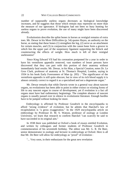number of supposedly useless organs decreases as biological knowledge increases, and he suggests that those which remain may represent no more than the measure of our ignorance. If biologists had not been so busy hunting for useless organs to prove evolution, the use of many might have been discovered already.

Evolutionists describe the splint bones in horses as vestigial remains of extra toes. Mr. Dewar in his More Difficulties (p. 54) quotes Hayes, an authority on the horse, as stating that these bones (1) strengthen the leg, (2) serve as an attachment for certain muscles, and (3) in conjunction with the canon bone form a groove in which lies the upper part of the suspensory ligament supporting the fetlock and counteracting the effects of weight. How much is left of their vestigial uselessness?

Since King Edward VII had his coronation postponed for a year in order to have his vermiform appendix removed, vast numbers of lesser persons have discovered that they can part with this portion of their anatomy without immediately fatal results. Mr. Dewar, in his Man, a Special Creation, notes Dr. Le Gros Clark, professor of anatomy at St. Thomas's Hospital, London, saying in 1934 in his book Early Forerunners of Man (p. 205) : "The significance of the vermiform appendix is still quite obscure, but in view of its rich blood supply it is almost certainly correct to regard it as a specialised and not a degenerate organ."

Mr. Dewar remarks that while Darwin wrote in a general way about nascent organs, no evolutionist has been able to point in either extinct or existing forms of life to any nascent organ in course of development; yet if evolution is a fact all organs must have had rudimentary beginnings. The complete absence of nascent organs is usually passed over in silence in evolutionist literature. Enough hurdles have to be jumped without looking for more.

Embryology is affirmed by Professor Goodrich in the encyclopaedia to afford "strong evidence" of evolution; but he admits that Haeckel's law of recapitulation is "a gross exaggeration." In the 1929 encyclopaedia article on embryology by Professor D. M. S. Watson, professor of zoology at London University, we learn that research to confirm Haeckel "can scarcely be said to have succeeded in its original aim."

In 1938 there was published at Oxford a book of essays entitled Evolution, and written by colleagues and former students of Professor Goodrich in commemoration of his seventieth birthday. The editor was Mr. G. R. De Beer, senior demonstrator in zoology and lecturer in embryology at Oxford. Here is all that Mr. De Beer will allow for embryology as "proof" of evolution :

"... Very soon, in their enthusiasm for the great new revelation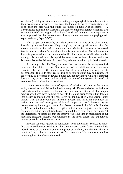(evolution), biological students were making embryological facts subservient to their evolutionary theories. . . Thus arose the famous theory of recapitulation ... as is so often the case with half-truths, this theory enjoyed wide acceptance . . . Nevertheless, it must be realised that the theory contained a fallacy which for two reasons impeded the progress of biological work and thought ... In many cases it can be proved that the developmental history cannot represent the phylogenetic (species) history" (pp. 57-58).

This is open admission by an ardent evolutionist of one of the chief counts brought by anti-evolutionists. They complain, and on good grounds, that the theory of evolution has led to continuous and wholesale distortion of observed fact in order to make it fit in with evolutionist preconceptions. To such an extent has this proceeded that in modern scientific literature, especially the popular variety, it is impossible to distinguish between what has been observed and what is speculative embellishment. Fact and fairy-tale are muddled up indiscriminately.

According to Mr. De Beer, the most that can be said for embryo-logical evidence of evolution is that "the structure of the adult ancestral form may sometimes be inferred (his italics) from that of the developmental stages of its descendants " (p.61). In other cases "little or no information" may be gleaned. On top of this, as Professor Sedgwick points out, nobody knows what the ancestral forms of any animal were, and what little remains of embryological "proof" of evolution thus subsides into moonshine.

Darwin wrote in the Origin of Species of gill-slits and a tail in the human embryo as evidence of fish and animal ancestry. Mr. Dewar and other evolutionist and anti-evolutionist writers point out that there are no slits at all, but simply depressions. These have nothing to do with breathing arrangements but develop into tissues connected with the ear, lower lip, tongue, cheek, and various other things. As for the embryonic tail, this bends inwards and forms the attachment for various muscles and also gives additional support to man's internal organs necessitated by his upright posture. Mr. Dewar remarks in his More Difficulties (p. 36) that in the human embryo a length of intestine also projects from the body for a period, but so far evolution has not claimed this as evidence of anything. All the indications, he states, are that the embryo wastes no time in meandering about repeating ancestral history, but develops in the most direct and expeditious manner possible in the circumstances.

Enough has been quoted in admissions from evolutionist sources to show that the miscellaneous exhibits in the shop window come down to very little indeed. None of the items provides any proof of anything, and the most that can be said of any is that it provides a basis for speculation. We now turn to the last remaining line of evidence, the fossils.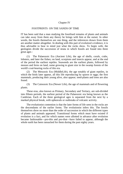## Chapter IV

## FOOTPRINTS ON THE SANDS OF TIME

IT has been said that a man studying the fossilised remains of plants and animals can take away from them any theory he brings with him at the outset. In other words, the fossils themselves are one thing, and the inferences drawn from them are another matter altogether. In dealing with this part of evolution's evidence, it is thus advisable to bear in mind just what the rocks show. To begin with, the geologists divide the succession of strata in which fossils are found into three great ages :

(1) The Palaeozoic Era (Ancient Life), the age of shells, corals, crabs, lobsters, and later the fishes; on land, scorpions and insects appear, and at the end of the period the earliest reptiles. Seaweeds are the earliest plants, followed by mosses and ferns on land, some growing to giant size in the swamp forests of the world's coal-bearing rocks of this era.

(2) The Mesozoic Era (MiddleLife), the age notably of giant reptiles, in which the birds later appear, all this life reproducing by spawn or eggs; the first mammals, producing their young alive, also appear; seed-plants and trees are also found.

(3) The Cainozoic Era (Newer Life), the age of mammals and of flowering plants.

These eras, also known as Primary, Secondary and Tertiary, are sub-divided into fifteen periods, the earliest period of the Palaeozoic era being known as the Cambrian. Each of the three geological ages is separated from the next by a marked physical break, with upheavals or outbreaks of volcanic activity.

The evolutionist contention is that the later forms of life seen in the rocks are the descendants of the earlier forms. The evolutionist infers this. The fossils themselves show no more than the order of succession in which the different types of plants and animals appeared. Transitional forms which must have existed if evolution is a fact, and for which names were allotted in advance after evolution became fashionable—pro-this and pro-that—have failed to appear, although the whole earth has been ransacked for them during the past eighty years.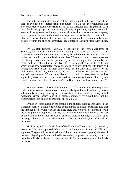The anti-evolutionists contend that the fossils do not in the least support the idea of evolution of species from a common stock. Even an evolutionist like Professor Max Westenhofer writes in 1937 in his Research and Progress (iii, 92) : "All the larger groups of animals, e.g., fishes, amphibians, reptiles, mammals seem to have appeared suddenly on the earth, spreading themselves, so to speak, in an explosive manner in their various shapes and forms. Nowhere is one able to observe or prove the transition of one species into another, variation only being possible within the species themselves" (as quoted in Dewar's More Difficulties, p. 94).

Dr. W. Bell Dawson, F.R.C.S., a Laureate of the French Academy of Sciences, and a well-known Canadian geologist, says of the fossils : "This sequence is evidently the same as in Genesis; for in both, the creatures that swarm in the sea come first, and the land animals last. When each type of creature comes into being, it continues to the present day; as, for example, the sea shells, the crabs, and the reptiles; but in each type there is a magnificence in the past from which it has now deteriorated. Many ancient species are identical with forms still living; and many organs of their bodies, such as the claw of the lobster or the multiple eye of the crab, are precisely the same as in the earliest ages without any sign of improvement. Whole categories of facts such as these, seem to be lost sight of by those whose vision is obscured by evolutionary theories; for they run counter to any conception of evolution" (The Bible Confirmed by Science, pp. 73- 74).

Another geologist, Joseph Le Conte, says : "The evidence of Geology today is that species seem to come into existence suddenly and in full perfection, remain substantially unchanged during the terms of their existence, and pass away in full perfection Other species take their place, apparently by substitution, not by transmutation" (as quoted by Dawson, op. cit., p. 75).

Evolution's first hurdle in the fossils is the sudden bursting into view in the Cambrian rocks of a highly developed aquatic fauna and flora. Scientists hold that the time required for life to reach the stage there exhibited was greater than for all the subsequent development. Yet they are unable to find evidence of this first half of evolution. In the earlier Pre-Cambrian rocks there is nothing save a few vague markings claimed by their discoverers as fossils, but everyone of which is disputed.

Mr. Dewar, in More Difficulties of the Evolution Theory (p. 114) states that, except for Walcott's supposed Beltina in North America and David and Tillyard's supposed Eurypterid in Australia (both of them kinds of sea-scorpions), the rest of the few alleged pre-Cambrian fossils are either supposed secretions, or marks made by animals or plants, or organisms that fit into no known group of animals or plants.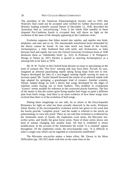The president of the American Palaeontological Society said in 1935 that Walcott's find could not be accepted until verified by further discoveries; and Britain's leading scientific journal Nature of December 12, 1936, described the Australian find as "unconvincing." Even if the whole little handful of these disputed Pre-Cambrian fossils is a'ccepted they still throw no light on the evolution of the mass of life abruptly appearing in the Cambrian rocks.

Evolution supposes that fishes turned into reptiles, and reptiles into birds, elephants, and men and so on. The innumerable transitional forms demanded by the theory cannot be found. At one time much was heard of the fossils, Archaeopteryx, a fully feathered bird with teeth, and Archaeornis, as links between bird and reptile, but even the Oxford University Evolution book of 1938 dismisses these as "indubitably birds" (p. 322). In Professor J. B. Pettigrew's Design in Nature (p. 207), Huxley is quoted as rejecting Archaeopteryx as a missing link as far back as 1876.

Mr. B. W. Tucker in this Oxford book devotes an essay to speculating on the kind of creature this "Pro-Avis" missing link may have been. Pycraft, he says, imagined an arboreal parachuting reptile taking flying leaps from tree to tree. Nopsca developed the idea of a two-legged running reptile waving its arms to increase speed. Mr. Tucker himself favoured the notion of an arboreal reptile with legs adapted for springing, a grasshopper kind of creature. Another scientist, Steiner, helped things on with a theory that wings developed by the edges of reptilian scales fraying out to form feathers. This problem in evolutionist "science" seems suitable for reference to the crossword puzzle fraternity. The fact of the matter is that the extinct giant flying reptiles had wings on quite a different plan from bird's wings. And there is no more evidence of how these wings were evolved than there is of the evolution of bird wings.

Putting these imaginings on one side, let us return to the Encyclopaedia Britannica for light on what has been actually observed in the rocks. Professor Julian Huxley in the encyclopaedia's evolution article has given us his word that the fossils provide "complete proof," and the reader is referred to the article on palaeontology to view this proof. There we are told that evolution is evidenced by the Ammonite series of fossils, the Zaphrentis coral series, the Micraster seaurchin series, and finally the great horse series. None of these series shows one kind of animal changing into another kind. All that is exhibited is minor modification. In the account of the Ammonites the words "it is claimed" appear throughout. Of the Zaphrentis corals, the encyclopaedia says, "It is difficult to select a single case which can be regarded as conclusively established."

The Micraster sea-urchin makes a better effort. Mr. Dewar in his More Difficulties (pp. 195-207) deals with him on the same lines as the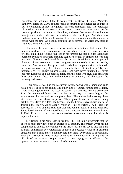encyclopaedia but more fully. It seems that Dr. Rowe, the great Micraster authority, sorted out 2,000 of these fossils according to geological age and traced out a continuing change in eighteen different characteristics. The Micraster changed his mouth in the course of ages from a circular to a crescent shape, he grew a lip, altered the lay-out of his spines, and so on. Yet when all was done he was just as much a Micraster sea-urchin as when he began. And there was nothing to show that the last Micraster of the series was any more than a variety fertile with the first. As nobody disputes the occurrence of variations, there is little here to help evolution.

However, the famed horse series of fossils is evolution's chief exhibit. The horse, according to the evolutionists, starts off about the size of a dog, and with five toes on his hind feet and four toes on his forefeet. Ke then decides that he has overdone evolution and starts shedding surplus toes until he finishes up with one per foot all round. Multi-toed horse fossils are found both in Europe and America. Some evolutionist horse pedigrees contain solely American fossils, some mix American and European fossils, and a less complete series can be made of European fossils only. Mr. Dewar prints in his More Difficulties (p. 144) two pedigrees by well-known palaeontologists, one with seven intermediate forms between Eohippus and the modern horse, and the other with five. The pedigrees have only two of these intermediate forms in common, and the rest of the ancestry is different.

This horse series, like the sea-urchin series, begins with a horse and ends with a horse. It does not exhibit any other kind of animal turning into a horse. There is nothing written on the fossils to say that the one-toed horse is descended from the many-toed horse. He may be, or he may not. According to the evolutionsts, the one-toed horse appeared later. The anti-evolutionists say these statements are not above suspicion. They quote instances of rocks being arbitrarily re-dated to a later age because one-toed horses have shown up in the fossils in these rocks. Major Wren's Evolution—Fact or Fiction ? (p. 86) says it is recorded as a well-authenticated fact that Mr. John T. Reid, a mining engineer, found fossil remains of a one-toed horse in a cretaceous formation in a coal-mine in Utah. If this is correct it makes the modern horse very much older than his supposed ancestors.

Mr. Dewar in his More Difficulties (pp. 139-148) thinks it possible that the one-toed horse may have been in existence all through. The present writer has no competence to express any opinion on the matter. All he can say is that there are so many admissions by evolutionists of faked or doctored evidence in different directions that a little more is neither here nor there. Everything is supposition. Evolution is supposed to be survival of the fittest, and the writer in turning over an old file of Nature noted Major Leonard Darwin saying in an address at the opening of Down House as a memorial to his famous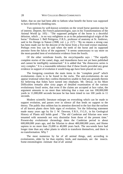father, that no one had been able to fathom what benefit the horse was supposed to have derived by shedding toes.

Two opinions by well-known scientists on the vexed horse question may be of interest. Deperet, the French palaeontologist, says in his Transformations of the Animal World (p. 105) : "The supposed pedigree of the horse is a deceitful delusion, which ... in no way enlightens us as to the palaeontological origin of the horse." Professor J. Bell Pettigrew, F.R.S., professor of anatomy at St. Andrews, said in his Design in Nature (1908, vol. i, p. 217) : "By no means a strong case has been made out for the descent of the horse from a five-toed extinct mammal. Perhaps even less can be said when the teeth of the horse and its supposed ancestor form the fulcra of the argument." It seems unnecessary to say more on the most-paraded item of evolutionist evidence from the fossils.

Of the other vertebrate fossils, the encyclopaedia says : "The equally complete stories of the camel, dogs, and titanotheres have not yet been published and cannot be intelligibly summarised." It is added that "the rhinoceros series is very complex." It is a reasonable inference that if these fossils provided any great evidence in support of evolution it would long ago have been placed on view.

The foregoing constitute the main items in the "complete proof" which evolutionists claim is to be found in the rocks. The anti-evolutionists do not appear irrational when they confess themselves unable to find any grounds therein for believing that fishes have turned into elephants. Mr. Dewar, in his More Difficulties remarks after sixty pages of detailed examination of the various evolutionary fossil series, that even if the claims are accepted at face value, the argument amounts to no more than inferring that a man can run 100,000,000 yards in 11,000,000 seconds because he has been timed to run 100 yards in 11 seconds.

Modern scientific literature enlarges on everything which can be made to support evolution, and passes over in silence all that lends no support to the theory. The public thus seldom has its attention directed to the fact that the earliest of all known plants show little signs of evolution. Yet the following statement made many years ago by Sir J. W. Dawson, F.R.S., F.G.S., in his Geological History of Plants still holds good : "The old Cambrian and Silurian seas were tenanted with seaweeds not very dissimilar from those of the present time." Present-day evolutionist chronology dates the Cambrian period to about  $600,000,000$  years ago, and the Silurian to about  $400,000,000$  years, and Homo sapiens to no more than 25,000 to 40,000 years back. The sea-weeds have had longer time than any other plants in which to transform themselves, and there is no transformation. Why ?

The most numerous by far of all animal things, and, according to evolutionists, older by far than reptiles, birds, and mammals, are the insects. Some entomologists estimate that of all animal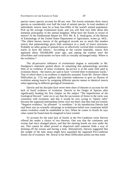species insect species account for 80 per cent. The lowest estimates show insect species as considerably over half the total of animal species. In total numbers of individuals, insects must be at least four-fifths of the world's animal population. Pick up the average evolutionist book, and you will find very little about this immense principality of the animal kingdom. What have the fossils to reveal of insects? In the Smithsonian Report for 1931 Mr. R. E. Snod-grass, of the Bureau of Entomology of the United States Department of Agriculture, writes (p. 443) : "The oldest known insects of the geological records are so much like modern insects that palaeontology gives little assistance in a study of insect structures. Probably no other group of animals have so effectively covered their evolutionary tracks as have the insects." According to the current timetable, insects first appeared about 350,000,000 years ago, and among the earliest were the silverfishes and cockroaches we have with us virtually unchanged today. Where is the evolution ?

The all-pervasive influence of evolutionist dogma is noticeable in Mr. Snodgrass's statement quoted above. In remarking that palaeontology provides little of no evidence of insect evolution, lip-service is at the same time paid to evolution theory : the insects are said to have "covered their evolutionary tracks." That of which there is no evidence is implicitly assumed. From Mr. Dewar's More Difficulties (p. 172) one gathers that scientists endeavour to give an illusion of evolution among insects by assigning different species names to identical insects when appearing in different geological formations.

Darwin and his disciples have never been short of theories to account for the lack of fossil evidence of evolution. Darwin in his Origin of Species after significantly heading his first chapter on the subject "The Imperfection of the Geological Record," went on to say that the succession of forms in the rocks was consistent with evolution, and that it would be very wrong to "falsely infer" because the supposed intermediate forms were not there, that they had not existed. "Negative evidence," he affirmed " is worthless." In his introduction Darwin had said there was no scientific advantage in evolutionist belief over creationist belief unless evolution could be established as fact. When he comes to fossils he says what cannot be found must be imagined to have existed.

To account for the total lack of fossils in the Pre-Cambrian rocks Darwin offered the reader a choice of two theories. One was that the continents and oceans had since changed places, and that the missing fossils are now under the sea. This cannot be either proved or disproved until someone finds a way of draining off the oceans and having a look. Alternatively, Darwin suggested that the weight of the later strata might have squashed the supposed Pre-Cambrian fossils out of existence. Mr. Dewar in his More Difficulties points out that some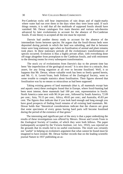Pre-Cambrian rocks still bear impressions of rain drops and of ripple-marks where water had run over them in the days when they were loose sand. If such things remain, it is odd that all the multitude of supposed fossils should have vanished. Mr. Dewar catalogues five main theories and various sub-theories advanced by later evolutionists to account for the absence of Pre-Cambrian fossils. If one theory is accepted all the rest must be rejected.

Darwin had another theory ready to account for the absence of the intermediate forms between species. He argues that the fossil-iferous beds were deposited during periods in which the land was subsiding, and that in between times were long stationary ages when no fossilisation of animal and plant remains took place. In these stationary periods all the evolutionary transformations of species occurred. Evolution is thus a highly private affair, with everything done off-stage altogether from protoplasm to the Cambrian fossils, and with retirement to the dressing rooms for every subsequent transformation.

The stock cry of evolutionists from Darwin's day to the present time has been "the imperfection of the geological record." It is next door to a miracle, they assert, for any living organism at all ever to become fossilised. Well, it so happens that Mr. Dewar, whose valuable work has been so freely quoted herein, and Mr. G. A. Levett-Yeats, both Fellows of the Zoological Society, went to some trouble to compile statistics about fossilisation. Their figures showed that fossilisation was by no means so miraculous as had been supposed.

Taking existing genera of land mammals (that is, all mammals except bats and aquatic ones) these zoologists found that in Europe, where fossil-hunting had been most intense, these mammals had 100 per cent, representation in fossils. North America came next with 90.14 per cent., followed by South America, 72.09 per cent.; Asia, 70.15 per cent.; Africa, 49.65 per cent.; and Australia, 45.83 per cent. The figures thus indicate that if you look hard enough and long enough you have good prospects of finding fossil remains of all existing land mammals. Mr. Dewar holds that "theoretical considerations indicate that the chances are great that some specimens of every genus having hard parts will become fossilised during the period of the existence of that genus."

The interesting and significant part of the story is that a paper embodying the results of these investigations was offered by Messrs. Dewar and Levett-Yeats to the Zoological Society of London, of which they were both fellows. The paper (subsequently accepted by the Victoria Institute, vol. lxiv, 1932), was rejected on the grounds that its results led to no useful conclusions. The result was certainly not "useful" in helping on evolution's argument that what cannot be found must be imagined to have existed. Mr. Dewar further records that on the leading scientific journal Nature in 1937 publishing an as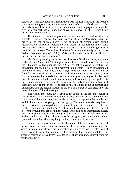sertion by a correspondent that fossilisation was "almost a miracle," he wrote a short letter giving statistics, and this letter Nature refused to publish. Such are the methods by which belief in evolution is maintained and propagated in scientific circles in this dark age of ours. The above facts appear in Mr. Dewar's More Difficulties, chapter xvi.

The theory, of evolution postulates some enormous transformations in animals. It further requires that every stage in these transformations, shall be beneficial to the animal. There is no question of closing down during reconstruction, or even of putting up with present discomfort for future gain. Darwin laid it down in a letter in 1859 that every stage in the change must in itself be of advantage. The eminent Professor Goodrich is similarly quoted in the Oxford Evolution book of 1938 (p. 274), and he adds, "it is often difficult to picture the intermediate conditions."

Mr. Dewar goes slightly further than Professor Goodrich. He says it is not "difficult" but "impossible" to imagine some of the required transformations. In his Challenge to Evolutionists (pp. 52-57) he defies anyone to picture the conversion, for example, of a land mammal into a whale—which conversion all evolutionists assert took place. Each stage, remember, must make the animal fitter for existence than it was before. The land mammal, says Mr. Dewar, must first be converted into a seal-like creature; it must give up using its hind legs and drag them about behind it until hind legs and tail eventually grow together. Its pelvis must shrink in size, and the portion of the body behind the pelvis must somehow twist round on the front part so that the sides come uppermost and undermost, and the lateral motion of the seal-like stage is converted into the vertical motion of the whale stage.

The whale, moreover, gives birth to its young in the sea and suckles it under water. The mother has to develop muscles enabling her to force milk into the mouth of the young one. She has also to develop a cap round her nipple into which the snout of the young one fits tightly. The young one also requires to have its windpipe prolonged above its gullet to prevent the milk ejected by the mother from entering its lungs. All these modifications have to be effected before the young ones are born in the water. There can be no intermediate stages, Mr. Dewar points out, between being suckled in<sub>i</sub>the air and suckled under water. Either sudden miraculous change must be imagined, or equally miraculous prophetic evolution with everything fixed up in advance of the event.

Such are the magical requirements of some evolutionist transformations, of the occurrence of which transformations neither the fossils nor anything else yields the slightest evidence. The imagination is required to take leap after leap. It now remains to view the summit of this monument of human credulity, the amazing collection of balderdash asserted to establish mankind's descent from the beasts of the field.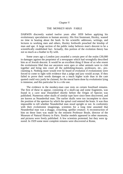#### Chapter V

#### THE MONKEY-MAN FABLE

DARWIN discreetly waited twelve years after 1859 before applying his evolutionary speculations to human ancestry. His first lieutenant, Huxley, wasted no time in beating about the bush. In his scientific addresses, writings, and lectures to working men and others, Huxley forthwith preached the kinship of man and ape. A large section of the public today believes man's descent to be a scientifically established fact. Actually, this portion of the evolution theory has not so much as a feather to fly with.

Some years ago a London jury awarded a certain peer of the realm £30,000 in damages against the proprietor of a newspaper which had wrongfully described him as of Jewish descent. It would be an excellent thing if those of us who resent the evolutionist libel that our ancestors were apes or other animals were to club together and bring into court all the publishing-houses, professors, etc., proclaiming it. Nothing more would ever be heard of evolution if evolutionists were forced to come to light with evidence that a judge and jury would accept. If they failed to prove their words damages on a much higher scale than in the case quoted could very justly be claimed, for the moral harm done by evolutionist lying is immense, and this particular lie is a vile one.

The evidence in the monkey-man case rests on certain fossilised remains. The first of these to appear, consisting of a skull-cap and some fragments, was found in a cave near Dusseldorf shortly before the Origin of Species was published. Numerous other skulls of similar type have since been discovered, and are known as Neanderthal man. The earlier skulls were too incomplete to show the position of the aperture by which the spinal cord entered the brain. It was thus impossible to tell whether Neanderthal man stood upright or not. In conformity with their evolutionist imaginings, scientists for a long time assumed that Neanderthal man was a shaggy, crouching, apelike creature. A reconstruction of him on these lines was made by the eminent Professor Boule, director of the Museum of Natural History in Paris. Similar models appeared in other museums, and pictures were freely published. A few scientists protested, but they were ignored. In 1929 some more complete remains were discovered at Rome,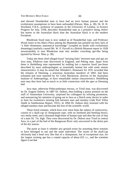and showed Neanderthal man to have had an erect human posture and the evolutionist assumptions to have been unfounded (Dewar, Man, p. 38). Dr. H. H. Woollard, F.R.S., professor of anatomy in the University of London, in Science Progress for July, 1938, describes Neanderthal man as a primitive being, below but nearer to the Australian black than the Australian black is to the modern European.

Rhodesian fossil man is now ranked as of Neanderthal type, and Professor Wood Jones in his Man's Place among the Mammals has pointed out how lack of "a little elementary anatomical knowledge" (coupled no doubt with evolutionist dreamings) similarly caused Mr. W. P. Pycraft in a British Museum report in 1928 unwarrantably to turn Rhodesian man into another crouching ape-like being (quoted by Dewar. Man, p. 38).

Today the three chief alleged fossil "missing links" between man and ape are Java man, Piltdown man discovered in England, and Peking man. Apart from these is Heidelberg man represented by nothing but a massive fossil jaw-bone described by most anthropologists as essentially human but with some simian characteristics. It may be noted that Whitaker's Almanack for 1931 recorded that the remains of Deeming, a notorious Australian murderer of 1892, had been exhumed and were reported by Sir Colin Mackenzie, director of the Australian Institute of Anthropology, to have remarkable simian characteristics. Heidelberg man may thus have had as much or as little connection with the apes as Deeming had.

Java man, otherwise Pithecanthropus erectus, or Trinil man, was discovered by Dr. Eugene Dubois. In 1887 Dr. Dubois, then holding a junior position on the staff of Amsterdam University, surprised his colleagues by refusing promotion, and announcing his intention of going out to Java as a Dutch army doctor in order to hunt for evolution's missing link between man and monkey (vide Prof. Elliot Smith in Smithsonian Report, 1931). In 1894 Dr. Dubois duly returned with his alleged monkey-man and became the lion of the scientific world.

These fossil remains, which have ever since been the subject of controversy, consist of a skull-cap of chimpanzee type, with no forehead and beetling brows; two molar teeth; and a diseased thigh-bone of human type and abut the size of that of a man 5ft. 7in. high. They were discovered by Dr. Dubois near Trinil in central Java, in a part of the bed of the Bangawan River only uncovered in the driest part of the dry season.

The point at issue is whether any ground exists for assuming these remains to have belonged to one and the same individual. The owner of the skull-cap obviously had a head very like that of a chimpanzee, but of exceptional size, for the largest existing ape has a cranial capacity of about 625 c.c., and the scientists figure it out that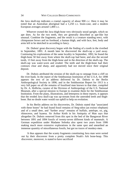the Java skull-top indicates a cranial capacity of about 900 c.c. Here it may be noted that an Australian aboriginal had a 1,250 c.c. brain-case, and a modern European averages around 1,400 c.c.

Whoever owned the Java thigh-bone very obviously stood upright, which no ape does. As for the two teeth, they are generally described as ape-like but unusual. Combine the fragments, and the result is a creature standing erect, with chimpanzee brows and no forehead, a human thigh, and with face, feet, body and arms left to be sketched in according to fancy.

Dr. Dubois' great discovery began with the finding of a tooth in the riverbed in September, 1891. A month later he discovered the skull-cap a yard away. Continuing his explorations of the same locality in September, 1892, he found the thigh-bone 50 feet away from where the skull-cap had been; and also the second tooth, 13 feet away from the thigh-bone and in the direction of the skull-cap. The skull-cap was water-worn and eroded. The teeth and the thigh-bone had their contours clear and sharp, and apparently had not moved since their original deposit.

Dr. Dubois attributed the erosion of the skull-cap to seepage from a cliff on the river-bank. In the report of the Smithsonian Institution of the U.S.A. for 1898 appears the text of an address delivered by Dr. Dubois to the Berlin Anthropological Society in 1896; and in the Smithsonian Report for 1913 is a very full paper on all the remains of fossilised man known to that date, compiled by Dr. A. Hrdlicka, curator of the Division of Anthropology of the U.S. National Museum, after a special mission to Europe to examine them for the Smithsonian Institution. From the plans, illustrations, and letterpress in these reports, it appears that the eroded Java skull-cap was up-stream from the uneroded teeth and thighbone. But no doubt water would run uphill to help on evolution.

In his Berlin address on his discoveries, Dr. Dubois stated that "associated with these bones" he had found fossil remains of Steg-odon (an extinct elephant) and of a small deer, and "further away" remains of buffalo, antelope, ox, pig, rhinoceros, and hyaena. Sir Arthur Keith in his Antiquity of Man says that altogether Dr. Dubois removed from this spot in the bed of the Bangawan River between 1891 and 1894 fossils of twenty-seven different kinds of mammals. A German expedition under Madame Selenka also spent two years from 1906 making much more extensive explorations in the same spot and unearthed an immense quantity of miscellaneous fossils, but got no traces of monkey-men.

It thus appears that the scanty fragments constituting Java man were sorted out by their discoverer from a pretty complete Noah's Ark bone-heap. This discoverer, moreover, is stated to have sacrificed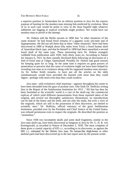a superior position in Amsterdam for an inferior position in Java for the express purpose of hunting for the monkey-man missing link predicted by evolution. Most of us in such case would be prone to view in the most hopeful light whatever oddments our digging in tropical riverbeds might produce. We would have our monkey-man or perish in the attempt.

Dr. Dubois told the Berlin savants in 1896 that "in other situations of the same stratum" he had found fossil remains of a gigantic scaly ant-eater and of hippopotamus. He did not tell them that in these "other situations" there had been discovered in 1889 at Wadjak about fifty miles from Trinil, a fossil human skull of Australian black type, and that he himself in 1890 had there unearthed a second fossil skull of the same type. These interesting facts Dr. Dubois strangely withheld from publication until 1920, fully thirty years on. According to Nature for January 6, 1921, he then casually disclosed them following on discussion of a find of fossil man at Talgai, Queensland. Possibly Dr. Dubois had good reasons for keeping quiet for so long. At the same time it requires no great powers of penetration to perceive that the cause of evolution might not have been helped by revealing true man as in existence along with his supposed monkey-man ancestor. As Sir Arthur Keith remarks, to have put all the articles on the table simultaneously would have provided the learned with more than they could digest—perhaps with more even than they could swallow.

Java man—still evolution's chief mainstay—appears throughout his career to have been shrouded from the gaze of profane eyes. One finds Dr. Hrdlicka writing thus in the Report of the Smithsonian Institution for 1913 : "All that has thus far been furnished to the scientific world is a cast of the skull-cap, the commercial replicas of which yield different measurements from those reported taken of the original, and several not thoroughly satisfactory illustrations: no reproductions can be had of the femur and the teeth, and not only the study, but even a view of the originals, which are still in the possession of their discoverer, are denied to scientific men." Dr. Hrdlicka, official emissary of the great Smithsonian Institution, presided over by the President and Chief Justice of the United States, was refused permission even to inspect the originals. He described the position as "anomalous."

Since 1936 two incomplete skulls and some skull fragments, similar to the Java man skull-cap, have been discovered at Sangiran in Java by Dr. G. H. R. von Koenigswald, as recorded in Nature of December 2, 1939. The most complete of these gives a cranial capacity of 835 c.c, according to its discoverer, as against the 900 c.c. estimated for the Dubois Java man. No human-like thigh-bones or other skeletal parts had been discovered up to the last report seen by the present writer.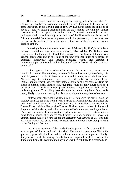There has never been the least agreement among scientific men that Dr. Dubois was justified in assuming his skull-cap and thighbone to belong to the same individual. In his Berlin paper of 1896 Dr. Dubois tabulated the opinions of about a score of leading scientific men on the remains, showing the utmost variance. Finally, to cap all, Dr. Dubois himself in 1938 announced that after prolonged study of anthropological textbooks, of the Pithecanthropus bones, and "of other material from the same provenance in his possession, for the most part not previously published," he was of opinion that "we are here concerned with a gigantic gibbon."

In making this announcement in its issue of February 26, 1938, Nature flatly refused to yield up Java man as evolution's prize exhibit. Dr. Dubois' new conclusions about his fossils, it said, had been received "with respect, but not with general acceptance; and in the light of the new evidence must be regarded as definitely disproved." This leading scientific journal then asserted : "Pithecanthropus now stands within the line of human descent, if only as a prehominoid."

It thus appears that the editor of Nature is a better authority on Java man than its discoverer. Nethertheless, whatever Pithecanthropus may have been, it is quite impossible for him to have been ancestral to man, as we shall see later. Nature's dogmatic statements, moreover, are extremely rash in view of Dr. Dubois' announcement that even after half a century he still has some cards up his sleeve in unpubli-cised Trinil fossils. Java man would probably never have been heard of, had Dr. Dubois in 1894 placed his two Wadjak human skulls on the table alongside his Trinil chimpanzee skull-cap and human thighbone. Java man is hardly likely to be abandoned by his discoverer without the very best of reasons.

Piltdown man, otherwise Eoanthropus, or Dawn man, is the next item on the monkey-man list. He hails from a fossil-bearing stratum six inches thick, near the bottom of a small gravel pit, four feet deep, used for metalling a by-road on the Sussex Downs, eight miles north of Lewes. Piltdown man consists of nine small fragments of skull-bone, and rather less than half of a chimpanzee-like jaw bone. There was not much of him altogether, and he was discovered in sections over a considerable period of years by Mr. Charles Dawson, solicitor of Lewes, an amateur fossil-hunter. Toward the end the assistance was secured of Dr. (later Sir) A. Smith Woodward, of the British Museum staff and soon afterwards president of the Geological Society.

This jig-saw puzzle was laboriously fitted together—so far as it would fit to form part of the top and back of a skull. The vacant spaces were filled with plaster of pans, with forehead and facial bones duly modelled in plaster. Finally, the jaw-bone, with its missing three-fifths also completed in plaster, was neatly hung on in front. The resulting monkey-man was then exhibited to a crowded and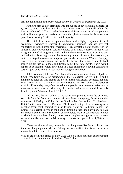sensational meeting of the Geological Society in London on December 18, 1912.

Piltdown man as first presented was announced to have a cranial capacity of 1,070 c.c, which puts him ahead of Java man's 900 c.c., but well below the Australian blacks' 1,250 c.c. He has been several times reconstructed—apparently with still more generous assistance from the plaster-pot—as he is nowadays quoted as measuring 1,300 c.c. in cranial capacity.

The chief of the numerous points at issue in this highly conjectural item of evolutionist evidence is whether the chimpanzee jawbone ever had any real connection with the human skull fragments. It is a debatable point, and there is the utmost diversity of opinion in scientific circles on it. There is reason for doubt, for along with the skull fragments and jaw-bone there were extracted from this sixinch wide fossil-bearing stratum the following things : A tooth of a mastodon, a tooth of a Stegedon (an extinct elephant previously unknown in Western Europe), two teeth of a hippopotamus, two teeth of a beaver, the femur of an elephant shaped up for use as a tool, and finally some flint implements. There would appear to be nothing wildly incredible in a real chimpanzee having contributed part of a jaw-bone to this miscellaneous zoological collection.

Piltdown man got the late Mr. Charles Dawson a monument, and helped Dr. Smith Woodward on to the presidency of the Geological Society in 1914 and a knighthood later on. His claims are by no means universally accepted, for one finds Professor Sir Grafton Elliot Smith stating in 1931 of this evolutionist exhibit: "Even today many Continental anthroplogists refuse even to refer to it in treatises on fossil man, or when they do, brush it aside as so doubtful that it is best to ignore it" (Nature, June 27, 1931).\*

Peking man, the final exhibit of the series, next presents himself to our view. He hails from the floor of a cave in a disused limestone quarry, thirty-five miles southwest of Peking in China. In the Smithsonian Report for 1931 Professor Elliot Smith stated that Dr. Davidson Black, on learning of the discovery of a peculiar fossil tooth somewhere near Peking, went out to China to join the Chinese Geological Survey in the hope of finding a fossil monkey-man. In 1929 Dr. Black made his first discovery of an incomplete skull. A considerable number of skulls have since been found, one or more complete enough to show the nose as broad and flat; and the cranial capacity of the skulls is put at from 1,000 c.c. to 1,100 c.c.

These remains so closely resembled the chimpanzee-like Java skull-cap that there was long argument whether Peking man was sufficiently distinct from Java man to be allotted a scientific name of

\* In an article in the Times of Nov. 21st 1953 a British Museum correspondent admitted the fraudulency of Piltdown Man. (Editor)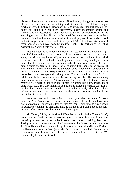his own. Eventually he was christened Sinanthropus, though some scientists affirmed that there was next to nothing to distinguish him from Pithecanthropus erectus of Java. In Nature of December 2, 1939, it was recorded that seven thighbones of Peking man had been discovered, mostly incomplete shafts, and according to the descriptive matter they lacked the human characteristics of the Java thigh-bone. Incidentally, it may be noted that along with Peking man there were also found in the cave floor remains of over fifty types of mammals, as well as fossil frogs, snakes, turtles, and birds. Up to 1930 no less than 1,475 cases of fossil bones were removed from the site (vide Prof. G. B. Barbour at the British Association, Nature, September 27, 1930).

Java man got his semi-human attributes by assumption that a human thighbone had belonged to a chimpanzee skull-cap. Peking man is Java man over again, but without any human thigh-bone. In view of the condition of uncritical credulity induced in the scientific mind by the evolution theory, the layman must be pardoned for wondering if the position is that Peking man climbs up to semihuman status on Java man's knees—or Java man's thigh-bone, to be precise. If such is the case, one can understand the total havoc which would be wrought in mankind's evolutionary ancestry were Dr. Dubois permitted to fling Java man to the wolves as a mere ape and nothing more. Not only would evolution's No. 1 exhibit vanish, but down with it would crash Peking man also. The sole remaining monkey-man would then be Piltdown man. And when the plaster of paris is removed how much is left of Piltdown man ? Nothing but a few fragments of bone which look as if they might all be packed up inside a breakfast cup. It may be that the editor of Nature scented this impending tragedy when he so flatly refused to part with Java man on any consideration whatsoever—not for all the Dr. Dubois in the world.

We now come to the final point. No matter just what Java man, Piltdown man, and Peking man may have been, it is quite impossible for them to have been ancestors of man. The reason is that full-fledged man, Homo sapiens, was already in existence, cooking his breakfast, making his tools, and going about his daily business when evolution's alleged missing links appeared.

Mr. Dewar, F.Z.S., in his More Difficulties of the Evolution Theory (p. 93) points out that fossils of men of modern type have been discovered in deposits "certainly at least as old as, probably older than" those containing Java man, Peking man, etc. He enumerates the Castenedolo, the Olmo, and the Calaveras fossil skulls, the Oldo-way and Clichy skeletons, and the Abbeville, the Foxhall, the Kanam and Kanjera fossil jaws. Mr. Dewar is an anti-evolutionist, and antievolutionists are beyond the pale in well-conducted scientific circles. We therefore lay his statements aside.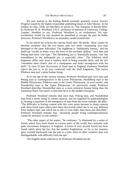We turn instead to the leading British scientific quarterly review Science Progress issued by the highly respectable publishing house of John Murray. In the number for July, 1938, we find there an article on "The Antiquity of Recent Man" by Professor H. H. Woollard, F.R.S., professor of anatomy at University College, London. Needless to say, Professor Woollard is an evolutionist. No antievolutionist would for one moment be permitted to occupy the post he holds. However, Professor Woollard is an unusually candid evolutionist.

In his article he reviews the various fossil men. He thinks "there cannot be absolute certainty" that the two bones, plus two teeth, constituting Java man belonged to the same individual. The thighbone is "indubitably human," and the skull-cap "recalls in many ways the form of the acrobatic gibbon." Java man and Peking man form "one type." The Heidelberg jaw is "essentially human," but "the resemblance to the anthropoid jaw is especially close." The Piltdown skull fragments differ only from a modern skull in being unsually thick, and the jaw "resembles most closely that of a chimpanzee and looks incongruous with the skull." In view of later discoveries of fossil man in England, Professor Woollard rejects the jaw as in no way connected with the skull fragments. This leaves Piltdown man just' a plain human being.

As to the age of the various remains, Professor Woollard puts Java man and Peking man as contemporaries in the Lower Pleistocene; Heidelberg man in the Middle Pleistocene; Piltdown man in the Lower Pleistocene, or even earlier; and Neanderthal man in the Upper Pleistocene. As previously stated, Professor Woollard describes Neanderthal man as a more primitive human being than the Australian black, but nearer to him than he is to the modern European.

Professor Woollard remarks that Java man, Peking man, and Neanderthal man form a series rising in cranial capacity, and are regarded by palaeontologists as forming a sequence in the emergence of man from the lower animals. He adds : "The difficulty in feeling content with this view arises because in sharp contrast with these fossil types others have been discovered which are in no way different from modern man, and which are as old, or even older, than those just described." Professor Woollard remarks that, "obviously people living contemporaneously cannot be ancestors to one another."

"The other aspect of the matter, "he continues, "is illustrated by a series of fossils which have been found in various parts of the world, but curiously with quite uncommon frequency in England. A series of very ancient fossils has been found which attest the fact that the modern Englishman, so far as his anatomy goes, extends backwards into the past to a time when in other countries man was distinguishable with difficulty from the ape."

The English skulls referred to by Professor Woollard are the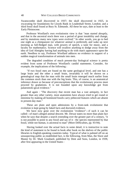Swanscombe skull discovered in 1937; the skull discovered in 1925, in excavating for foundations for Lloyds Bank in Leadenhall Street, London; and a third fossil skull found at Bury St. Edmunds. All these he says, date at least to the Early Pleistocene.

Professor Woollard's own evolutionist view is that "man started abruptly, and that in the ancestral stock there was a period of great instability and change, and by mutations many new types were evolved." In other words, you go to bed one night as a chimpanzee (or whatever animal is preferred), and wake up next morning as full-fledged man, with powers of speech, a taste for music, and a faculty for mathematics. Science will swallow anything to dodge away from the idea of God Almighty having had anything to do with man's appearance upon the earth. Needless to say, Professor Woollard adduces no evidence in support of a sudden magical transformation of animals into men.

The degraded condition of much present-day biological science is pretty evident from some of Professor Woollard's candid statements. Consider, for example, the implications of the following :

"If two fossil men are found on the same geological level, and one has a large brain and the other a small brain, invariably it will be shown on a genealogical map that the man with the small brain emerged much earlier from the common stock than one with the big brain. This, of course, is an anatomical inference drawn so because of preconceptions that the evolutionary process must proceed by gradations. It is not founded upon any knowledge got from palaeontolo-gical evidence."

And again : "The discovery that recent man has a vast antiquity, in fact greater than any other variety, most anatomists have always tried to get round or minimise by making all hominoid fossils carry pithecoid features which are absent in present-day man."

These are plain and open admissions by a front-rank evolutionist that evolution is kept going by faked facts and doctored evidence.

We have now gone over the evolutionist "evidence"—if such it can be called—of man's alleged animal descent. Mr. Dewar states no more than plain fact when he says that despite a search extending over the greater part of a century, "it is not possible to point to any fossil and say of it : the species represented by that fossil, while not human, is ancestral to man" (More Difficulties, pp. 93-94).

Having looked over the actual facts in some detail, it is instructive to note the kind of statement to be found in book after book on the shelves of the public libraries in English-speaking countries today. Typical of what is palmed off on an unsuspecting public as established fact, is the following, from Man, the Slave and Master by Dr. Mark Graubard, published by Dent and Sons, London, in 1939, after first appearing in the United States :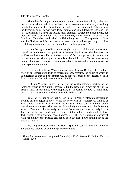"The oldest fossils pertaining to man, almost a true missing link, is the apeman of Java, with a brain intermediate in size between ape and man, yet walking upright like a man, as his skeletal structure indicated beyond a doubt. There is also the Piltdown or dawn-man with large canines-and small forehead and ape-like jaw. And finally we have the Peking man, definitely outside the genus homo, but more advanced than the ape. The oldest distinctly human fossil is probably that found near Heidelberg and called the Heidelberg man . . . The ape-man of Java and the Piltdown and Peking men all existed about a million years ago . . . The Heidelberg man roamed the earth about half a million years ago."

A suburban grocer selling under-weight butter or adulterated foodstuff is hauled before the courts and punished if detected, but it is nobody's business that reckless evolutionist rubbish, without a rag of fact to support it, is ground out wholesale on the printing presses to poison the public mind. To their everlasting honour there are a number of scientists who have refused to countenance the monkey-man fabrication.

Here is what Professor Wassmann says in his Modern Biology: "It is nothing short of an outrage upon truth to represent scanty remains, the origin of which is so uncertain as that of Pithecanthropus, as absolute proof of the descent of man from beasts in order to deceive the general public." .

Dr. Clark Wissler, Curator-in-Chief of the Anthropological Section of the American Museum of Natural History, said in the New York American of April 2, 1918 : "Man, like the horse, or the elephant, just happened anyhow . . . Man came out of a blue sky so far as we have been able to delve back."

Professor W. Branca, of Berlin, says in Fossil Man: ' Palaeontology tells us nothing on the subject, it knows of no ancestors of man." Professor J. Reinke, of Kiel University, says in his Monism and its Supporters: "We are merely having dust thrown in our eyes when we read in a widely circulated book the following words : 'That man is immediately descended from apes, and more remotely from a long line of the lower vertebrates, remains established as an indubitable historic fact, fraught with important consequences.' . . . The only statement, consistent with her dignity, that science can make, is to say she knows nothing about the origin of man."\*

Mr. Douglas Dewar says in his Man, a Special Creation: "The way in which the public is deluded by complete pictures of man's

<sup>\*</sup>These four statements are quoted from Major E. C. Wren's Evolution: Fact or Fiction? p. 68.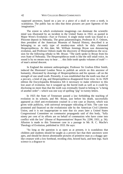supposed ancestors, based on a jaw or a piece of a skull or even a tooth, is scandalous. The public has no idea that these pictures are pure figments of the imagination."

The extent to which evolutionist imaginings can dominate the scientific mind was illustrated by an incident in the United States in 1922, as quoted in Major Wren's Evolution—Fact or Fiction} A single molar tooth was found in a Pliocene deposit in Nebraska. The great palaeontologist, Professor H. F. Osborn, then president of the American Museum of Natural History, described it as belonging to an early type of monkey-man which he duly christened Hesperopithecus. At this date, Mr. William Jennings Bryan was denouncing evolution, and Professor Osborn made the discovery of Heseropithecus the occasion for the following rebuke to Mr. Bryan: "The earth spoke to Bryan from his own State of Nebraska. The Hesperopithecus tooth is like the still small voice, its sound is by no means easy to hear . . . this little tooth speaks volumes of truth" of man's animal descent.

In England the eminent anthropologist, Professor Sir Grafton Elliot Smith, induced the Illustrated London News to publish an article on this ancestor of humanity, illustrated by drawings of Hesperopithecus and his spouse—all on the strength of one small tooth. Presently, it was established that the tooth was that of a peccary, a kind of pig, and Hesperopithecus disappeared from view. In its 1929 edition the Encyclopaedia Britannica felt it necessary to make reference to this lost asset of evolution, but it wrapped up the horrid truth as well as it could by disclosing no more than that the tooth was eventually found to belong to "a being of another order"—which was one way of spelling "pig" in twenty letters.

In 1925 the State of Tennessee passed a law forbidding the teaching of evolution in its schools, and Mr. Bryan, just before his death, successfully appeared as chief anti-evolutionist counsel in a test case at Dayton, which was given wide publicity, with universal newspaper ridiculing of him. The case was promoted and financed on the evolutionist side by the American Civil Liberties Union, and it is not inappropriate to note that six years later a United States Congressional Committee on communist propaganda said of this body, "fully ninety per cent of its efforts are on behalf of communists who have come into conflict with the law" (House of Representatives' Report No. 2290, 1931, p. 56). Allusion is made to this Tennessee case in a passage in Mr. R. C. Macfie's Theology of Evolution, published in 1933. He says:

"So long as the question is as open as at present, it is scandalous that children and students should be taught as a proven fact that their ancestors were apes, and should be shown abominable pictures of primitive man as a shaggy apelike creature with a low forehead, receding chin, bowed back, and bent legs. Such science is a disgrace to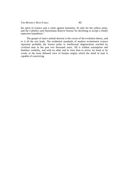THE MONKEY-MAN FABLE 43

the spirit of science and a crime against humanity, fit only for the yellow press, and the Catholics and Daytonians deserve honour for declining to accept a totally unproven hypothesis."

The gospel of man's animal descent is the crown of the evolution theory, and to it all the rest leads. The evidential standards of modern evolutionist science represent probably the lowest point in intellectual degeneration reached by civilised man in the past two thousand years. All is wildest assumption and limitless credulity, and with no other end in view than to arrive, by hook or by crook, at the most debased view of human origins which the mind of man is capable of conceiving.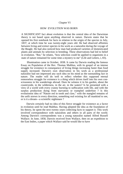# Chapter VI

## HOW EVOLUTION WAS BORN

A SIGNIFICANT fact about evolution is that the central idea of the Darwinian theory is not based upon anything observed in nature. Darwin states that he opened his first notebook for facts in relation to the origin of the species in July, 1837, at which time he was twenty-eight years old. He had observed affinities between living and extinct species in his work as a naturalist during the voyage of the Beagle. He had also noticed how man had produced varieties of domesticated plants and animals by selection in breeding. These observations had led to belief in evolution. "But," he relates, "how selection could be applied to organisms in a state of nature remained for some time a mystery to me" (Life and Letters, i, 83).

Illumination came in October, 1838. It came by Darwin reading the famous Essay on Population of the Rev. Thomas Malthus, with its gospel of an intense struggle for existence in consequence of living things increasing faster than food supply increased. Darwin's own observation in his work as a professional naturalist had not impressed any such idea on his mind as the outstanding fact in nature. The reader will do well to reflect whether this supposed eternal remorseless struggle for existence is a thing which drives itself into his own consciousness in his wanderings abroad. Does he witness it in his garden, about the countryside, in the wilderness, in the air, in the waters? Is he presented with a view of a world with every cranny bursting to suffocation with life, and with the surplus production dying from starvation or trampled underfoot ? Is this evolutionist idea of "Nature red in tooth and claw," with the mangled remains of the unfit strewn in every direction, something real existing for all mankind to see, or is it a dream—a scientific nightmare ?

Darwin certainly had no idea of this fierce struggle for existence as a factor in evolution until he read Malthus. Having adopted the idea as the foundation of his theory, he spent the next twenty years collecting facts to support it. This work involved correspondence with naturalists and others in all parts of the world. Among Darwin's correspondents was a young naturalist named Alfred Russell Wallace. In June, 1858, Darwin received from Wallace, then on an expedition to the East Indies, a paper which Wallace said he would like to have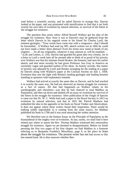read before a scientific society, and he asked Darwin to arrange this. Darwin looked at the paper, and was prostrated with mortification to find that it set forth exactly his own idea of evolution by natural selection, or survival of the fittest in the struggle for existence.

The question thus arises where Alfred Russell Wallace got his idea of the struggle for existence. How close it was to Darwin's may be gathered from the letter which Darwin in his anguish wrote to his friend Sir Charles Lyell, the eminent geologist : "Your words have come true with a vengeance—that I should be forestalled... if Wallace had read my MS. sketch written out in 1842 he could not have made a better short abstract! Even his terms now stand as heads of my chapters. . . So all my originality, whatever it may amount to, will be smashed. . . " (Life and Letters, ii, 116). Darwin had guarded his great idea very closely, for in a letter to Lyell a week later all he seemed able to think of as proof of his priority over Wallace was that his intimate friend Hooker, the botanist, had seen his earlier sketch, and that more recently he had given Professor Asa Gray in America an extremely vague and guarded outline of his ideas. As history records, this matter of priority was adjusted by Lyell and Hooker arranging for the reading of a paper by Darwin along with Wallace's paper at the Linnxan Society on July 1, 1858. Evolution thus saw the light with Britain's leading geologist and leading botanist standing as sponsors with explanatory remarks.

Wallace had arrived at exactly the same idea as Darwin, and he had reached it in exactly the same way. He had not observed an intense struggle for existence as a fact of nature. All that had happened—as Wallace relates in his autobiography and elsewhere—was that he had chanced to read Malthus on Population, and then sat down and dashed off an essay on evolution by survival of the fittest in the struggle for existence. After publication of the Origin of Species it came out that Dr. W. C. Wells had read a paper to the Royal Society in 1813 on evolution by natural selection, and that in 1831 Mr. Patrick Matthew had embodied the idea in the appendix to his book on Naval Timber and Aboriculture. It does not appear where these writers found their inspiration. There would be nothing wildly improbable in it coming from the same source, for Malthus published his book in 1798 and it was soon attracting the widest attention.

We therefore turn to the famous Essay on the Principle of Population as the fountainhead of the mighty river of evolution. At last, surely, we shall find it here related just where in nature the Rev. Thomas Malthus witnessed this remorseless struggle for existence. Again we are doomed to disappointment. Before we finish perusing the first two pages of his first chapter we find Malthus in a footnote referring us to Benjamin Franklin's Miscellany, page 9, as the place to learn about the struggle for existence. The present writer has not had access to this last-named book. He is thus unaware whether Ben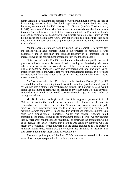jamin Franklin saw anything for himself, or whether he in turn derived the idea of living things increasing faster than food supply from yet another book. He notes, however, a statement in Buckle's History of Civilisation (World's Classics edition, ii, 247) that it was Voltaire who first threw out this foundation idea for so many theories. As Franklin was United States envoy and minister in France in Voltaire's day, and according to his biographers was intimate with Voltaire, it may be that he picked up the notion there. Our search for evolution's origins thus leads back once more to the peculiar brand of philosophy on which the French Revolution was incubated.

Malthus opens his famous book by stating that his object is "to investigate the causes which have hitherto impeded the progress of mankind towards happiness," and in particular "the constant tendency in all animated life to increase beyond the nourishment prepared for it." Malthus then adds :

"It is observed by Dr. Franklin that there is no bound to the prolific nature of plants or animals but what is made of their crowding and interfering with each other's means of subsistence. Were the face of the earth, he says, vacant of other plants, it might be gradually sowed and overspread with one kind only, as for instance with fennel; and were it empty of other inhabitants, it might in a few ages be replenished from one nation only, as for instance with Englishmen. This is incontrovertibly true. . ."

An Australian writer, Mr. O. C. Beale, in his National Decay (1910, p. 33) remarked that so far from being incontrovertible truth, the spread of fennel quoted by Malthus was a strange and venturesome untruth. No botanist, he said, would admit the statement as being true for fennel or any other plant. Nor had anybody knowledge that Englishmen could survive through ages all over India or throughout Africa.

Mr. Beale noted, to begin with, that this supposed profound truth of Malthus—in reality the foundation of the most colossal errors of all time—is remarkable for its laxities of expression. "Causes," for instance, cannot impede progress : only impediments impede. Is it so sure that there is a "progress of mankind towards happiness ?" In any case this abstract and intangible phrase is no basis for a proposition of importance. As for "the constant tendency in all animated life to increase beyond the nourishment prepared for it," we may assume that by "prepared" Malthus means "available," as otherwise the preparation would be in default. Mr. Beale remarks that Malthus was asked by someone what he meant by a "tendency" which nowhere had the effect ascribed to it. The question remained unanswered. Where was the evidence that mankind, for instance, had ever pressed upon the planet's limits of production ?

The social philosophy of the Rev. T. Malthus was expressed in its most naked form in a paragraph in his first edition, but which he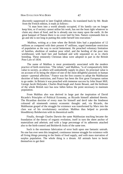discreetly suppressed in later English editions. As translated back by Mr. Beale from the French edition, it reads as follows :

"A man born into a world already occupied, if his family can no longer keep him, or if society cannot utilise his work, has not the least right whatever to claim any share of food, and he is already one too many upon the earth. At the great banquet of Nature there is no cover laid for him. Nature commands him to go and she is not long in putting this order herself into execution."

Malthus, writing at a time when the British Isles had a population of 12 millions as compared with their present 47 millions, urged immediate restriction of population as the way to social betterment. He preached voluntary limitation of families, abolition of outdoor poor relief, and the herding of the poor into workhouses with hard fare and husband and wife separated so as to check breeding. These eminently Christian ideas were adopted in part in the British Poor Law of 1834.

The name of Malthus is most prominently associated with the modern practice of birth restriction. "The infant," said Malthus, "is of comparatively little value to society, as others will undoubtedly supply its place. Its principal value is on account of its being the object of one of the most delightful passions in human nature—parental affection." France was the first country to adopt the Malthusian doctrine of baby restriction, and France has been the first great European nation to go under. In Britain it was preached with immense success by John Stuart Mill, George Jacob Holyoake, Charles Brad-laugh and Annie Besant, and the birthrate of the whole British race has now fallen below the point necessary to maintain population.

From Malthus also was derived in large part the inspiration of David Ricardo's Principles of Political Economy, as Ricardo himself admitted therein. The Ricardian doctrine of every man for himself and devil take the hindmost coloured all nineteenth century economic thought: and, via Ricardo, the Malthusian gospel of the struggle for existence was transformed by Marx into the class war of his revolutionary socialism. Malthus thus helped to provide bloodthirsty Bolshevism with its theoretical outfit.

Finally, through Charles Darwin the same Malthusian teaching became the foundation of the theory of organic evolution, itself in turn the sheet anchor of materialism and atheism; and with a large percentage of its adherents attached also to the birth-control and Bolshevik fruits of the same tree.

Such is the enormous fabrication of error built upon one fantastic untruth. No one has ever seen this imagined, continuous intense struggle for existence with all living things pressing to the limits of food supply, and with mass starvation of surplus population. The whole thing is a dream. All animals have to bestir themselves to get their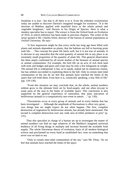breakfast it is true : but that is all there is to it. Even the orthodox evolutionists today are unable to discover Darwin's imagined struggle for existence. "It is the doctrine of Malthus applied with manifold force to the whole animal and vegetable kingdoms," said Darwin in his Origin of Species. Here is what a modern specialist has to report. The extract is from the Oxford book on Evolution of 1933, to which reference has been made in previous chapters. The writer of the essay quoted is Mr. Charles Elton, director of the bureau of animal populations at Oxford University. He says :

"A first impression might be that every niche has long ago been filled with plants and animals dependent on plants, that the habitats are full to bursting point with life. . . This concept fits plant life fairly well, but it is not true of animals. It is obvious to any naturalist that the total quantity of animal life in any place is an extremely small proportion of the quantity of plant life. This general observation has been amply confirmed by all recent studies of the biomass of animal species or animal communities. For example, the bird life on an acre of rich farm land with trees and hedges and grass and crops may be only a few kilograms in weight. The animal life is widespread, it has, so to speak, staked out its numerous claims, but has seldom succeeded in exploiting them to the full. Only in certain inter-tidal communities of the sea do we feel that animals have reached the limits of the space that will hold them. Even here it is, cosmically speaking, a tiny film of life" (pp. 129-130).

"From this situation we may conclude that, on the whole, animal numbers seldom grow to the ultimate limit set by food-supply, and not often (except in some parts of the sea) to the limits of available space. This conclusion is also supported by the general experience of naturalists, that mass starvation of herbivorous animals is a comparatively rare event in nature. . . " (p. 130).

"Fluctuations occur in every group of animals and in every habitat that has been investigated . . . Although the amplitude of fluctuations is often very great, . . .two things that we might expect do not often happen. The first, complete destruction of vegetation by herbivorous aninals, has already been mentioned. The second is complete destruction over any wide area of either predators or prey" (p. 131).

Thus this specialist in charge of a bureau set up to investigate the matter of animal numbers can find no sign whatever of the Malthus's imagined universal tendency of all living things to multiply and increase beyond the available food supply. The whole Darwinian theory of evolution, basis of all modern biological science and proclaimed on every hand as established fact, rests on something that never was on land or sea.

"Only in certain inter-tidal communities of the sea," says Mr. Elton, "do we feel that animals have reached the limits of the space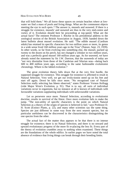that will hold them." We all know these spaces on certain beaches where at lowwater we find a mass of pools and living things. What are the commonest objects meeting the eye in such spots ? The answer is, mussels and seaweed. If there is a struggle for existence, mussels' and seaweed are thus in the very mid-centre and vortex of it. Evolution should here be proceeding at top-speed. What are the actual facts? The eminent Professor J. Ritchie in his presidential address to the zoological section of the British Association in August, 1939, handed down the latest bulletin about mussel evolution. He said: "The edible mussel (Cardium edule) has retained its specific characters for two million years or more, its genus in a wide sense lived 160 million years ago in the Trias" (Nature, Sept. 23, 1939). In other words, so far from evolving into something else, the mussel, packed up twenty to the dozen on his perch, has not changed a whisker in two million years, and was a perfectly good mussel 160 million years ago. As for seaweed, we have already noted the statement by Sir J.W. Dawson, that the seaweeds of today are "not very dissimilar from those of the Cambrian and Silurian seas—dating back 600 to 400 million years ago, according to the same fashionable evolutionist chronology. Where is the fabled evolution ?

The great evolution theory falls down flat at the very first hurdle, the supposed struggle for existence. This struggle for existence is affirmed to result in Natural Selection. Very well, we get our evolu-tionist steed up on his feet and start off again. Down he falls once more. "No recognised case of Natural Selection really selecting has bbeen observed," states Professor Vernon Kellogg (vide Major Wren's Evolution, p. 91). That is to say, all sorts of individual variations occur in organisms, but no instance at all is known of individuals with favourable variations supplanting individuals with unfavourable variations.

Let us persevere once more. Natural Selection, according to evolutionist doctrine, results in survival of the fittest. Once more evolution fails to make the jump. "The non-utility of specific characters is the point on which Natural Selection as a theory of the origin of species is believed to fail," says Professor D. H. Scott (Extinct Plants, p. 22), and many other scientists say the same thing. Species are just different in some way from the next nearest species, but no particular usefulness can be discovered in the characteristics distinguishing the one species from the other.

The actual fact of the matter thus appears to be that there is no intense struggle for existence; there is no Natual Selection; and there is no onward and upward evolutionary progress of the more fit re-placing the less fit. Every part of the theory of evolution crumbles away to nothing when examined. These things are the foundations of the whole edifice. In earlier pages we have noted the total absence of evidence that living things can break through their breeding limits.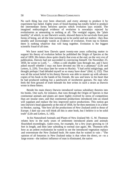No such thing has ever been observed, and every attempt to produce it by experiment has failed. Eighty years of fossil-hunting has totally failed to produce the intermediate forms between species which evolution says existed. The imagined embryological evidence of evolution is nowadays rejected by evolutionists as amounting to nothing at all. The vestigial organs, the "plain inutility" of which, to use Darwin's words, showed them to be survivals from past forms of being, are all the time turning out to be useful and not useless : they thus steadily and increasingly vanish as evidence of evolution. From top to bottom there is nothing whatever that will hang together. Evolution is the biggest scientific fraud of all time.

We have noted how Darwin spent twenty-one years collecting matter to support his theory of evolution before he published the Origin of Species at the end of 1859. His letters show quite clearly that even at the end, on the very eve of publication, Darwin had not succeeded in convincing himself. On November 23, 1859, he wrote to Lyell, ". . . Often a cold shudder runs through me, and I have asked myself whether I may not have devoted my life to a phantasy" (Life and Letters, ii, 229). Two days later he wrote to Huxley. "I had awful misgivings, and thought perhaps I had deluded myself as so many have done" (ibid, ii, 232). That was all the actual belief in his theory Darwin was able to muster up with advance copies of his book in the hands of his friends. He saw and knew in his heart that he had produced nothing but a patchwork of incoherent guesses. No man who feels the firm ground of truth beneath his feet writes in such a strain as Darwin wrote in these letters.

Beside his main theory Darwin introduced various subsidiary theories into his books. One such, for instance, that runs through the Origin of Species is that continental animals and plants are more highly evolved by stress of competition than are insular ones; and that continental productions introduced into an island will supplant and replace the less improved native productions. This notion got into Darwin's head apparently at the end of 1858, for he then mentions it in a letter to Hooker, saying, "See how all the productions of New Zealand yield to those of Europe. I dare say you will think all this is utter bosh, but I believe it to be solid truth" (Life and Letters, ii, 143).

In his Naturalised Animals and Plants of New Zealand Mr. G. M. Thomson relates how in the early years of settlement introduced plants and animals flourished exceedingly, water-cress, for example, for a few years growing to 14 feet in length, and then later subsiding to normal size again. Mr. Thomson tells how as an ardent evolutionist he waited to see the introduced vegetation replace and exterminate the New Zealand bush. He states that he waited in vain : "The opinion of all botanists in New Zealand today is that when the direct, or—to a large extent—the indirect influence of man is eliminated, the native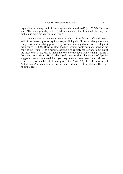vegetation can always hold its own against the introduced" (pp. 527-8). He says also, "The same probably holds good to some extent with animal life, only the problem is more difficult to follow out."

Darwin's son, Sir Francis Darwin, as editor of his father's Life and Letters said of the paternal propensity for theory-building that "it was as though he were charged with a theorising power ready to flow into any channel on the slightest disturbance" (i, 149). Darwin's elder brother Erasmus wrote back after reading his copy of the Origin: "The a priori reasoning is so entirely satisfactory to me that if the facts won't fit in, why so much the worse for the facts is my feeling" (ii, 233). Darwin's close friend, Sir Charles Lyell, after reading the Origin of Species suggested that in a future edition, "you may here and there insert an actual case to relieve the vast number of abstract propositions" (ii, 206). It is this absence of "actual cases," of course, which is the entire difficulty with evolution. There are no actual cases.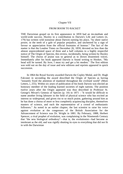### Chapter VII

### FROM BOOM TO RACKET

THE Darwinian gospel on its first appearance in 1859 had an im-mediate and world-wide success. Huxley in a contribution to Darwin's Life and Letters (ii, 179) has written wild nonsense about Darwin earning his place, "by sheer native power, in the teeth of a gale of popular prejudice, and uncheered by a sign of favour or appreciation from the official fountains of honour." The fact of the matter is that the London Times on December 26, 1859, devoted no less than the almost unprecedented space of three and a half columns to a highly respectful notice of The Origin of Species, this review, incidentally, being written by Huxley himself. The chorus of praise was so general as to drown dissentient voices. Immediately after his book appeared Darwin is found writing to Hooker, "My head will be turned. By Jove, I must try and get a bit modest." The first edition was sold out on the day of issue and new editions and reprints appeared in quick succession.

In 1864 the Royal Society awarded Darwin the Copley Medal, and Dr. Hugh Falconer in seconding the award described the Origin of Species as having "instantly fixed the attention of mankind throughout the civilised world" (More Letters, i, 255). Within six years of publication of his book Darwin was elected an honorary member of the leading learned societies of eight nations. The position twelve years after the Origin appeared was thus described in Professor St. George's Mivart's Genesis of Species (p. 10) in 1871 : "It would be difficult to name another living labourer in the field of physical science who has excited an interest so widespread, and given rist to so much praise, gathering around him as he has done a chorus of more or less completely acquiescing disciples, themselves masters of science, and each the representative of a crowd of enthusiastic followers." As noted in an earlier chapter, the last scientist to raise his voice against evolution at the congresses of the British Association for the Advancement of Science was Dr. Wright in 1881. By February, 1888, Herbert Spencer, a rival prophet of evolution, was complaining in the Nineteenth Century that "the new biological orthodoxy"—that is, the evolutionist—had become as intolerant as the old, and was rigidly shutting its eyes to everything that did not fit in with the Darwinian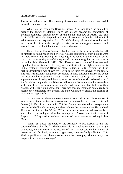#### FROM BOOM TO RACKET 53

idea of natural selection. The booming of evolution remains the most successful scientific stunt on record.

What was the reason for Darwin's success ? For one thing, he applied to science the gospel of Malthus which had already become the foundation of political economy. Ricardo's theory of rent and his "iron law of wages," etc., and J. S. Mill's similarly inspired writings all received valuable philosophical reinforcement and expansion from Darwin's theory of natural selection and survival of the fittest in the struggle for existence, with a supposed onwards and upwards march to illimitable improvement and progress.

These ideas of Darwin's also enabled any successful man to justify himself to himself in riding rough-shod over his weaker competitors. Such notions were far more comforting teaching than anything to be found in the sayings of Jesus Christ. As John Morley gracefully expressed it in reviewing the Descent of Man in the Pall Mall Gazette in 1871 : "Mr. Darwin's work is one of those rare and capital achievements which effect a grave modification in the highest departments in the realm of opinion" (Darwin's More Letters, i, 324). Everyone in these highest departments was shown by Darwin to be there by survival of the fittest. The idea was naturally completely acceptable in these elevated quarters. No doubt this was another instance of what Darwin's More Letters (i, 71), calls "his supreme power of seeing and thinking what the rest of the world had overlooked." As Darwinism taught that the Bible was all astray in its statements, it also made a wide appeal to those advanced and enlightened people who had had more than enough of the Ten Commandments. There was thus an enormous public ready to receive the comfortable new gospel, and quite willing to overlook the absence of any facts in support of it.

In some quarters there was resistance to Darwin's doctrine. The scientists of France were about the last to be converted, as is recorded in Darwin's Life and Letters (iii, 224). It was not until 1878 that Darwin was elected a corresponding member of the French Institute, and then only on the botanical side. He received 26 votes out of a possible 39. In 1872 an unsuccessful attempt had been made to elect him to the zoological side, but he only got 15 votes out of 48. Nature of August 1, 1872, quoted an eminent member of the Academy as writing in Les Mondes:

"What has closed the doors of the Academy to Mr. Darwin is that the science of those of his books which have made his chief title to fame—the Origin of Species, and still more so the Descent of Man --is not science, but a mass of assertions and absolutely gratuitous hypotheses, often evidently fallacious. This kind of publication and these theories are a bad example, which a body that respects itself cannot encourage."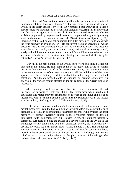In Britain and America there were a small number of scientists who refused to accept evolution. Professor Fleeming Jenkin, an engineer, in an article on the Origin in the North British Review in 1867 remarked that Darwin's idea that a species could be modified by a favourable variation occurring in an individual was the same as arguing that the arrival of one ship-wrecked European sailor on an island populated by negroes would result in the population gradually turning white in the course of a century or two (vide Mivart's Genesis of Species, p. 58). Fleeming Jenkin said he did not anticipate this little difficulty would embarrass the "true believer" in evolution, for : "He can invent trains of ancestors of whose existence there is no evidence; he can call up continents, floods, and peculiar atmospheres; he can dry up oceans, split islands, and parcel out eternity at will; surely with all these advantages he must be a dull fellow if he cannot scheme out a series of animals and circumstances explaining our assumed difficulty quite naturally." (Darwin's Life and Letters, iii,  $108$ ).

Darwin in the next edition of the Origin set to work and tidily patched up this rent in his theory. He said there could be no doubt that owing to similar organisms being similarly acted on by external conditions, "the tendency to vary in the same manner has often been so strong that all the individuals of the same species have been similarly modified without the aid of any form of natural selection." Any theory needed could be supplied on demand apparently. An analysis of the various repairs effected in the six editions of the Origin would be instructive.

After reading a well-known work by his fellow evolutionist, Herbert Spencer, Darwin wrote to Hooker in 1866 : "I feel rather mean when I read him; I could hear, and rather enjoy the feeling that he is twice as ingenious and clever as myself, but when I feel he is about a dozen times my superior, even in the master art of wriggling, I feel aggrieved . . ." (Life and Letters, iii, 55).

Disbelief in evolution is today regarded as a sign of crankiness and serious mental incapacity. From the five volumes of Darwin's letters one gathers that such disbelief also results in degeneration of character, for those who criticise the great man's views almost invariably appear in these volumes rapidly to develop unpleasant traits in personaility. Sir Richard Owen, the eminent naturalist, commonly suspected of being the author of a severe slating of the Origin in the Edinburgh Review, turns out to be a most unpleasant person, and "mad with envy because my book has been talked about" (More Letters, i, 149). The Edinburgh Review article had the audacity to say, "Lasting and fruitful conclusions have, indeed, hitherto been based only on the possession of knowledge; now we are called upon to accept an hypothesis on the plea of want of knowledge. The geological record is so imperfect! " (ibid, i, 146).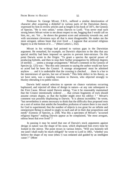Professor St. George Mivart, F.R.S., suffered a similar deterioration of character after acquiring a disbelief in various parts of the Darwinian theory, expressed by him in review articles and at length in his book of 1871, the Genesis of Species. "He is very unfair," writes Darwin to Lyell. "You never read such strong letters Mivart wrote to me about respect to me, begging that I would call on him, etc., etc. Yet ... he shows the greatest scorn and animosity towards me, and with uncommon cleverness says all that is most disagreeable. He makes me the most arrogant, odious beast that ever lived ... I suppose that accursed religious bigotry is at the bottom of it . . ." (More Letters i, 332).

Mivart in his writings had pointed to various gaps in the Darwinian argument. He remarked, for example, on Darwin's objection to the idea that any special sterility had been imposed on species to prevent inter-mixture. On this point Darwin wrote in the Origin: "To grant a species the special power of producing hybrids, and then to stop their further propagation by different degrees of sterility . . . seems a strange arrangement." Mivart's comment in his Genesis of Species (p. 125) was : "But this only amounts to saying the author would not have so acted had he been the Creator. 'A strange arrangement' must be admitted anyhow . . . and it is undeniable that the crossing is checked . . . there is a bar to the intermixture of species, but not of breeds." This little defect in his theory, as we have seen, was a standing vexation to Darwin, who objected strongly to Huxley obtruding it to public notice.

Darwin held natural selection to operate on chance variations occurring haphazard, and rejected all ideas of design in nature—at any rate subsequent to the First Cause. Mivart noted Darwin asking, "Can it be reasonably maintained that the Creator intentionally ordered . . . that certain fragments of rock should assume certain shapes, so that the builder might erect his edifice ? " Mivart's comment was possibly displeasing to Darwin. "It is almost incredible," he wrote, "but nevertheless it seems necessary to think that the difficulty thus proposed rests on a sort of notion that amidst the boundless profusion of nature there is too much for God to superintend; that the number of objects is too great for an infinite and omnipresent Being to attend to singly to each and all in their due proportions and needs" (Genesis of Species, p. 258). Was this a specimen of Mivart's "accursed religious bigotry" making Darwin appear as he complained, "the most arrogant, odious beast that ever lived" ?

In passing it may be noted that one of Darwin's stock arguments against design in nature was the shape of his nose, which displeased him every time he looked in the mirror. The point recurs in various letters. "Will you honestly tell me (and I shall really be much obliged)" he wrote to Lyell in 1861, "whether you believe the shape of my nose (eheu !) was ordained and guided by an intelligent cause ? " (More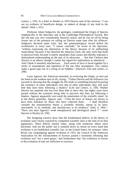Letters, i, 193). In a letter to Hooker in 1870 Darwin said of the universe, "I can see no evidence of beneficent design, or indeed of design of any kind in the details" (ibid, i, 321).

Professor Adam Sedgwick, the geologist, condemned the Origin of Species emphatically in the Spectator and at the Cambridge Philosophical Society. But the old man was very considerably Darwin's senior, and he was let off by being frozen out of the presence on calling on Darwin some time after his offences. Sedgwick declared quite truly, that the palaeontological record defied the evolutionist at every turn. "I cannot conclude," he wrote in the Spectator, "without expressing my detestation of the theory, because of its unflinching materialism; because it has deserted the inductive track, the only track that leads to physical truth; because it utterly repudiates final causes and thereby indicates a demoralised understanding on the part of its advocates. . . Not that I believe that Darwin is an atheist, though I cannot but regard his materialism as atheistical. . . And I think it intensely mischievous. . . Each series of facts is laced together by a series of assumptions and repetition of the one false assumption. You cannot make a good rope out of a string of air bubbles." (Darwin's Life and Letters, ii, 298).

Louis Agassiz, the American naturalist, in reviewing the Origin, at once put his hand on the weakest spot of all, saying : "Unless Darwin and his followers can succeed in showing that the struggle for life tends to something beyond favouring the existence of some individuals over that of other individuals, they will soon find they have been following a shadow" [Life and Letters, ii, 330). Neither Darwin nor anybody else has ever been able to show this, but eighty years have passed without the scientists being able to perceive that they are following a shadow. Agassiz apparently over-rated the penetration of the scientific mind. As to the theory generally, Agassiz said : "Until the facts of Nature are shown to have been mistaken by those who have collected them. . . I shall therefore consider the transmutation theory a scientific mistake, untrue in its facts, unscientific in its methods, and mischievous in its tendency" (ibid, ii, 184)— "Have you seen Agassiz's weak metaphysical and theological attack ? " wrote Darwin to Huxley (ii, 330).

The foregoing extracts show that the fundamental defects of the theory of evolution were clearly exposed by competent scientific men at the time of its first appearance. These defects remain today, along with numerous others since disclosed. And yet the public has it rammed down its throat on every hand that evolution is an established scientific fact. In the United States, for instance, when Bryan was campaigning against evolution in 1922, the council of the American Association for the Advancement of Science passed a resolution affirming that evolution was "not a mere guess," and furthermore that "the evidences in favour of the evolution of man are sufficient to convince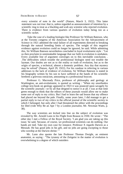every scientist of note in the world" (Nature, March 3, 1922). This latter statement was not true: that is, unless regarded as announcement of intention by a scientific ring to treat as a blackleg and scab any scientist who rejected evolution. There is evidence from various quarters of evolution today being run as a scientific racket.

Take the case of a leading biologist like Professor Sir William Bateson, who at the Toronto congress of the American Association for the Advancement of Science in 1921 admitted the total failure of all experiments directed to breaking through the natural breeding limits of species. The weight of this negative evidence against evolution could no longer be ignored, he said. While admitting this, Sir William Bateson nevertheless concluded in loyal evolutionist style : "Let us then proclaim in unmistakable language that our faith in evolution is unshaken. Every available line of argument converges on to this inevitable conclusion. . .The difficulties which trouble the professional biologist need not trouble the layman. Our doubts are not as to the reality or truth of evolution, but as to the origin of species, a technical, almost a domestic problem. Any day that mystery may be solved" (Nature, April 29, 1922). For his candour in referring in various addresses to the lack of evidence of evolution, Sir William Bateson is stated in his biography written by his son to have suffered at the hands of his scientific brethren a grievous ostracism, amounting to a professional boycott.

Professor G. Macready Price, professor of philosophy and geology at Washington, an anti-evolutionist, is quoted as writing : "When my unorthodox" college text-book on geology appeared in 1923 it was pounced upon savagely by the scientific journals—or by all that deigned to notice it at all. I was at that time green enough to think that the editors of these journals would allow me to make some sort of reply to my critics. But I had to learn the sad lesson that my offence had placed me beyond the pale. Finally, some years later, I did manage to get a partial reply to two of my critics in the official journal of the scientific society to which I belonged, but only after I had threatened the editor with the proceedings for libel (vide Why Be an Ape ? by a London journalist, Mr. Newman Watts, p. 38).

The way scientists are kicked into line on the subject of evolution was revealed by Mr. Arnold Lunn in his Flight from Reason in 1930. He wrote : "The other day I met a Fellow of the Royal Society. 'I am glad you are taking up this issue,' he said, 'because, of course, we professional scientists can do nothing. Our hands are tied. Take my own case for instance. Professor X regards Darwin as a Messiah. He has good jobs in his gift, and no jobs are going excepting to those who worship at the Darwin shrine.'"

Mr. Lunn also quotes the late Professor Thomas Dwight, an eminent anatomist, as saying : "The tyranny of the Zeitgeist in the matter of evolution is overwhelming to a degree of which outsiders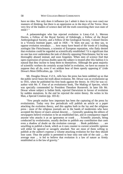have no idea. Not only does it influence (as I admit it does in my own case) our manners of thinking, but there is an oppression as in the days of the Terror. How very few of the leaders of science dare tell the truth concerning their own state of mind ! "

A palaeontologist who has rejected evolution is Lieut.-Col. L. Merson Davies, a Fellow of the Royal Society of Edinbrugh, a Fellow of the Royal Anthropological Society, and a Fellow of the Geological Society. Colonel Davies in a Victoria Institute paper, said in 1926 : "It 'does not pay,' as they say, to oppose evolution nowadays . . . how many have heard of the words of a leading zoologist like Fleischmann, a scientist of European reputation, who flatly denied that evolution could be regarded as scientifically established ? It is significant that no one has ever undertaken the task of directly opposing Fleischmann; but he was thoroughly abused instead, and soon forgotten. When men of science find that open expression of serious doubts upon the subject is treated after this fashion it is natural that they incline to keep them to themselves. Although the great majority of scientific workers do certainly accept belief in evolution, we have no reason to suppose they all do, even if we seldom hear of them openly opposing it" (vide Dewar's More Difficulties, pp. 124-5).

Mr. Douglas Dewar, F.Z.S., tells how the press has been nobbled up so that the public never hears the truth about evolution. Mr. Dewar was an evolutionist up to 1931, when he published his first book against the theory. In 1912 he was coauthor with Mr. F. Finn of an evolutionist book, The Making of Species, which was specially commended by President Theodore Roosevelt. In later life Mr. Dewar whose subject is Indian birds, rejected Darwinism in favour of evolution by sudden mutations. In the end he rejected the entire theory. He writes in his Man, a Special Creation (pp. 103-4) :

"Few people realise how important has been the capturing of the press by evolutionists. Today very few periodicals will publish an article or a paper attacking the evolution theory, and this applies both to the lay and the religious press : most of the religious journals are in the hands of modernists who have accepted the theory of man's animal descent . . . Generally speaking the editors of newspapers believe evolution to be an established fact, and in consequence regard anyone who attacks it as an ignoramus or crank . . . Scientific journals, being conducted by evolutionists, usually decline to publish any contribution that casts even a shadow of doubt on the evolution concept. . . Book publishers . . . are unwilling to publish a book, which as it runs counter to current scientific opinion will either be ignored or savagely attacked. Nor are most of them willing to publish at the author's expense a volume attacking evolution for fear they should lose caste. Thus the public is permitted to hear only one side of the case .... the average man ... is led to believe that evolution is a law of nature as firmly established as is the law of gravity."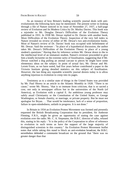As an instance of how Britain's leading scientific journal deals with antievolutionists the following facts may be mentioned. The present writer in looking through a file of Nature noticed in its issue of November 27, 1937, a half-page review of Evolution and Its Modern Critics by Dr. Morley Davies. This book was a rejoinder to Mr. Douglas Dewar's Difficulties of the Evolution Theory published in 1931. In 1938 Mr. Dewar replied to Dr. Davies with another book, More Difficulties of the Evolution Theory. Inspection of the very full index to Nature revealed no review of either of Mr. Dewar's two anti-evolutionist books. Most of Nature's review of Dr. Davies' book was occupied with belittlement of Mr. Dewar. Said the reviewer : "In place of a hypothetical discussion, the author takes Mr. Dewar's Difficulties of the Evolution Theory in place of a young student's questions." Having thus by inference written Mr. Dewar down to the to the intellectual level of an immature student, Nature's reviewer proceeded to give him a kindly lecturette on the extreme rarity of fossilisation, suggesting that if Mr. Dewar watched a dog pulling an animal carcase to pieces he might have some elementary ideas on the subject. In point of actual fact, Mr. Dewar and Mr. Levett-Yeats, as we have noted, had five years before contributed a paper to the Victoria Institute giving detailed statistics on this subject of fossilisation. However, the last thing any reputable scientific journal desires today is to allow anything injurious to evolution to creep into its pages.

Testimony as to a similar state of things in the United States was provided by Mr. Paul Shorey in an article in the Atlantic Monthly in 1928. "There is no cause," wrote Mr. Shorey, "that is so immune from criticism, that is so sacred a cow, not only in newspaper offices but in the universities of the North (of America), as Evolution with a capital E. An ambitious young professor may safely assail Christianity or the Constitution of the United States, or George Washington, or female chastity, or marriage, or private property. But he must not apologise for Bryan. . . That would be intolerance, lack of a sense of proportion, failure in open-mindedness, unfaith in progress. It is not done."

In Britain in 1934 an Evolution Protest Movement was formed and presently requested the British Broadcasting Corporation that its president, Sir Ambrose Fleming, F.R.S., might be given an opportunity of stating the case against evolution over the radio. Mr. C. A. Siepmann, the B.B.C. director of talks, refused this, stating in his reply : "It is the policy of the Corporation to allow of reference to evolution in such terms as have the support of the large majority of distinguished scientists in this country." An Evolution Protest Movement leaflet notes that while taking this stand to block an anti-evolution broadcast, the B.B.C. nevertheless defended a communist broadcast on the ground that "there was no greater danger than that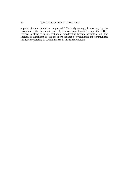a point of view should be suppressed." Curiously enough, it was only by the invention of the thermionic valve by Sir Ambrose Fleming, whom the B.B.C. refused to allow to speak, that radio broadcasting became possible at all. The incident is significant as just one more instance of evolutionist and communistic influences operating in double harness in influential quarters.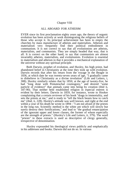## Chapter VIII

## ALL ABOARD FOR ATHEISM

EVER since its first proclamation eighty years ago, the theory of organic evolution has been actively at work disintegrating the religious beliefs of those who accept it. Its principal achievement has been to empty the churches by mass manufacture of atheists and materialists. Atheism and materialism very frequently find their political embodiment in communism. It is not correct to say that all evolutionists are atheists, materialists, and communists. They are simply headed that way, that is all. It is correct on the other hand, to say that communists are almost invariably atheists, materialists, and evolutionists. Evolution is essential to materialism and atheism in that it provides a mechanical explanation of the universe without any spiritual principle.

Both Darwin, prophet of evolution, and Huxley, his high priest, had abandoned belief in Christianity at the time they took up with evolution. Darwin records that after his return from the voyage in the Beagle in 1836, at which date he was twenty-seven years of age, "I gradually came to disbelieve in Christianity as a divine revelation" (Life and Letters, i, 308). Huxley similarly relates that by 1850, at the age of twenty-five, he had "long done with Pentateuchal cosmogony," and desired "some particle of evidence" that animals came into being by creation (ibid ii, 187-90). That neither held established religion in especial esteem is evident by their letters. Darwin in 1859, for instance, wrote to Hooker complaining that a certain reviewer of his book "drags in immortality, and sets the priests at me," and is ready to "tell the black beasts how to catch me" (ibid, ii, 228). Huxley's attitude was well known, and right at the end within a year of his death he wrote in 1894 : "I am not afraid of the priests in the long run. Scientific method is the white ant which will slowly but surely destroy their fortifications," and lead to "the gradual emancipation of the ignorant upper and lower classes, the former of whom especially are the strength of priests." (Huxley's Life and Letters, ii, 379). The word "priests" in these extracts is used as descriptive of clergy generally, irrespective of denomination.

Huxley expounded his theological views publicly and emphatically in his addresses and books. Darwin did not do so. In various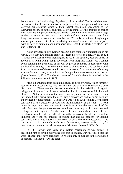letters he is to be found stating, "My theory is in a muddle." The fact of the matter seems to be that his own intuitive feelings for a long time prevented him from carrying his scientific views to their logical conclusion. According to the Darwinian theory of natural selection all living things are the product of chance variations without purpose or design. Modern evolutionists carry the idea a stage further, regarding life itself as a chance product of inorganic matter. Darwin for a long time refused to accept this idea, but in 1871 he is to be found imagining a chance generation of life from non-living matter—"in some little warm pond, with all sorts of ammonia and phosphoric salts, light, heat, electricity, etc." (Life and Letters, iii, 18).

As he advanced in life, Darwin became more completely materialistic in his views. Less than two months before his death he wrote on February 28, 1882 : "Though no evidence worth anything has as yet, in my opinion, been advanced in favour of a living being, being developed from inorganic matter, yet I cannot avoid believing the possibility of this will be proved some day in accordance with the law of continuity. . . Whether the existence of a conscious God can be proved from the existence of the so-called laws of nature (i.e., fixed sequences of events) is a perplexing subject, on which I have thought, but cannot see my way clearly" (More Letters, ii, 171). The chaotic nature of Darwin's views is revealed in the following statement made in 1879 :

"The old argument from design in Nature, as given by Paley, which formerly seemed to me so conclusive, fails now that the law of natural selection has been discovered. . . There seems to be no more design in the variability of organic beings, and in the action of natural selection than in the course which the wind blows. . . At the present day the most usual argument for the existence of an intelligent God is drawn from the deep inward convictions and feelings which are experienced by most persons. . . Formerly I was led by such feelings ...to the firm conviction of the existence of God and the immortality of the soul. . . I well remember my conviction that there is more in man than the mere breath of the body. But now the grandest scenes would not cause any such conviction and feelings to rise in my mind. Another source of conviction in the existence of God. . . follows from the extreme difficulty, or rather impossibility, of conceiving this immense and wonderful universe, including man and his capacity for looking backwards and far into futurity, as the result of blind chance or necessity. . . This conclusion . . . has gradually, with many fluctuations, become weaker. . . I, for one, must be content to remain an Agnostic" (Life and Letters, i, 309-12).

In 1881 Darwin was asked if a certain correspondent was correct in describing him as saying everything was due to chance. Darwin replied that the word "chance" must have been used "in relation only to purpose in the origination of species." He added : "On the other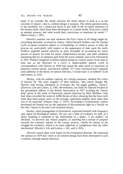hand, if we consider the whole universe the mind refuses to look at it as the outcome of chance—that is, without design or purpose. The whole question seems to me insoluble, for I cannot put much or any faith in the so-called intuitions of the human mind, which have been developed, as I cannot doubt, from such a mind as animals possess; and what would their convictions or intuitions be worth ? " (More Letters, i, 395).

Darwin's position was that whatever the First Cause of all things might be, everything thereafter occurred by chance. Alfred Russell Wallace and Sir Charles Lyell accepted evolution subject to in-breathings of creative power to help the process on, particularly with respect to the appearance of man upon the earth. Wallace regarded natural selection as quite incapable of accounting for man's powers of speech, his taste for music, mathematical faculty, and other attributes separating him by an immense gulf from the lower animals, and in his Darwinism in 1901 Wallace imagined evolution helped along by creative power from time to time just as the direction of a curve is imperceptibly altered. Lyell in correspondence with Darwin in 1859 had raised the same point of injections of primeval creative power, and Darwin replied, "If I were convinced that I required such additions to the theory of natural selection, I would reject it as rubbish" (Life and Letters, ii, 210).

Huxley, with his endless capacity for writing nonsense, rebuked the critics of Darwin for "the most singular" of their fallacies, "that which charges Mr. Darwin with having attempted to re-instate the old pagan goddess, Chance" (Darwin's Life and Letters, ii, 199). Nevertheless, one finds Sir Edward Poulton in his presidential address to the British Association in 1937 recalling the "heroic help" given in the study of Darwinian natural selection by Miss Welldon "who four times recorded the result of 4,096 throws of dice, showing that the faces with more than three points were, on the average, uppermost slightly more often than was to be expected" (Nature, Sept. 4, 1937). According to evolutionists, chance developed the human eye by the operation of discontinuous light on a freckle on the skin. Chance is the only God evolution knows.

Huxley, chief propagandist of Darwinism, expressed himself with frequency and vigour on theological matters. He saw not a tittle of evidence, he said, of a Deity standing to mankind in the relationship of a father. "I am unable," he declared, "to discover any 'moral' purpose, or anything but a stream of purpose towards the consum? mation of the cosmic process, chiefly by means of the struggle for existence, which is no more righteous or unrighteous than any other mechanism" (Huxley's Life and Letters, i, 241, and ii, 303).

Darwin's moral ideas were based on his evolutionist doctrine. He expressed the opinion in 1879 that "most or all sentient beings have been developed in such a manner, through natural selection,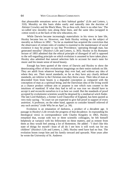that pleasurable sensations serve as their habitual guides" (Life and Letters, i, 310). Morality on this basis slides easily and naturally into the doctrine of Aleister Crowley and the Black Mass, 'Do as thou wilt, there is no other law.' The so-called new morality runs along these lines, and the same idea (wrapped in cotton wool) is at the back of the new education, etc.

While Darwin became increasingly materialistic in his views in later life, Huxley became less so. However, one finds Huxley writing on the subject of morality as follows in 1892 : "So far as mankind has acquired the conviction that the observance of certain rules of conduct is essential to the maintenance of social existence it may be proper to say that 'Providence,' operating through man, has generated morality" (Huxley's Life and Letters, ii, 303). Huxley in his Romanes lecture of 1893 admitted that the ethical principle of disregard of self is opposed to the self-regarding principle on which evolution is assumed to have taken place. Huxley also admitted that natural selection fails to account for man's taste for music and his innate sense of moral beauty.

Enough has been quoted of the views of Darwin and Huxley to show the deteriorating effect of their evolutionist imaginings on their entire outlook on life. They are adrift from whatever bearings they ever had, and without any idea of where they are. Their moral standards, so far as they have any clearly defined standards, are inferior to the Christian ones they threw away. Their idea of man as descended from brute beasts is a degraded conception as compared with the conception of man as a spiritual being; and the Darwinian idea of the living world as a chance product without aim or purpose is one which runs counter to the intuitions of mankind. If what they had to tell us was true we should have to accept it and reconcile ourselves to it as best we could. But the standards of proof accepted by evolutionist scientists would be despised by a mediaeval witch finder. The late Lord Halsbury, a former Lord Chancellor of England, has been quoted as very truly saying : "In court we are expected to give full proof in support of every assertion. A professor, on the other hand, appears to consider himself relieved of any such anxiety" (vide Why be an Ape?, p. 34).

Evolution is an emanation of darkness, a product of a decadent age. A passage in Huxley's Life reveals the progress of that decadence. In expounding his theological views in correspondence with Charles Kingsley in 1863, Huxley remarked that, except with two or three scientific colleagues, he felt himself helplessly at variance with his fellowmen on these matters, and as remote from them as they would feel among a lot of Hottentots. He added : "I don't like this state of things for myself—least of all do I see how it will work out for my children" (Huxley's Life and Letters, i, 240). Huxley need have had no fear. The evolution boom swept him and his family onward and upwards. Nine years after he wrote the University of St. Andrews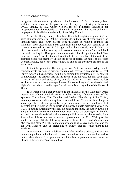recognised his eminence by electing him its rector. Oxford University later acclaimed him as one of the great men of the day by bestowing an honorary D.C.L. Finally, in 1892 Queen Victoria (or her Ministers) thought it not inappropriate for the Defender of the Faith to summon this active and noisy propagator of disbelief to membership of her Privy Council.

As for the Huxley family, they have flourished mightily in preaching the same Huxleian gospel. In 1899 the evolutionists, in their task of emancipating the ignorant upper and lower classes from thraldom to religion, founded the Rationalist Press Association. Seren years later that body was busy pushing out in scores of thousands a book of 432 pages sold at the obviously unprofitable price of sixpence, and proudly flaunting on its cover an excerpt from the Sunday School Chronicle quoting the Bishop of London as saying that this particular book "has done more damage to Christianity during the last few years than all the rest of the sceptical books put together." Inside the cover appeared the name of Professor Leonard Huxley, son of the great Huxley, as one of the executive officers of the association.

In the third generation Huxley's grandson, Professor Julian Huxley, is able triumphantly to proclaim in his widely circulated Essays of a Biologist (p, 74) that "any view of God as a personal being is becoming frankly untenable."The "march of knowledge," he affirms, has left no room in the universe for any such idea. "Creation of earth and stars, plants, animals and man—Darwin swept the last vestiges of that into the wastepaper basket of outworn imaginations, already piled high with the debris of earlier ages," so affirms this worthy scion of the House of Huxley.

It is worth noting that evolution is the mainstay of the Rationalist Press Association volume of which Professor Julian Huxley's father was one of the sponsors. The volume, The Churches and Modern Thought by Philip Vivian, solemnly assures us without a quiver of an eyelid that "Evolution is no longer a mere speculative theory, possibly or probably true, but an established fact accepted by the whole scientific world with hardly a single dissentient voice " (p. 169). In putting Christianity through the mincing machine, the author dwells on the pitiful lack of evidence on the religious side. "Even the working man," he tells us, "will not remain satisfied with a theology which maintains the necessity for a foundation of facts, and yet is unable to prove them" (p. 361). With gusto he quotes on page 339 the following statement from T. H. Huxley's essay on "Science and Morals" : "The foundation of morality is to have done, once and for all, with lying; to give up pretending to believe that for which there is no evidence. . ."

If evolutionists were to follow Grandfather Huxley's advice, and give up pretending to believe that for which there is no evidence, not very much would be left of their theory. Even prominent evolutionists in pronouncements from the throne in the scientists' parliament have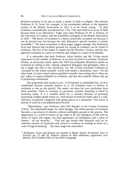declared evolution to be just as much a matter of faith as religion. The eminent Professor D. H. Scott, for example, in his presidential address to the botanical section of the British Association in 1921 is to be found saying : "Is then evolution a scientifically ascertained fact ? No ! We must hold it as an act of faith because there is no alternative." Eight years later Professor D. M. S. Watson, of the University of London, told the assembled zoologists of the British Association in 1929 : "The theory of evolution is a theory universally accepted, not because it can be proved true, but because the only alternative, special creation, is clearly incredible."\* The facts assembled in these pages suggest strongly that Professors Scott and Watson had excellent grounds for saying no evidence can be found of evolution. The fact of the matter is simply that the Huxleys, Vivians, and the rest, approach evolution in a spirit of credulity and religion in a spirit of incredulity.

It is noticeable that both Professor Julian Huxley and Mr. Vivian attach importance to the number of believers as an item of proof of evolution. Professor Huxley, as previously noted, opens the 1929 Encyclopaedia Britannica article on evolution by telling us that "among competent biologists and geologists, there is not a single one who is not convinced," etc. Mr. Vivian proclaims evolution as "accepted by the whole scientific world with hardly a dissentient voice." On the other hand, we have noted various qualified scientific men stating that it 'does not pay' today to express disbelief in evolution, and that the scientific billets only go to professing evolutionsts.

The proposition thus seems to run : (1) Evolution is established fact. (2) It is established because scientists believe in it. (3) Scientists have to believe in evolution to rise on the payroll. The reader can draw his own conclusion from these premises. There is certainly no pecuniary sacrifice attaching to belief in evolution today. It is a suitable belief for a scientist desirous of presently possessing a higher-grade motor car. And pursuit of truth for truth's sake is a cold, cheerless occupation compared with going places in a limousine. You travel in pursuit of truth on a secondhand push-bicycle.

"Materialism," says Professor John Elof Boodin, in his Cosmic Evolution (1925), "has substituted magic for sober thought. The whole process of evolution becomes a succession of miracles without intelligible ground in the process. The appearance in a world of chance of any order at all, the emergence of life with its series of forms and organs, the final appearance of intelligence and a sense of beauty— all are miracles. . . That any age should take seriously such an incoherent mixture of mysticism and science is evidence of nothing so much as a want of logical thinking. . . By some magic the antecedent

<sup>\*</sup> Professors Scott and Watson are quoted in Major Wren's Evolution: Fact or Fiction? pp. 22 and 59. Nature's reports of their addresses, apparently condensed, are to similar effect in less direct language.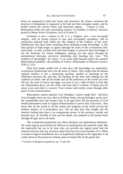forms are supposed to yield new forms and characters. By chance variations the structure of protoplasm is supposed to be built up from inorganic matter, and by further chance the various forms and characters appear. . . Chance is God. . . Materialism offers the most astounding instance of credulity in history" (extracts quoted in Major Wren's Evolution, Fact or Fiction ?).

Evolution is not a science at all. It is a religion, and a very low-grade religion, with its hymns played in jazz and syncopated cacophony, and its sanctuaries adorned with cubist art—the religion of the Godless, of the crazy intellectuals who don't know anything about anything except knowledge. A few faint gleams of light begin to appear through the murk of this evolutionist hellupon-earth. A stray scientist here and there begins to perceive that knowledge is not all. Professor Sir Arthur Eddington, peering out into space through his astronomical telescope, perceives something else looming into view. "The problem of knowledge," he writes, "is an outer shell beneath which lies another philosophical problem—the problem of values" (Philosophy of Physical Science, 1939, p. 222).

With their heads stuffed full of what they call knowledge our materialistevolutionist intellectuals have lost all sense of values. They forget that the human rational intellect is but a measuring machine capable of reporting on the difference between this and that, but dealing all the time with nothing but the symbols of reality. Not all the books and all the professors in the world can even tell you the taste of bacon and eggs, you have to eat a dish of them to find that out. Rationalism gives you the menu card and calls it a dinner. It hands you the music score and calls it a concert. Your contact with reality comes through other parts of your consciousness.

Rationalism cannot measure God Almighty, cannot weigh Him : therefore God Almighty does not exist. But as William James, the psychologist, points out\* the innumerable men and women who in all ages have felt the presence of God behind phenomena need no logical demonstration to prove that God exists : they know that all the words in all the creeds and religions of the world are but the feeblest shadow of a tremendous fact. Not all men have this insight, but the intuitive feeling that there is an omnipresent power in the universe, outside and beyond man, yet friendly to him and his ideals, has endured in the human heart through all ages and in all lands.

The evolutionist-materialist says these intuitions are superstitious delusions. He wants logical proof before he believes in anything but his material world. But the materialist has yet to be born who can provide any logical proof that the material universe has any existence apart from his own consciousness of it. When it comes to logical foundations he is as hopelessly bankrupt as his opponent. It all comes down to the practical working value in human life of the goods that

<sup>\*</sup> Varieties of Religious Experience, pp. 73 and 443.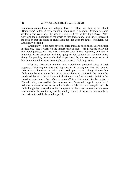evolutionist-materialism and religion have to offer. We hear a lot about "Democracy" today. A very valuable book entitled Modern Democracies was written a few years after the war of 1914-1918 by the late Lord Bryce. After surveying the democracies of the world as they then stood, Lord Bryce expressed the opinion that the future or civilisation depends upon the future of religion. Of Christianity he said :

"Christianity—a far more powerful force than any political ideas or political institutions, since it works on the inmost heart of man— has produced nearly all the moral progress that has been achieved since it first appeared, and can in individual cases transmute lead into gold; yet Christianity has not done these things for peoples, because checked or perverted by the worse propensities of human nature, it has never been applied in practice" (vol. ii, p. 585).

What has Darwinian monkey-man materialism produced since it first appeared? Nothing but dirt and degradation all along the line. No one is twopence the better for it. What is it based upon. Upon nothing whatever but faith, upon belief in the reality of the unseen-belief in the fossils that cannot be produced, belief in the embryo-logical evidence that does not exist, belief in the breeding experiments that refuse to come off. It is faith unjustified by works— "fanatic faith, that wedded fast to some dear falsehood, hugs it to the last." Whether we seek our ancestors in the Garden of Eden or the monkey-house, it is faith that guides us equally to the one quarter or the other : upwards to the stars and immortal harmonies beyond this muddy vesture of decay; or downwards to the dark earth and the beasts that perish.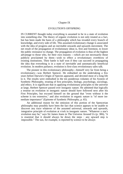## Chapter IX

## EVOLUTION'S OFFSPRING

IN CURRENT thought today everything is assumed to be in a state of evolution into something else. The theory of organic evolution is not only treated as a fact, but has been made the basis of a philosophy which has invaded every branch of knowledge, and every side of life. This assumed evolutionary change is associated with the idea of progress and an inevitable onwards and upwards movement. The net result of the propagation of evolutionary ideas is, first and foremost, to lower the public resistance to change. The propagation of evolution is thus of the highest advantage to those who, for their own reasons —which are not necessarily those publicly proclaimed by them—wish to effect a revolutionary overthrow of existing institutions. Their battle is half won if they can succeed in propagating the idea that everything is in a state of inevitable and automatically beneficial evolution. In modern parlance, evolution is first-class revolutionary sales talk.

The pioneer in this evolutionary philosophy—himself very far from being a revolutionary—was Herbert Spencer. He embarked on the undertaking a few years before Darwin's Origin of Species appeared, and devoted most of a long life to it. The results were embodied in the ten ponderous volumes of his System of Synthetic Philosophy, treating of first principles, biology, psychology, sociology, and ethics. It is significant that in applying evolutionary principles to the universe at large, Herbert Spencer passed over inorganic nature. He admitted that logically a treatise on evolution in inorganic nature should have followed next after his First Principles, but excused himself on the ground that "even without it the scheme is too extensive," and also evolution in organic nature is "of more immediate importance" (Epitome of Synthetic Philosophy, p. 65).

An additional reason for the omission of this portion of the Spencerian philosophy may possibly have been the fact that science appears to be unable to discover any trace whatever of the assumed universal, onwards and upwards, integrative principle of evolution at v/ork in inorganic nature. "Whatever a star's evolution may be," says Sir James Jeans in The Universe Around Us (p. 306), "it is essential that it should always be down the steps : any upward step is impossible." The sun, for example, is reported by science to be always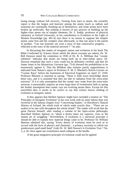losing energy without full recovery. Turning from stars to atoms, the scientific report is that the largest and heaviest among the atoms (such as radium and uranium) are continually breaking up of themselves; and some atoms have been broken up artificially. But nothing is known of any process of building up the higher-class atoms out of simpler elements. Dr. F. Soddy, professor of physical chemistry at Oxford University, in his contribution to Evolution in the Light of Modern Knowledge (pp. 401-4) says there is no reason to suppose the simpler atoms came first and the complex ones afterwards, or that one atom is the parent of another. "Can one honestly see even a trace of that consecutive progress. . . reflected in the ways of the material universe ? " he asks.

In discussing this matter of inorganic nature and evolution in his book The Bible Confirmed by Science (from which the above excerpts are taken), Dr. W. Bell Dawson noted the contention in 1930 of Dr. R. A. Millikan that "cosmic radiation" indicates that atoms are being built up in inter-stellar space. Dr. Dawson remarked that such a view could not be definitely verified, and that Sir James Jeans in his Mysterious Universe (pp. 75-6) showed the probabilities to be enormously against it. That the Millikan idea remains purely supposititious is indicated from Nature's report of Professor P. M. S. Blackett's Kelvin Lecture on "Cosmic Rays" before the Institution of Electrical Engineers on April 27, 1939. Professor Blackett is reported as saying, "There is little exact knowledge about these rays, and it is assumed that they are due to radiation from the extra-solar universe." If it is only assumption that the cosmic rays come from the extra-solar universe, it presumably requires an extra large dose of evolutionist faith to spring the further assumption that cosmic rays are evolving atoms there. Except for this unverified idea, it seems to be correct to say that science knows nothing of evolution in inorganic nature.

It thus appears that Herbert Spencer might have included a treatise on "The Principles of Inorganic Evolution" in his vast work with no more labour than was involved in the famous chapter Ixxii "Concerning Snakes," in Horrebow's Natural History of Iceland, the whole truth of which reads exactly thus : "There are no snakes to be met with throughout the whole island." The reader will recall that the great Darwin himself, after reading a volume of the Spen-cerian philosophy described Herbert Spencer as "about a dozen times my superior, even in the master art of wriggling." Nevertheless, if evolution is a universal principle it should be able to explain how material things came to be. Professor Sir William Bateson admitted this, saying "Every theory of evolution must be such as to accord with the facts of physics and chemistry : a primary necessity to which our predecessors paid small heed" (vide Dr. W. Bell Dawon's Is Evolution True ? No. 2, p. 8). Once again our evolutionist steed collapses at the hurdle.

If the great integrative principle of evolution could not be applied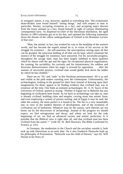to inorganic nature, it was, however, applied to everything else. The evolutionist dram-drinker soon found himself "seeing things," and with respect to man in particular. Huxley, accepting evolution as a fact, and accepting man's descent from the lower animals as a fact, found himself in sight of various illuminating consequential facts. As dispenser-in-chief of the Darwinian distillation, the aged Huxley in 1893 solemnly got on to his feet, and rammed the following statements down the throats of the callow undergraduates of Oxford in his Romanes Lecture of that year :

"Man, the animal, in fact, has worked his way to the headship of the sentient world, and has become the superb animal he is, in virtue of his success in the struggle for existence ... the self-assertion, the unscrupulous seizing upon all that can be grasped, the tenacious holding of all that can be kept, which constitute the essence of the struggle for existence, have answered. For his successful progress, throughout the savage state, man has been largely indebted to those qualities which he shares with the ape and the tiger; his exceptional physical organisation; his cunning, his sociability, his curiosity and his imitativeness; his ruthless and ferocious destructiveness when his anger is aroused by opposition . . . after the manner of successful persons, civilised man would gladly kick down the ladder by which he has climbed."

There are no "ifs" and "ands" in this Huxleian pronouncement. All is as real and visible as the pink snakes crawling over the counterpane. Unfortunately, the archaeologists, looking in the ground for their facts instead of drawing upon their imaginations for them, appear to be finding evidence that civilised man was in existence all the time. One finds an eminent archaeologist, Dr. A. H. Sayce of the University of Oxford, quoted as saying: "Neither in Egypt nor in Babylon has any beginning of civilisation been found. As far back as archaeology can take us, man is already civilised, building cities and temples, carving stone into artistic form, and even employing a system of picture writing; and of Egypt it may be said, the older the country, the more perfect it is found to be. The fact is a very remarkable one, in view of the modern theories of development, and of the evolution of civilisation out of barbarism. Whatever may be the reason, such theories are not borne out by the discoveries of archaeology. Instead of the progress we should expect, we find retrogression and decay; and where we look for the rude beginnings of art, we find an advanced society and artistic perfection. Is it possible that the Biblical view is right after all, and that civilised man has been civilised from the outset ? " (vide Dr. W. Bell Dawson's The Bible Confirmed by Science, p. 141).

In Germany, the modernists in the Church and the socialists outside it, both took up with Darwinism at an early date. On it also Frederick Nietzsche built up his philosophy of Prussianism. "Nietzsche was the child of Darwin," says Dr. Will Durant in his Story of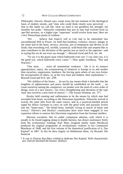Philosophy. Darwin, Durant says, swept away the last remnant of the theological basis of modern morals, and "men who could think clearly soon perceived . . . that in this battle we call life, what we need is not goodness but strength, not humility but pride." Nietzsche contended that just as man had evolved from an ape-like ancestor, so a higher type "superman" would evolve from man. Here are a few Nietzschean pearls of wisdom :

"We . . . believe that [man's] will to Life had to be intensified into unconditional Will to Power; we hold that hardness, violence, slavery, danger in the street and in the heart, secrecy, stoicism, arts of temptation and devilry of all kinds; that everything evil, terrible, tyrannical, wild-beast-like and serpent-like in man contributes to the elevation of the species just as much as the opposite—and in saying this we do not even say enough."—Beyond Good and Evil, sec. 44.

"Ye say it is the good cause which halloweth even war ? I say unto you, it is the good war, which halloweth every cause."—Thus spake Zarathusa, "War and Warriors."

"One must . . . resist all sentimental weakness : life is in its essence appropriation, injury, the overpowering of whatever is foreign to us and weaker than ourselves, suppression, hardness, the forcing upon others of our own forms, the incorporation of others, or, at the very least and mildest, their exploitation."— Beyond Good and Evil. sec. 259.

"We children of the future ... do not by any means think it desirable that the kingdom of righteousness and peace should be established on the earth ... we count ourselves among the conquerors; we ponder over the need of a new order of things, even of a new slavery—for every strengthening and elevation of the type 'man' also involves a new form of slavery."—The Joyous Wisdom, sec. 377.

Huxley held cunning and ruthlessness to be the means by which man had ascended from beast, according to the Darwinian hypothesis. Nietzsche arrived at exactly the same idea from the same source, and as a practical-minded person urged his fellow Germans to carry on with the good work and joyously evolve into the "Super-man," "the blond beast, lustfully roving in search of booty and victory." Darwin's and Huxley's countrymen have since been engaged in two expensive efforts to remove this Darwinian inspiration from the German intellect.

Marxian socialism, like its stable companion atheism, with which it is usually to be found jogging along in double harness, has drawn sustenance freely from the evolutionary nosebag. Karl Marx (original family name Mordecai) produced his original programme of revolutionary violence in his Communist Manifesto of 1848, and the first volume of his theoretical justification of it, Das Kapital\* in 1867. In this he drew largely on Malthusian ideas, via Ricardo. His financial

\* It was to Darwin that Marx wished to dedicate Das Kapital. With characteristic tact, Darwin declined the honour. (Editor).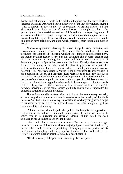backer and collaborator, Engels, in his celebrated oration over the grave of Marx, declared Marx and Darwin to be twin discoverers of the law of evolution, saying : "Just as Darwin discovered the law of evolution of organic nature, so Marx discovered the evolutionary law of human history—the simple fact that ... the production of the material necessities of life and the corresponding stage of economic evolution of a people or a period provides a foundation upon which the national institutions, legal systems, art, and even the religious ideals of the people in question have been built, and upon which, therefore, their explanation must be based."

Numerous quotations showing the close tie-up between evolution and revolutionary socialism appear in Mr. Dan Gilbert's excellent little book Evolution: the Root of All Isms from which the foregoing is quoted. Enrico Ferri, the Italian socialist leader, asserted in his Socialism and Modern Science that Marxian socialism "is nothing but a vital and logical corollary in part of Darwinian, in part of Spencerian, evolution." Said Karl Kautsky, German socialist leader : "For Marx, on the other hand, the class struggle was but a particular instance of the universal law of evolution, whose essential qualities are in no case peaceful." The American socialist, Morris Hillquit (real name Hilkowicz) said in his Socialism in Theory and Practice: "Karl Marx alone consistently introduced the spirit of Darwinism into the study of social phenomena by substituting the . . . doctrine of the class struggie in the more modern stages of social development for the . . . doctrine of the struggle for existence in its lower stages." Hillquit proceeds to lay it down that "in the ascending scale of organic existence the struggle between individuals of the same species gradually abates and is superseded by collective struggles of such individuals."

The various socialist writers, after imbibing at the evolutionary fountain, arrive at very similar views to those of Nietzsche as to the morality of the whole business. Survival is the evolutionary test of fitness, and anything which helps to survival is moral. Here are a few flowers of socialist thought along these lines of evolutionist morality :

"All the factors which impede the path to its [socialism's] approximate realisation are anti-ethical or immoral; contrariwise, all factors or movements which tend in its direction are ethical."—Morris Hillquit, noted American Socialist, in his Socialism in Theory and Practice.

"The socialist has a distinct aim in view. If he can carry the initial stages towards it by means of the count-of-heads majority, by-all means let him do so. If, on the other hand, he sees the possibility of carrying a salient portion of his programme by trampling on this majority, by all means let him do this also."—E. Belfort Bax, noted English socialist, in his Ethics of Socialism.

"The dictatorship of the proletariat is nothing else than power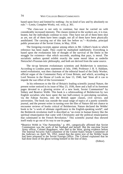based upon force and limited by nothing—by no kind of law and by absolutely no rule."—Lenin, Complete Works, vol. xviii, p. 361.

"The class-war is not only to continue, but must be carried on with considerably increased intensity. The classes inimical to the workers are, it is true, beaten, but the individuals continue to exist. They have not all of them been shot as yet, not all of them have been caught, not all of them have been physically annihilated. The carrying out of this task lies before us."—Krylenko, principal public prosecutor of the Soviet Union, in May, 1934.

The foregoing excerpts appear among others in Mr. Gilbert's book to which reference has been made. They could be multiplied indefinitely. Everything is based upon the evolutionist line of thought of the survival of the fittest in the struggle for existence—that which succeeds, anything that pays, is moral. The socialistic authors quoted exhibit exactly the same moral ideas as underlie Nietzsche's Prussian-istic philosophy, and both are derived from the same source.

The tie-up between evolutionary scientists and Bolshevism is notorious. According to London press statements of July, 1940, Professor J. B. S. Haldane, noted evolutionist, was then chairman of the editorial board of the Daily Worker, official organ of the Communist Party of Great Britain, and which, according to Lord Newton in the House of Lords on June 13, 1940, had "done all it can to impede the war effort of the Government."

In his references to the file of Britain's leading scientific journal Nature, the present writer noticed in its issue of May 23, 1936, three and a half of its foremost pages devoted to a glowing review of a new book, Soviet Communism\* by Sidney and Beatrice Webb. This book is a whitewashing of Bolshevism by two English socialists who have spent the last half-century in percolating socialism, via the Fabian Society, into the British upper classes, civil service, and universities. The book was outside the usual range of topics of a purely scientific journal, and the present writer in turning over the files of Nature did not chance to encounter reviews of books critical of Bolshevism. Nature declared the Webbs' book to be "a work of ultimate significance to the English-speaking world"; and the Bolshevik revolution itself is described as "an event in human history like the spiritual emancipation that came with Christianity and the political emancipation that culminated in the French Revolution." This scientific journal thus showed itself ready to go out of its way to use its pages

\*Beatrice Webb in "Our Partnership," p. 491, categorically affirmed that Soviet Communism was the work of her husband and herself. But the one-time Soviet Army officer, Colonel Bogolepov, who fled to the West, giving evide the Judiciary on April 7th, 1952, stated that the entire text of the Webbs' book had been prepared in the Soviet Foreign Office. The Colonel explained that he had done most of the ghost-writing himself in the line of duty.

(Editor).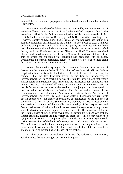as a vehicle for communist propaganda in the university and other circles in which it circulates.

Evolutionist worship of Bolshevism is reciprocated by Bolshevist worship of evolution. Evolution is a mainstay of the Soviet anti-God campaign. One Soviet evolutionist effort for the "spiritual emancipation" of Russia was recorded in Mr. R. O. G. Urch's Rabbit King of Russia (pp. 82-83). He relates that according to the Krasnaya Gazette of December, 1925, Professor Ilya Ivanovich had left with a scientific expedition on a mission to the Congo. The object was to catch a number of female chimpanzees, and "to fertilise the apes by artificial methods and bring back the mothers with the little human apes to gladden the hearts of the Anti-God Society in Soviet Russia and prove that "There is no God." The result remained obscure, a detailed rumour in circulation in Moscow the next year stating that the ship on which the expedition was returning had been lost with all hands. Evolutionist experiment obstinately refuses to come off, not even to help along the spiritual emancipation of Soviet citizens.

Among the varied offspring of the Darwinian doctrine of man's animal descent are the numerous "scientific" doctrines of free-love. Mr. Gilbert deals at length with these in his useful Evolution: the Root of all Isms. He points out, for example, that the late Professor Freud in his General Introduction to Psychoanalysis, of which teaching he was the founder, lays it down that "man's animal nature is ineradicable" and makes this the justification for "giving full rein to one's sexuality." This Freud affirms to be quite in order as evolution shows that man is "an animal accustomed to the freedom of the jungle." and "unadapted" to the restrictions of Christian civilisation. This is the entire burden of the psychoanalytic gospel. A popular American university textbook, An Outline of Psychoanalysis, edited by J. S. Van Teslaar, states : "Psychoanalysis represents but an extension of the theory of evolution, an application of the principle of evolution . . ." Dr. Samuel D. Schmalhausen, probably America's most popular and persistent champion of the so-called new morality of "sex expression" and "sex experimentation" with unlimited license, bases his arguments throughout on animal behaviour and man's supposed animal descent. "The sexual revolution is the terminal phase of the scientific revolution," he says in his Sex and Civilisation. Robert Briffault, another leading writer on these lines, in a contribution to a symposium by America's "sex philosophers," entitled Our Neurotic Age, records various observations of the habits of monkeys, etc., and triumphantly announces : "No indication is to be found among any animal of an appreciation of the rudiments of Christian morals." Christian morals thus lack evolutionary sanction, and are defined by Briffault as a "disease" of civilisation.

Another by-product of evolution dealt with by Gilbert is Determinism, which teaches that it is wrong to put criminals in gaol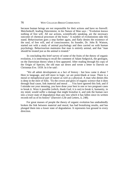## 76 WHY COLLEGES BREED COMMUNISTS

because human beings are not responsible for their actions and have no freewill. Metchnikoff, leading Determinist, in his Nature of Man says : "Evolution knows nothing of free will. All our actions, scientifically speaking, are the necessary outcome of chemical processes of the brain." A number of evolutionists take this stand. Behaviourism goes a step further again, and flatly denies the existence of the soul, of free will, and of consciousness. Its founder, Dr. John B. Watson, started out with a study of animal psychology and then carried on with human psychology. Behaviourism maintains that man is entirely animal, and that "man should be treated just as the animal is treated."

In concluding this brief survey of some of the fruits of the theory of organic evolution, it is interesting to recall the comment of Adam Sedgwick, the geologist, on the Darwinian theory when it first appeared. After reading through his copy of the Origin of Species, the old man sat down and wrote a letter to Darwin on Christmas Eve. 1S59. In it he said :

"We all admit development as a fact of history : but how came it about ? Here in language, and still more in logic, we are point-blank at issue. There is a moral or metaphysical part of nature as weil as a physical. A man who denies this is deep in the mire of folly. 'Tis the crown and glory of organic science that it does through final cause, link material and moral . . . You have ignored this link; and if I mistake not your meaning, you have done your best in one or two pregnant cases to break it. Were it possible (which, thank God, it is not) to break it, humanity, in my mind, would suffer a damage that might brutalise it, and sink the human race into a lower state of degradation than any into which it has fallen since its written records tell us of its history" (Darwin's Life and Letters, ii, 248).

For great masses of people the theory of organic evolution has undoubtedly broken the link between material and moral, has had brutalising results, and has plunged them into a lower state of degradation. It represents lost ground in every direction.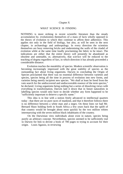## Chapter X

## WHAT SCIENCE IS FINDING

NOTHING is more striking in recent scientific literature than the steady accumulation by. evolutionists themselves of a mass of facts wholly opposed to the theory of evolution to which they continue to affirm their adherence. This applies not only in the field of biology, but also, as will be seen in the next chapter, in archaeology and anthropology. In every direction the scientists themselves are busy removing bricks and undermining the walls of the citadel of evolution while at the same time loudly proclaiming the fabric to be intact. The indications are either that the entire theory will presently be abandoned as obsolete and untenable, or, alternatively, that scie'nce will be reduced to the teaching of dogma regardless of fact, in which direction it has already proceeded a considerable distance.

Evolution teaches the mutability of species. Modern scientific observation is becoming increasingly impressed with the great stability of species as the outstanding fact about living organisms. Darwin in concluding the Origin of Species proclaimed that there was no essential difference between varieties and species, species being all the time in process of evolution into new forms, and varieties being merely incipient new species. "We shall at least be freed from the vain search for the undiscovered and undiscoverable essence of the term species," he declared. Living organisms being nothing but a series of dissolving views with everything in transformation, Darwin laid it down that in future naturalists in labelling species would only have to decide whether any form happened to be "sufficiently important to deserve a specific name."

This idea is in line with a notion freely advanced in intellectual quarters today : that there are no pure races of mankind, and that it therefore follows there is no difference between a white man and a negro. On these lines we had Mr. Bernard Shaw holding forth in South Africa a few years back that the uplift of that country would be brought about most quickly by the two million whites intermarrying with the seven million black inhabitants of the country.

On the Darwinian view individuals alone exist in nature, species being purely an arbitrary concept. Nevertheless, species seemed to be sufficiently real to Darwin for him to devote a book of 700 pages to trying to account for their origin. Louis Agassiz, in reviewing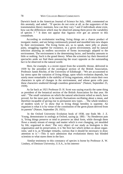Darwin's book in the American Journal of Science for July, 1860, commented on this anomaly, and asked : "If species do not exist at all, as the supporters of the transmutation theory maintain, how can they vary ? and if individuals alone exist, how can the differences which may be observed among them prove the variability of species ? " It does not appear that Agassiz ever got an answer to this conundrum.

According to evolutionist teaching, living things are a chance product of inorganic matter, and are being continuously pruned and moulded into new shapes by their environment. The living forms are, so to speak, mere jelly or plastic putty, struggling together for existence, in a given environment, and by natural selection attaining an endless succession of forms increasingly adapted to the environment. The environment is the determining factor, and heredity amounts to little or nothing. Such is the grand theory. When the scientists lay their theoretical spectacles aside we find them announcing the exact opposite as the outstanding fact to be observed in the natural world.

Here, for example, is a recent report from the scientific throne, delivered in 1939 by the president of the zoological section of the British Association, Professor James Ritchie, of the University of Edinburgh : "We are accustomed to lay stress upon the variation of living things, upon which evolution depends, but surely more remarkable is the stability of living organisms, which retain their own characters in spite of changes in the environment, and whose germ cells pass these characters unaltered through countless generations" {Nature, September 25, 1939).

As far back as 1921 Professor D. H. Scott was saying exactly the same thing as president of the botanical section of the British Association for that year. He said : "The small variations on which the natural selectionist relied so much, have proved, for the most part, to be merely fluctuations oscillating about a mean, and therefore incapable of giving rise to permanent new types. . . The whole tendency of modern work is" to show that in living things heredity is supreme. An organism is what it is by virtue of the constitution of the germ plasm derived from its parents" (Nature, September 29, 1921).

In the Oxford University Evolution book of 1938, one finds Mr. J. Z. Young, demonstrator in zoology at Oxford, saying (p. 180) : "As Henderson puts it, 'living things preserve or tend to preserve an ideal form, while through them flows a steady stream of energy and matter which is ever changing, yet moulded by life; organised in short.' The very object of our study as biologists is this organisation and its preservation, it is 'the first fact which strikes us about organisms,' and it is, as Woodger remarks, curious that it should be necessary to draw attention to it."—This is tacit admission that evolutionist theory has blinded scientists to what stares them in the face.

Similar testimony to this constancy of species is borne by Professor A. W. Lindsey, of Denison University, U.S.A., in his interest-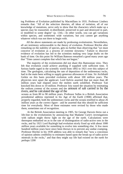ing Problems of Evolution published by Macmillans in 1931. Professor Lindsey remarks that: "All of the selection theories, all ideas of isolation, all of our knowledge of mutations, serve only to show that the characters which make up a species may be reassorted, re-distributed, preserved in part and destroyed in part, or modified to some degree" (p. 134).—In other words, you can get variations within species, and sometimes wide variations, but you cannot get anything whatever which was not there to begin with.

All the above statements are made by professing evolutionists. Nevertheless, all are testimony unfavourable to the theory of evolution. Professor Ritchie after remarking on the stability of species, gets no further than observing that "we must conceive of evolution as a process of extreme slowness." Failure to discover evidence of evolution has led to the scientists making very large drafts on the bank of time. On this point Sir William Bateson remarked a good many years ago that "Time cannot complete that which has not begun."

The majority of the evolutionists did not share this Batesonian view. They felt that evolution could achieve anything if supplied with sufficient time. A furious battle raged in the scientific world from  $1892$  to 1921 over this subject of time. The geologists, calculating the rate of deposition of the sedimentary rocks, had in the main been willing to supply generous allowances of time. Sir Archibald Geikie on this basis provided evolution with about 100 million years. The physicists next upset the applecart. Lord Kelvin asserted that not more than 40 million years had elapsed since the molten earth solidified. Professor Tait knocked this down to 10 million. Professor Joiy eased the situation by estimating the sodium content of the oceans and the amount of salt carried in by the rivers, and he calculated the age of the

oceans as from 80 to 90 million years. Professor Sollas in a British Association presidential address reprinted in his Age of the Earth (1908) affirmed that, properly regarded, both the sedimentary rocks and the oceans testified to about 26 million years as the correct figure : and he asserted that this should be sufficient time for everybody. Most of these estimates were revised by those who made them, sometimes out of recognition.

At the British Association meeting in 1905, Sir George Darwin threw out a life-line to the evolutionists by announcing that Madame Curie's investigations with radium might throw light on the age of the earth. Calculations were thereupon embarked on as to the rate of disintegration of radio-active ores in the rocks, and by 1921 Lord Rayleigh had evolution nicely fixed up with about 1000 million years available for something to evolve into something else. A few more hundred million years have since been thrown in to prevent any undue cramping. Professor Ritchie in his 1939 address was able to remark that "now a concensus of opinion admits credibility to estimates based upon the break-up of radio-active minerals in the rocks," and that they might say life had existed on the earth for perhaps 1200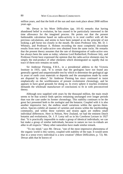million years, and that the birth of the sun and stars took place about 2000 million years ago.

Mr. Dewar in his More Difficulties (pp. 101-6) remarks that having abandoned belief in evolution, he has ceased to be particularly interested in the time allowance for the imagined process. He points out that the present fashionable calculation based on radio-activity is in total conflict with all the previous calculations, and seems to have been jumped at on the principle of not looking a gift horse too closely in the mouth. He notes Professor Joly, Mr. D. J. Whitney, and Professor A. Holmes recording the most completely discordant results from tests of radio-active ores obtained from the same rocks. He remarks that the present theory assumes that the rate of disintegration of radio-active ores has always been the same as today; whereas Lord Rutherford, Professor Joly, and Professor Fermi have expressed the opinion that the radio-active elements may be simply the end-product of other elements which disintegrated so rapidly that no trace of them now remains on earth.

Sir Ambrose Fleming, F.R.S., in a presidential address to the Victoria Institute in 1935, said, "It is certain that the geologists have not found any generally agreed and unquestionable test by which to determine the geological age in years of earth crust materials or deposits and the assumptions made by some are disputed by others." Sir Ambrose Fleming has since continued to insist emphatically on the worthlessness of present evolutionist chronology, and he appears to have good grounds for doing so. In every sphere it touches evolution demands the wholesale manufacture of conclusions to fit in with preconceived theory.

Although now supplied with years by the thousand million, the main result seems to be that science finds species remaining unchanged over longer periods than was the case under its former chronology. This stability continues to be the great fact presented both to the zoologist and the botanist. Coupled with it is also another impressive fact, the endless small variations within the species themselves. Species exhibit ail manner of varieties and strains within the interbreeding community, and within these varieties and strains again are endless small individual differences. Here in Nelson, New Zealand, we had the eminent Dutch botanist and evolutionist, Dr. J. P. Lotsy tell us in his Cawthron Lecture in 1927 that: "It is practically impossible to make a group of identical individuals; we can but make a group of similar individuals, because in nature no two in-viduals are alike in all respects." Many other naturalists have made similar remark.

"To my mind," says Mr. Dewar, "one of the most impressive phenomena of the organic world is this variety, coupled with stability of the type. It would seem that in a sense every individual is a new creation" (More Difficulties, p. 72). Mr. Dewar adds that he knows of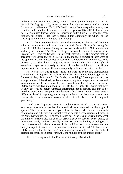no better explanation of this variety than that given by Paley away in 1802 in his Natural Theology (p. 170), when he wrote that what we see around us might "induce us to believe that VARIETY itself, distinct from every other reason, was a motive in the mind of the Creator, or with the agents of His will." In Paley's day not so much was known about this variety in individuals as is now the case. Nobody, for example, had then recognised that apparently the whorls on the finger tips are not alike in any two human beings.

So far from evolution having relieved naturalists of the task of deciding What is a true species and what is not, one finds them still busy discussing the point. In 1938 the Linnaen Society of London celebrated its 150th anniversary with a symposium on "The Concept of Species from the time of Linnaeus to the Present Day." From the London Times report (May 26, 1938) it appears that the speakers were agreed that species area reality, and that a number of them were of the opinion that the true concept of species is an interbreeding community. This, of course, is sliding back a long way from Darwin's idea that in the light of evolution a species is merely a group of similar individuals of sufficient importance to deserve a specific name—a purely arbitrary conception, in short.

As to what are true species—using the word as connoting interbreeding communities—it appears that science today has very limited knowledge. In the Linnean Society discussion Dr. Karl Jordan of the Tring Museum pointed out that a large number of described species are known only from a specimen or two, and great numbers of them are probably mere varieties within other species. In the Oxford University Evoluion book (p. 108) Dr. O. W. Richards remarks that there is only one way to obtain genetical information about species, and that is by breeding experiments. He points out, however, that "many animals are extremely difficult to breed in captivity, and in any case there is no hope that more than a few of the very numerous known species of animals can be investigated genetically."

To a layman it appears curious that with the scientists all at sixes and sevens as to what constitutes a species, they should all be so dogmatic on the origin of species. The cart seems to have got before the horse. Mr. Dewar as an antievolutionist and a believer in special creation adopts a more rational attitude. In his More Difficulties (p. 10) he says he does not in the least profess to know what the units of creation are. He does not assert that every species, every genus, or even every family has been specially created. He holds it the duty of biologists to try to discover what these units are. In his opinion the data at present are not nearly adequate to make even a tentative pronouncement; and "all that can be safely said is that so far, breeding experiments seem to indicate that the units of creation are small, or in other words, that the number of these units is great."

It is interesting to note that Professor St. George Mivart in his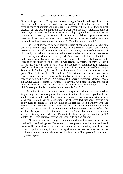Genesis of Species in 1871 quoted various passages from the writings of the early Christian Fathers which showed them as holding it allowable to believe that existing forms of animals and plants are not necessarily the forms of their original creation, but are derived therefrom. Mr. Dewar from his anti-evolutionist point of view says he sees no harm in scientists adopting evolution as alternative hypothesis to creation, but, he adds, "I consider it suicidal to adopt evolution as a creed, to distort facts to cause them to conform to it, to brush aside facts not amenable to it, and to minimise difficulties" (More Difficulties, p. 205).

The task of science is to trace back the chain of causation as far as she can, preceding step by step from fact to fact. The theory of organic evolution is assertion unsupported by evidence, and is an invasion by science of the domain of philosophy and religion. In tracing back causation science must in any case come to a point beyond which she cannot go. Man's rational intellect has its limitations, and is quite incapable of conceiving a First Cause. There are only three possible ideas as to the origin of life : (1) that it was created by external agency, (2) that it has always existed, and (3) that it is the product of spontaneous generation. Modern evolutionist science rejects the idea of creation as "incredible." Major Wren in his Evolution, Fact or Fiction ? quotes various pronouncements on the point. Says Professor J. B. S. Haldane, "The evidence for the existence of a superhuman Designer . . . was invalidated by the discovery of evolution and the theory of Natural Selection" (An Address to Modern Churchmen, Oxford, 1926). Sir Arthur Keith is quoted as stating, "To say that God made matter, and out of dead matter made living matter, cannot satisfy even a child's intelligence, for the child's next question is sure to be, 'and who made God ? ' "

In point of actual fact the constancy of species—which we have noted as impressing itself so strongly on the scientific mind of late— coupled with the endless variety in the individual organisms, is much more consistent with the idea of special creation than with evolution. The observed fact that apparently no two individuals in nature are exactly alike in all respects is in harmony with the intuition of mankind that every living thing is a direct and unique manifestation of the creative power of an omnipotent and omnipresent Deity. When the evolutionist rejects the idea of special creation as "incredible" the most he can say against it is very much what Mr. Dewar in his Man: a Special Creation (p. 95) quotes Dr. S. Zuckerman as saying with respect to human beings :

"Either evolutionary change or miraculous divine intervention lies at the back of human intelligence. The second of these possibilities does not lend itself to scientific examination. It may be the correct explanation, but, from the scientific point of view, it cannot be legitimately resorted to in answer to the problem of man's dominantly successful behaviour until all possibilities of more objective explana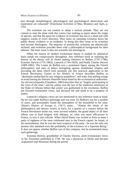tion through morphological, physiological and psychological observation and experiment are exhausted" (Functional Activities of Man, Monkeys and Apes, p. 155).

The scientists are not content to adopt a neutral attitude. They are not content to state the plain truth that science has nothing to report about the origin of species, and that the quest for evidence of evolution has run to a dead end with negative results in every direction. They insist on ramming evolution down the public throat, evidence or no evidence. In doing this they cease to be scientists and become theologians. The majority of present-day scientists are atheistically inclined, and evolution provides them with a philosophical background for their atheism. The basic issue is thus not scientific but theological.

When the history of modern evolutionist theory is studied its atheistical basis stands out conspicuously throughout. Any reference book in outlining the history of the theory will be found making reference to Buffon (1707-1788), Erasmus Darwin (1731-1802), Lamarck (1744-1829), and finally Charles Darwin (1809-1882). The Comte de Buffon was a prominent figure among the French philosophers and men of letters inveighing against established religion and providing the ideas which were presently put into practical application in the French Revolution. Guizot in his History of France describes Buffon as "absolutely unshackled by any religious prejudices"; and notes him pulling strings to avoid having his Histoire Naturelle black-listed by the ecclesiastical authorities. An old encyclopaedia (Chambers, 1885) describes him as "largely participating in the vices of the time," and his widow was the last of the numerous mistresses of the Duke of Orleans before that prince was guillotined in the revolution. Buffon put forward evolutionist views, and declared life and mind to be a property of matter.

Lamarck's religious views are not mentioned in any reference book at hand, but he was under Buffon's patronage and was tutor Xo Buffon's son for a number of years, and presumably found the atmosphere of the household to his taste. Alison's History of Europe (i, 176-7) states : "Almost the whole of the philosophical and literary writers in Paris, for a quarter of a century before the French Revolution broke out, were avowed infidels; the grand object of all their efforts was to load religion with obloquy, or, what was more efficacious in France, to turn it into ridicule. When David Hume was invited at Paris to meet a party of eighteen of the most celebrated men in the French capital, he found, to his astonishment, that he was the least sceptical of the party : he was the only one present who admitted even the probability of the existence of a Supreme Being." It does not appear whether Buffon was of this company, but he ornamented many such gatherings.

Erasmus Darwin, grandfather of Charles Darwin, aired evolutionary views in his Zoonomia published in 1794. He was a physician at Derby and became acquainted with Rousseau during the period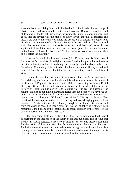#### 84 WHY COLLEGES BREED COMMUNISTS

when the latter was living in exile in England at Lichfield under the patronage of David Hume, and corresponded with him thereafter. Rousseau was the chief philosopher of the French Revolution, affirming that man was born innocent and good, that the savage was the model of every virtue, and that all miseries and vices were due to the tyranny of kings, the deceptions of priests, the oppressions of nobles, and the evils of civilisation. Property, he declared, was the great evil which had ruined mankind : and self-control was a violation of nature. It was significant of much that was to come that Rousseau opened his famous Discourse on the Origin of Inequality by saying, "Let us begin by laying facts aside as they do not affect the question."

Charles Darwin in his Life and Letters (iii, 179) describes his father, son of Erasmus, as "a freethinker in religious matters," and although he himself was at one time a divinity student at Cambridge, he presently turned his back on both the Church and Christianity. It is noticeable that both Darwin and Huxley abandoned their religious beliefs at or about the time at which they adopted evolutionist views.

Darwin derived the basic idea of his theory—the struggle for existence from Malthus, and it is curious that although Malthus himself was a clergyman of the Church of England, his father, Daniel Malthus, according to Beale's Racial Decay (p. 38) was a friend and executor of Rousseau. If Buckle's statement in his History of Civilisation is correct, and Voltaire was the real originator of the Malthusian idea of population increasing faster than food supply, we have yet another root of modern biological science running back into the midst of French prerevolutionary philosophy. "Voltaire," says Guizot's History of France, "has remained the true representative of the mocking and stone-flinging phase of freethinking ... At the outcome of the bloody slough of the French Revolution and from the chaos it caused in men's souls, it was the infidelity of Voltaire which remained at the bottom of the scepticism and moral disorder of the France of our day" (Sampson Low's edition, 1889, p. 521).

The foregoing facts are sufficient evidence of a pronounced atheistical background in the incubation of the theory of organic evolution. It is obvious that if belief in God is rejected, a necessity at once arises for some theory accounting for the origin of life otherwise than by creation from the dust of the earth. Evolution meets this need, and the indications throughout are that evolution is a theological and not a scientific product. It was invented to meet the requirements of atheism, and it is maintained and propagated for the same reason.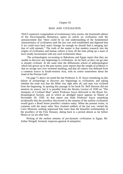#### Chapter XI

## MAN AND CIVILISATION

THAT expensive compendium of evolutionary fairy stories, the fourteenth edition of the Encyclopaedia Britannica, opens its article on civilisation with the announcement that "there could be no real understanding of the fundamental characteristics of civilisation until the fact was well established and digested that if we could trace back man's lineage far enough we should find it merging into that of wild animals." The truth of the matter is that modern research into the origins of civilisation and human culture is busy all the time piling up a mass of facts totally inconsistent with any such evolutionist ideas.

The archaeologists excavating in Babylonia and Egypt report that they are unable to discover any beginnings to civilisation. As far back as they can go man is already civilised. At the same time the diffusionist school of anthropologists which has grown up in the past twenty years reports that the weight of evidence is that no savage race ever invented anything, and that all culture was diffused from a common source in South-western Asia, with its centre somewhere about the head of the Persian Gulf.

On page 71 above we noted the late Professor A. H. Sayce remarking on this failure of archaeology to discover any beginnings to civilisation, and asking whether the truth was that the Bible was right after all, and man was civilised from the beginning. In quoting this passage in his book Dr. Bell Dawson did not mention its source, but it is possibly from the Huxley Lecture of 1930 on "The Antiquity of Civilised Man" which Professor Sayce delivered to the Royal Anthropological Society, and of which an abridged report appears in Nature of November 29, 1930. In that report one finds Professor Sayce remarking incidentally that the jewellery discovered in the remains of the earliest civilisation would grace a Bond Street jeweller's window today. When the present writer, in common with the many other New Zealand soldiers of the last war, visited the Cairo Museum, nothing impressed him more than the beautiful workmanship of the jewellery of the First Dynasty, dating back to a period almost as far before Moses as we are after him.

Writing of the earliest remains of pre-dynastic civilisation in Egypt, Mr. Arthur Weigall, formerly inspector-general of antiquities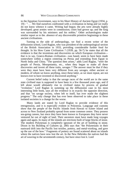to the Egyptian Government, says in his Short History of Ancient Egypt (1934, p. 19) : ". . . We find ourselves confronted with a civilisation in being and we really do not know whence it came. Writing had begun; the arts were already highly developed; great armies were in commission; cities had grown up; and the king was surrounded by his ministers and his nobles." Other archaeologists make similar report as to the. absence of any discoverable primitive beginnings to these ancient civilisations.

Turning to the side of anthropology, we find a recent writer of the diffusionist school, Lord Raglan, who was president of the anthropological section of the British Association in 1933, providing considerable further food for thought. In his How Came Civilisation ? (1939, pp. 56-7) he states that all the evidence is that the inventions and discoveries on which European civilisation that is to say, Graeco-Roman civilisation—was based, seem to have been made somewhere within a region centering on Persia and extending from Egypt to North India and China. "The question then arises," adds Lord Raglan, "were the people of Persia, Mesopotamia, etc., when they began to make all these discoveries and invent all these traits, savages ? The answer must be that if they were they must have been very different from any savages, either ancient or modern, of whom we know anything, since these latter, as we must repeat, are not known ever to have invented or discovered anything."

Current belief today is that the savage races of the world are in the same state civilised man is supposed to have been in a few thousand years ago, and if left alone would ultimately rise to civilised status by process of gradual "evolution." Lord Raglan in summing up the diffusionist case in his most interesting little book, says all the evidence is in exactly the opposite direction, and that "no savage society, when left to itself, has ever made the slightest progress." The only change that has ever been observed to take place in these isolated societies is a change for the worse.

Many lands are stated by Lord Raglan to provide evidence of this retrogression, and it is especially evident in Polynesia. Language and customs show that the people of the Pacific Islands from Hawaii to Easter Island and across to New Zealand probably spread from some common centre. They possess sea-going canoes, but since they have been known to Europeans they have never ventured far out of sight of land. Their ancestors must have made long voyages again and again. In many of the islands are erections built of large blocks of stone. The modern Polynesian is completely ignorant of the art of building in stone. Dixon in his Building of Cultures (p. 280) says that "the Polynesians in their eastward drift into the Pacific lost textiles, pottery, and metal-working, and gave up the use of the bow." Fragments of pottery are found scattered about on islands where the natives have now lost the art. In the New Hebrides the natives had the art of weaving in the seventeenth century, but have since lost it. Lord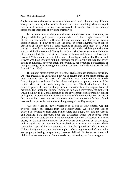Raglan devotes a chapter to instances of deterioration of culture among different savage races, and says that so far as he can learn there is nothing whatever to put into the scale against it. Savage races are capable of being civilised by missionary effort, but are incapable of civilising themselves.

Taking such items as the bow and arrow, the domestication of animals, the plough and the hoe, pottery and the potter's wheel, etc., Lord Raglan contends that all the evidence points to diffusion of these inventions and discoveries from a common centre. "I know of no case," he says, "in which anything which can be described as an invention has been recorded as having been made by a living savage . . . People who themselves have never had an idea exhibiting the slightest sign of originality have no difficulty in crediting primitives or savages with brains of the utmost fertility. . . what have Binks the banker and Brown the bus-driver invented ? There are in our midst thousands of intelligent and capable Binkses and Browns who have invented nothing whatever; can it really be believed that every savage community, however small and primitive, has produced a succession of men possessing an inventive genius such as has been totally denied to Binks and Brown? " (pp. 40-1).

Throughout historic times we know that civilisation has spread by diffusion. On what ground, asks Lord Raglan, are we to assume that in pre-historic times the exact opposite was the case and everything was independently invented? Everything points to things like the baking and glazing of pottery, the use of the potter's wheel, etc.,. etc., only being discovered once. The distribution of culture points to groups of people pushing out in all directions from the original home of mankind. The larger the cultural equipment in such a movement, the further it would be likely to get, and adaptation to the environment would probably consist of dropping whatever elements were unsuitable to life in the wilderness. On top of this, as families possessing skill in various crafts became extinct further cultural loss would be probable. In another striking passage Lord Raglan says :

"We know that our own civilisation in all but its latest phases, was not evolved locally, but derived from the Mediterranean. We know that Greece derived its civilisation from Asia Minor, Crete and Egypt. We, like the Greeks and Romans, have improved upon the civilisation which we received from outside, but it is quite untrue to say we evolved our own civilisation. It is then clearly not the fact that civilisation has everywhere been evolved out of savagery, and to say that it has anywhere been evolved out of savagery is a guess which cannot be supported by any evidence. As Niebuhr (quoted by Tylor, Primitive Culture, i. 41) remarked, 'no single example can be brought forward of an actually savage people having independently become civilised. So far as we know, all civilisation has been derived from pre-existing civilisation, not from savagery.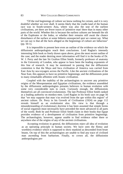"Of the real beginnings of culture we know nothing for certain, and it is very doubtful whether we ever shall. It seems likely that the cradle-land of the human race was in South-western Asia, where was also the seat of the earliest civilisations, yet there are fewer traces of 'primitive man' there than in many other parts of the world. Whether this is because the earliest cultures are beneath the silt of the Euphrates or the Indus, or whether their remains still await the chance disturbance of the surface at some hitherto unsuspected spot we cannot say. What we can say is that all the facts alleged as the beginnings of culture are fallacious" (pp. 50-1).

It is impossible to present here even an outline of the evidence on which the diffusionist anthropologists reach their conclusions. Lord Raglan's intensely interesting little book so freely drawn upon above, gives the most recent outline of the case; and the reader desiring more information will find it in the books of Dr. W. J. Perry and the late Sir Grafton Elliot Smith, formerly professor of anatomy in the University of London, who appear to have been the leading exponents of this line of research. It may be mentioned in passing that the diffusionist contention is that the Maya and Inca civilisation of America was carried from East Asia by sea-voyagers across the Pacific. Like the ancient civilisations of the Near East, this appears to have no primitive beginnings; and the diffusionsts point to many remarkable affinities with Asiatic civilisation.

Coupled with the inability of the archaeologists to uncover any primitive origins of the Mesopotamian and Egyptian civilisations, the evidence assembled by the diffusionist anthropologists presents believers in human evolution with some very considerable nuts to crack. Curiously enough, the diffusionists themselves are all convinced evolutionists. The late Professor Elliot Smith ranked as a leading authority on monkey-men. Lord Raglan in his book says on page 56 that "we may suppose that man v/as evolved from the ape within this region" of ancient culture. Dr. Perry in his Growth of Civilisation (1924) on page 112 reveals himself as an evolutionist also. His view is that through a misunderstanding of evolutionary doctrine it has been assumed that simple forms of social organism must necessarily have preceded the more advanced in all parts of the world. Both he and Professor Elliot Smith claim in their books that Egypt provides evidence of a development of civilisation from primitive beginnings. The archaeologists, however, appear unable to find evidence either there or anywhere else of the origins of any of the ancient civilisations.

Accepting evolution in general, the diffusionists reject all idea of evolution as an operating principle in human society. We have seen the flimsy and worthless evidence which is supposed to show mankind as descended from brute beasts. On top of this the archaeologists are unable to find any trace of civilised man ascending from barbarism. Finally, to crown all, the diffusionist anthropologists pre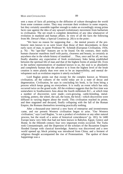sent a mass of facts all pointing to the diffusion of culture throughout the world from some common centre. They may overstate their evidence in some respects, but they certainly assemble together enough to make an exceedingly strong prima facie case against the idea of any upward evolutionary movement from barbarism to civilisation. The net result is complete demolition of any idea whatsoever of evolution in mankind and human affairs. In view of all the facts the following from Mr. Dewar's Man: a Special Creation (p. 28) is to the point :

"We have no reason for supposing that ... the mental powers of the prehistoric men known to us were lower than those of their descendants; in these early races of man, to quote Professor W. Schmidt (European Civilisation, 1934, p. 76) : 'No "ape-like" features are to be found. On the contrary, their really human character manifests itself with purity, clearness and beauty, as certainly as anywhere else in the whole history of mankind . . . Thus, once and for all, we may finally abandon any expectation of fresh evolutionary links being established between the spiritual life of man and that of the highest forms of animal life. Even in the earliest representatives of mankind known to us, the soul is so absolutely and completely human that the advance to it from the highest level of the brute creation is more plainly than ever seen to be an impossibility, and mental development such as evolution requires it utterly excluded.' "

Lord Raglan points out that except for the complex known as Western civilisation, all the cultures of the world today are in a state of decay and degeneration. Civilisation, he says in concluding his book, is far from being a process which keeps going on everywhere. It is really an event which has only occurred twice on the grand scale. All the evidence suggests that the first time was somewhere in Southwestern Asia about the fourth millenium B.C., at which time a number of discoveries were made—corn-growing, cattle-breeding, metalworking, pottery, the wheel, the sail, the loom, the brick—which discoveries were diffused in varying degree about the world. This civilisation reached its prime, and then stagnated and decayed, finally collapsing with the fall of the Roman Empire, the Romans themselves inventing practically nothing.

After a thousand-year interval a new burst of enterprise and inventiveness came, and our present Western civilisation began to arise. "Our Western civilisation," says Lord Raglan, "is not a product of evolution or any other natural process, but the result of a series of historical coincidences" (p. 181). In 1400 Europe knew very little that had not been known in Babylon, Egypt, Greece and Rome. In the fifteenth century four very important events occurred. The Turks took Constantinople, and the dispersion of the scholars of the Byzantine Empire flooded Europe with classical knowledge; America was discovered and a new world opened up; block printing was introduced from China; and a ferment of religious thought accompanied the rise of Protestantism. The upshot of these happenings was a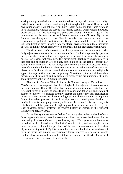stirring among mankind which has continued to our day, with steam, electricity, and all manner of inventions transforming life throughout the world. How the first civilisation arose we do not know; but Lord Raglan points out that it was religious in its inspiration, whereas the second was mainly secular. Other writers, however, dwell on the fact that learning was preserved through the Dark Ages in the monasteries and by survival to the fifteenth century of the Christian Byzantine Empire; that the synods of the Church provided the pattern on which the representative political institutions of Europe were modelled; and that the Christian tradition gave Europe a totally different civilisation from the despotisms of Asia, all kingly power being viewed under it as held in stewardship from God.

The diffusionist anthropologists, as already remarked, are evolutionists who flatly reject evolution as a factor in human affairs. Evolution apparently operates throughout the rest of nature, turns apes into men, and then suddenly ceases to operate for reasons not explained. The diffusionist literature is unsatisfactory in that fact and speculation are as badly mixed up as in the rest of present-day scientific literature, and it is not always easy for the lay reader to discover where one ends and the other begins. The diffusionists are orthodox scientifically in their views in so far that evolution is evolution up to man's appearance, and religion is apparently superstition wherever appearing. Nevertheless, the actual facts they present as to diffusion of culture from a common centre are numerous, striking, and destructive of belief in human evolution.

The late Sir Grafton Elliot Smith in his Human History (1934 edition, pp. 59-60) is even more emphatic than Lord Raglan in his rejection of evolution as a factor in human affairs. The idea that human destiny is under control of the terrestrial forces of nature he regards as a mistaken and fallacious application of science to history. He protests strongly against the almost mystical significance given by some writers to climate and geographical environment as implying "some inevitable process of mechanically working development leading to inevitable results in shaping human qualities and behaviour." History, he says, is cataclysmic, and he quotes with high approval an article to this effect by Sir Charles Oman, former professor of modern history at Oxford, in the National Review for February, 1929.

In the history department at Oxford University the student under Professor Oman apparently had to leave his evolutionist ideas outside on the doormat for the time being. Professor Oman is quoted as saying : "Two generations have now passed since the blessed word 'Evolution' was invented, and was applied as a universal panacea for all the problems of the universe—historical no less than physical or metaphysical. By this I mean that a whole school of historians have set forth the thesis that history is a continuous logical process, a series of inevitable results following on well-marshalled tables of causes." Sir Charles Oman will have none of this. The career of mankind, he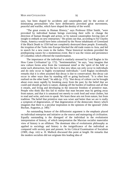says, has been shaped by accidents and catastrophes and by the action of dominating personalities who have deliberately provoked great movements, peaceful and warlike, which have shaped the destiny of the world.

"The great events in Human History," says Professor Elliot Smith, "were provoked by individual human beings exercising their wills to change the direction of human thought and action, or by natural catastrophes forcing men of insight to embark on new enterprises." He points out that, according to Sir Charles Oman, America would have been colonised by the Norse inhabitants of Greenland if the Black Death in 1350 had not completely destroyed these people. Eventually, the irruption of the Turks into Europe blocked the old trade routes to Asia, and led to search for a new route to the Indies. These historical incidents provided the predisposing causes for a momentous event. But it was the vision and persistence of Columbus which effected the transformation.

The importance of the individual is similarly stressed by Lord Raglan in his How Came Civilisation? (p. 172). "Sentimentalists," he says, "may imagine that new culture forms arise from the 'communal mind' or the 'spirit of the folk' or some such abstraction, but the fact is that new ideas can only occur to individuals and do only occur to highly exceptional individuals." Lord Raglan incidentally remarks that it is often assumed that decay is due to conservatism. But decay can occur in other ways than by standing still or going backward. "It is often less realised on the other hand," he adds (p. 172), "that decay of culture can be brought about even more rapidly by breaking away from the past; by the belief that we could and should go back to nature, shaking off the burden of tradition and all that it entails, and living and developing in the innocent freedom of primitive man. People who think like this fail to realise that man became man by getting away from nature, and that it is unnatural not merely to cook food and wear clothes, but to read and write, and even to speak. We learn these arts not from nature, but from tradition. The belief that primitive man was wiser and better than we are is really a symptom of degeneration, of 'that degeneration of the democratic theory which imagines that there is a peculiar inspiration in the opinions of the ignorant' (John Buchan, Augustus, p. 340)."

An outstanding feature of the diffusionist argument is the emphasis placed on individual enterprise and initiative as the source and mainspring of civilisation. Equally outstanding is the disregard of the individual in the evolutionist interpretation of history, of which interpretation the Marxian socialist materialist view of history is an offshoot. The dominant idea of evolutionist philosophy as applied to sociology and history is the insignificance of the individual as compared with society past and present. In his Critical Examination of Socialism (1909, chap. viii) w. H. Mallock discussed this point at length. He remarks that the modern socialists did not originate this leading idea of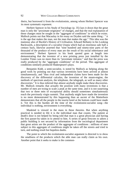theirs, but borrowed it from the evolutionists, among whom Herbert Spencer was its most systematic exponent.

Herbert Spencer in his Study of Sociology (p. 35) lays it down that the great man is only the "proximate originator" of changes, and that the real explanation of these changes must be sought in the "aggregate of conditions" in which he exists. Mallock points out that Macaulay in his essay on Dryden said the same thing : " it is the age that makes the man, not the man that makes the age." This idea was the mainstay also of Buckle's History of Civilisation. Edward Bellamy in his Looking Backwards, a description of a socialist Utopia which had an enormous sale half a century back, likewise asserted that "nine hundred and ninety-nine parts of the thousand of the produce of every man are the result of his social inheritance and environment." Herbert Spencer in his book quoted goes at length into demonstrating that the inventor of a new printing press just installed by the London Times was no more than its "proximate initiator," and that the press was really produced by the "aggregate conditions" of the period. This aggregate of conditions similarly produced Shakespeare's plays.

Benjamin Kidd, a semi-socialist, is noted by Mallock as helping along the good work by pointing out that various inventions have been arrived at almost simultaneously, and "thus rival and independent claims have been made for the discovery of the differential calculus, the invention of the steam-engine, the methods of spectrum analysis, the telephone, the telegraph, as well as many other discoveries." It is thus inferred that almost anybody might make these discoveries. Mr. Mallock remarks that actually the position with many inventions is that a number of men are trying to scale a peak at the same time, and it is not surprising that two or three men of exceptional ability should sometimes simultaneously reach the previously virgin summit. That anybody might have made the invention is no more demonstrated by this happening than an ascent of the Matterhorn demonstrates that all the people in the tourist hotel at the bottom could have made it. Yet this is the burden all the time of the evolutionist-socialist song—the individual is nothing, environment is everything.

Mankind is viewed in the mass in these theories. But when anything practical is needed in life it is the individual man that counts. The patient at death's door is not helped by being told that man is a great physician and having the first passer-by taken in to attend to him. A series of great frescoes to adorn a public building is not secured by information from the sociological department that great artists are the product of the aggregate of conditions : millions of men subject to this aggregate of conditions might be taken off the streets and tried in turn, and nothing result but hopeless daubs.

The point to which the evolutionist-socialist argument is directed is to show the smallness of the products which the able man can really claim as his own. Another point that it seeks to make is the common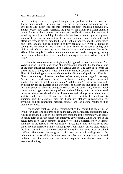ness of ability, which is regarded as purely a product of the environment. Furthermore, whether the great man is a rare or a common phenomenon, his inventions and discoveries become common property. Mallock observed Mr. Sidney Webb (now Lord Passfield, the pope of the Fabian socialists) giving a practical turn to the argument. He noted Mr. Webb, discussing the question of equal pay for all, and holding that the able man has no moral right to a greater share of the product of labour than the less able worker. If one man's brains and effort are responsible for nine-tenths of the value produced, and the other man's one-tenth, they are thus each entitled to fifty per cent. Mr. Webb is quoted as saying that this proposal "has an abstract justification, as the special energy and ability with which some persons are born is an unearned increment due to the effect of the struggle for existence upon their ancestors, and consequently, having been produced by society, is as much due to society as the unearned increment of rent."

Such is evolutionist-socialist philosophy applied to economic affairs. Mr. Webb's notion is not the aberration of a person of no account. It is the idea of one of the most influential socialists in the British Empire. The same idea forms the entire theme of a big book written by another eminent socialist, Mr. G. Bernard Shaw. In his Intelligent Woman's Guide to Socialism and Capitalism (1928), Mr. Shaw says equality of income is the basis of socialism, and on page 341 he says, "when there is a difference between the business ability of one person and another, the price of that difference is rent," and this "rent" must be "nationalised" by equal pay for all. Duffers and loafers under socialism are thus entitled to more than they produce : able and energetic workers, on the other hand, have no moral claim to the larger or superior produce of their labour, which is an unearned increment due to accidental effects of evolution and belongs not to them but to society. On this basis the idle man owes his idleness to society, the stupid man his stupidity, and the dishonest man his dishonesty. Nobody is responsible for anything, and all connection between conduct and the natural results of it is brought to an end.

Evolutionist emphasis on the environment as the controlling factor in the living world has long coloured political thought, and particularly socialist thought. Ability is assumed to be evenly distributed throughout the community and ready to spring forth in all directions with improved environment. When we turn to the actual facts as to the occurrence of ability, we find a different story. A handy summary of the results of various lines of investigation into the subject is Mr. Eldon Moore's Heredity Mainly Human (1934). Mr. Moore, on one side, reviews the facts revealed as to the distribution of ability by intelligence tests of school children. These tests are designed to discover the actual intelligence of the individual as measured by the time taken to solve various ingeniously devised problems. At the other end are various enquiries into the occurrence of exceptional ability,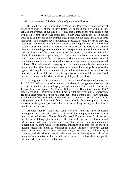based on examination of the biographies of great men of history, etc.

The intelligence tests, according to Moore and Professor Terman, show that about three-quarters of the children tested are bunched together within 15 per cent. of the average, above and below; and that a third of the total tested come within 5 per cent. of average intelligence either way. About one in ten ranges from 15 to 25 per cent. above average intelligence, and no more than two or three individuals in a hundred have intelligence in excess of this. So far as they go, these tests thus suggest that the community is not supplied with vast concealed reserves of surplus ability. A further fact revealed by the tests is that, taken generally, the intelligence of the children corresponds closely to the occupational and social status of the parents. On top of this, tests of children reared under identical conditions in orphanages, etc., and many of whom have never known their parents, are stated by Mr. Moore to show just the same distribution of intelligence according to the occupational status of the parents as do home-reared children. This indicates that heredity and not environment is the dominating factor, and that what the scientists have noted about living organisms generally applies with equal force to human beings. It further indicates that whatever its other defects, the social and economic organisation under which we have lived has been efficient on the whole in allowing ability to find its level.

Turning now to the inquiries into the occurrence of exceptional ability, we find Mr. Moore's analysis of a number of different investigations showing that exceptional ability runs very largely indeed in strains. For example, one of the first of these investigators, Sir Francis Galton, in his Hereditary Genius (1869) made a list of 451 greatest men of all time in eight different fields of endeavour. He then discovered that these 451 men had sprung from a mere 300 families, which families had produced a further 562 men of eminence. Nearly a third of the 451 greatest men had eminent fathers, whereas only about one person in four thousand in the general population had a father reaching the degree of eminence adopted in the inquiry.

Another inquiry, made by Gunn, selected from the thirty thousand biographies of the British Dictionary of National Biography some 200 greatest men in the period from 1500 to 1900. Of these 200 greatest men, 21.5 per cent. had fathers with biographies also in the Dictionary, 30 per cent. had brothers, and 64 per cent had sons. Only 31.5 per cent. had no such kin with dictionary biographies. In some walks of life family influence of course, can do much in helping mediocrity along to prominence. Family influence, however, cannot make a man into a great or even eminent poet, artist, musician, philosopher, or scientist, and Mr. Moore notes that the great men in these spheres had just as many eminent relatives as had those in such careers as the law, the army, public life, etc., where influence could operate.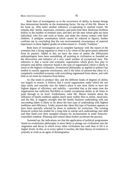Both lines of investigation as to the occurrence of ability in human beings thus demonstrate heredity as the dominating factor. On top of this Mr. Moore in his book (p. 204) notes another influence co-operating to marked extent. He remarks that "artists, musicians, scientists, and poets beat their illustrious brethren hollow in the number of eminent sons; and they are the men whose gifts are most individual, who live and work at home, and make the closest contact with their children. A pedigree examination which cannot be reduced to figures, further confirms me in concluding that the one environmental circumstance of material importance in these highest grades of achievement is—Family Tradition."

Both lines of investigation are in complete harmony with the report of the scientists that a living organism is what it is by virtue of the germ plasm inherited from its parents. Added to this we have the mass of matter the diffusionist anthropologists have been assembling, all pointing to civilisation as founded on the discoveries and initiative of a very small number of exceptional men. The inference is that a social and economic organisation which gives free play to initiative and ability wherever found is the type of organisation which is likely to result in the highest civilisation. Evolutionist philosophy as applied to politics has tended to exactly opposite conclusions, and is the basis of present-day ideas of a completely controlled economy with everything regimented from above, and with little or no room for initiative from below.

As like tends to produce like, and the different kinds of degrees of ability run largely in strains, it follows that a social organisation under which the son slips easily and naturally into his father's place is one most likely to have the highest degree of efficiency and stability —provided that at the same time the organisation has sufficient flexibility to enable exceptional ability at all times to push through to its level. Furthermore, what Mr. Moore remarks about the influence of family tradition applies much more widely than to artists, musicians, and the like. It suggests strongly that the family business undertaking with son succeeding father is likely to be about the best type of undertaking with highest traditions and efficiency. Under present-day ideas this type of business appears to have been specially selected by those in authority for extinction. The existing financial system has tended for a long time to entrap such undertakings into debt and then hand over their mangled remains for incorporation in some financiercontrolled combine. Planning and control ideas further accelerate the process.

Summed up, the indications are that the application of political programmes based on evolutionist philosophy is more likely to plunge our civilisation into the stagnation and decay in which every other civilisation has sunk than to lift it to higher levels. In this, as in every sphere it touches, the false theory of evolution is potently at work as an agent of disintegration.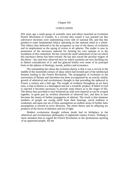#### Chapter XII

### **CONCLUSION**

SIX years ago a small group of scientific men and others launched an Evolution Protest Movement in London. In a circular they issued it was pointed out that subversive doctrines were undermining every side of national life, and that this pointed to some fundamental fallacy operating on the national mind as a whole. This fallacy they believed to be the acceptance as true of the theory of evolution and its employment as the spring of action in all spheres. The reader is now in possession of the necessary material for forming his own opinion as to the soundness of this contention. He has viewed the small substratum of fact on which this top-heavy theory has been erected. He has also traced the peculiar origins of the theory : has seen how observed facts on which scientists are now dwelling run in flattest contradiction of it: and has glanced briefly over some of its principal fruits in the spheres of theology, morals, politics and economics.

The outstanding fact about the evolution theory is that it was a revival in the middle of the nineteenth century of ideas which had formed part of the intellectual ferment leading to the French Revolution. The propagation of evolution in the universities of Britain and elsewhere has been accompanied by an exactly similar growth of atheistical and revolutionary thought to that preceding the upheaval in France a century and a half ago. The weight of evidence throughout as we have seen, is that evolution is a theological and not a scientific product. If belief in God is rejected it becomes necessary to provide some theory as to the origin of life. The theory thus provided is next bolstered up with such material as can be scraped together, in great part by reckless distortion of observed fact, and then in turn becomes the means of further propagation of atheism. The result is that immense numbers of people are swung adrift from their bearings, social tradition is weakened, and upon one set of false assumptions an endless series of further false assumptions is erected in every direction. The entire theory and its offspring are products of the forces of darkness and not of light.

Modern evolutionist thought without doubt had its birthplace in the atheistical and revolutionary philosophy of eighteenth century France. Nothing is more mistaken than to regard the French Revolution as the spontaneous uprising of an oppressed people. All the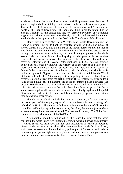evidence points to its having been a most carefully prepared event by men of great, though diabolical, intelligence in whose hands the mob were mere pawns. One of the greatest historians of the nineteenth century was Lord Acton, and he wrote of the French Revolution: "The appalling thing is not the tumult but the design. Through all the smoke and fire we perceive evidence of calculating organisation. The managers remain studiously concealed and masked, but there is no doubt about their presence from the first" (vide. The Cause of World Unrest).

Many writers, such as Mrs. Nesta Webster in her World Revolution, and the London Morning Post in its book of reprinted articles of 1920, The Cause of World Unrest, have gone into the nature of the hidden forces behind the French Revolution and other revolutions. The indications are that there has existed down through the centuries from ancient days a body of thought opposed to the whole World Order, and from time to time inspiring bloody upheaval. In its broadest aspects the subject was discussed by Professor Gilbert Murray of Oxford in his essay on Satanism and the World Order published in 1920. Professor Murray pointed out that both by thinkers and writers of pagan Greece and later on by those of Christendom the belief has been held that there exists a Cosmos or Divine Order : that what is good is in harmony with this Order, and what is bad is in discord against it. Opposed to this, there has also existed a belief that the World Order is evil and a lie. After noting that an appalling literature of hatred is in existence, dating at least from the eighth century B.C., Professor Murray added : "The spirit I have called Satanism, the spirit of unmixed hatred towards the existing World Order, the spirit which rejoices in any great disaster to the world's rulers, is perhaps more rife today than it has been for a thousand years. It is felt to some extent against all ordered Governments, but chiefly against all imperial Governments, and is directed more widely and intensely against Great Britain than against any other power."

This idea is exactly that which the late Lord Sydenham, a former Governor of various parts of the Empire, expressed in his autobiography My Working Life published in 1927 : "That the main bulwark of law and order and of Christianity should be laid low by any and every means is, therefore, the main object to which all revolutionary forces are now directed. The rest would be easy. The Union Jack is the most formidable enemy of the Red Flag."

A remarkable book first published in 1935 takes the view that the basic conflict in the world is between Supernaturalism, in which all power and authority is viewed as derived from God on high, and Naturalism, in which all power is viewed as derived from man below. The latter view leads to deification of man, which was the essence of the revolutionary philosophy of Rousseau : and under it no eternal principles of right and wrong exist, and murder—for example—ceases to be a crime if a victorious majority at an election so decrees. This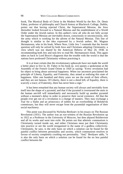book, The Mystical Body of Christ in the Modern World by the Rev. Dr. Denis Fahey, professor of philosophy and Church history at Blackrock College, Dublin, points out that having rejected Christ, the Supernatural Messias, the Jews thereafter looked forward to a Natural Messias and the establishment of a World Order under the Jewish nation. In this author's view all who do not fully accept the Supernatural Messias are inevitably drawn, consciously or unconsciously, into the army which is working for the advent of the Natural Messias. This line of thought is similar to the idea expressed by a Jewish author, Mr. Magnus Hermansson, who in his book, Where Now, Little Jew ? contends that the Jewish question will only be solved by both Jews and Christians adopting Christianity, a view which was not shared by the American Hebrew of May 20, 1938, in recommending both Jew and non-Jew to read Mr. Hermansson's book. This again takes us back to Lord Bryce's diagnosis that the trouble with the world is that the nations have professed Christianity without practising it.

It is at least certain that the revolutionary upheavals have not made the world a better place to live in. Dr. Fahey in his book (p. xxi) quotes a spokesman at the Assembly of the French Grand Orient in 1920 as saying: "Every revolution had for object to bring about universal happiness. When our ancestors proclaimed the principle of Liberty, Equality, and Fraternity, they aimed at realising this state of happiness. After one hundred and thirty years we see the result of their efforts, and they are not famous. Of Liberty, there is not a shred left; of Equality, there is scarcely a trace; of Fraternity, there has never been a sign."

It has been remarked that any human society will always and inevitably form itself into the shape of a pyramid, and that if the pyramid is overturned the units in the human ant-hill will immediately and necessarily build up another pyramid without a moment's delay in order to preserve their social existence. All that the people ever get out of a revolution is a change of masters. They may exchange a Tsar for a Stalin and an aristocracy of nobles for an overlordship of Bolshevik commissars, but they will never escape from the pyramidal organisation of their social machinery.

This point was discussed by Nicholas Berdyaev in his essays on The Russian Revolution (1931). The author was an eye-witness of the Russian Revolution up to 1922 as a Professor in the University of Moscow, but then abjured Bolshevism and all its works and went into exile. He points out that atheistic communism is Christianity turned inside out, and either Christians must put their Christianity into practice or see the world reorganised in the name of a godless collectivity. Christianity, he says, is the only basis on which a solution can be found for the painful conflict between personality and society, which communism resolves in favour of society completely crushing out personality. "And," Berdyaev adds, "it is also the only basis on which a solution can be found for the no less painful conflict between the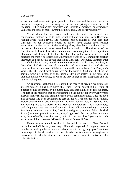aristocratic and democratic principles in culture, resolved by communism in favour of completely overthrowing the aristocratic principle. On a basis of irreligion, either aristocracy oppresses and exploits democracy, or democracy vulgarises the souls of men, lowers the cultural level, and destroys nobility."

"Good which does not work itself into life, which has turned into conventional rhetoric so as to hide actual evil and injustice," says Berdyaev, "cannot avoid raising revolt, and righteous revolt, against its own self. The Christians of our bourgeois epoch of history have created most painful associations in the minds of the working class; they have not done Christ's mission to the souls of the oppressed and exploited . . . The situation of the Christian world face to face with communism is not merely that of the depositary of eternal and absolute truth, but also that of a guilty world which has not practised the truth it possesses, but rather turned traitor to it. Communists practise their truth and can always oppose that fact to Christians. Of course, Christian truth is much harder to carry out than communist truth. Much more, not less, is demanded of Christians than of communists, of materialists. And if Christians carry out less, and not more, Christian truth itself is not to blame." In Berdyaev's view, either the world must be renewed "in the name of God and Christ, of the spiritual principle in man, or in the name of divinised matter, in the name of a divinised human collectivity, in which the very image of man disappears and the human soul expires."

An enormous background lies behind the theory of organic evolution, our present subject. It has been noted that when Darwin published his Origin of Species he had apparently by no means fully convinced himself of its soundness. The fact of the matter is that after reflecting on the subject for over twenty years Darwin finally rushed into print in order to avoid being forestalled. Once his book had appeared and been acclaimed he cast all doubt aside and upheld his theory. Before publication all was uncertainty in his mind. For instance, in 1856 one finds him writing thus to his closest friend, Hooker, the botanist: "It is a melancholy, and I hope not quite true view of yours that facts will prove anything ... I do not fear being tied down to error, i.e., I feel I should give up anything false published in the [proposed] preliminary essay, in my larger work; but I may thus, it is very true, do mischief by spreading error, which I have often heard you say is much easier spread than corrected" (Darwin's Life and Letters, ii, 70).

Recent events remind us that in the public schools of New Zealand evolution and Christianity are very differently regarded. In bygone years a number of leading atheists, some of whom came to occupy high positions, took advantage of the dissensions of the Christian sects cleverly to engineer a movement to de-Christianise the schools as a step to universal de-Christianisation.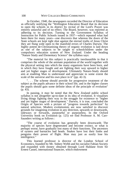In October, 1940, the newspapers recorded the Director of Education as officially notifying the "Wellington Education Board that its decision to open the schools in its district by recital of the Lord's Prayer was entirely unlawful and of no effect. The Board, however, was reported as adhering to its decision. Turning to the Government Syllabus of Instruction for Public Schools issued in 1937—which repeated what had been there for many years—one discovers that whereas the doors of the State schools are kept tight shut against the eternal truths of Jesus Christ they are flung wide open to the manifold errors of Charles Darwin. The highly potent de-Christianising theory of organic evolution is laid down as one of the subjects to be taught to schoolchildren under the compulsory education system of New Zealand. Under the heading "Nature Study and Elementary Science" the syllabus says:

"The material for this subject is practically inexhaustible in that it comprises the whole of the animate population of the world together with the physical setting into which the many organisms have been born, and in which they have fought and are fighting their way upward to higher and yet higher stages of development. Ultimately Nature-Study should aim at enabling Man to understand and appreciate to some extent the scale of the universe and his own place in it" (pp. 42-3).

". . . The scheme should provide for progressive treatment of the subject as the pupils advance in their school life, and in the higher classes the pupils should gain some definite ideas of the principle of evolution" (p. 43).

In passing, it may be noted that the New Zealand public school syllabus is not altogether up-to-date in its idea of evolution. It visualises living things fighting their way in the struggle for existence to "higher and yet higher stages of development." Darwin, it is true, concluded the Origin of Species with a picture of "progress towards perfection" by natural selection. Modern evolutionists are now satisfied to discover grounds for imagining evolution in any direction, upwards or downwards, sideways or forwards, purposeful or purposeless. In the Oxford University book on Evolution (p. 125) we find Professor A. M. Carr-Saunders writing as follows :

"The course of evolution has generally been downwards The majority of species have degenerated and become extinct, or what is perhaps worse, have gradually lost many of their functions. The ancestors of oysters and barnacles had heads. Snakes have lost their limbs and penguins their power of flight. Man may just as easily lose his intelligence."

This learned professor is director of the London School of Economics, founded by Mr. Sidney Webb and his socialist Fabian Society and expanded with money obtained through Lord Haldane from Sir Ernest Cassel, international financier, which endowment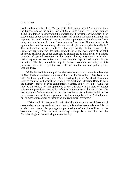Lord Haldane told Mr. J. H. Morgan, K.C., had been provided "to raise and train the bureaucracy of the future Socialist State (vide Quarterly Review, January 1929). In addition to supervising this undertaking, Professor Carr-Saunders in the essay quoted above reveals himself as possessed of plans for human evolution. He says the "less well-endowed" sections of the population are breeding too freelv today and are far ahead of the "better endowed" sections. This evil can, in his opinion, be cured "once a cheap, efficient and simple contraceptive is available." This will enable the poor to behave the same as the "better endowed" do. Professor Carr-Saunders's idea is that when the lower orders are cured of the habit of having children the upper-crust can be encouraged to have them on patriotic grounds and upward evolution can then begin—that is, presuming that no other nation happens to take a fancy to possessing the depopulated country in the meantime. The big immediate step in human evolution, according to this professor, seems to be get the lower classes into the abortion parlours, etc., without delay.

While this book is in the press further comment on the communistic leanings of New Zealand intellectuals comes to hand in the December, 1940, issue of a little Auckland publication, View. Some leading lights of Auckland University College had protested against the efforts of the Auckland Education Board to keep the primary schools clear of communistic teachers, and View said : "Whatever may be the value ... of the operations of the University in the field of natural science, the prevailing trend of its influence in the sphere of human affairs—the 'social sciences'—is somewhat worse than worthless. Its deliverances fall below the commonsense of the average man. This does not apply to New Zealand alone, but to most of its sources of inspiration and recruitment overseas."

If View will dig deeper still it will find that the essential worth-lessness of present-day university teaching is that natural science has been made a vehicle for atheistic and materialist propaganda per medium of the imbecilities of the evolution theory. The modern university college is a machine for de-Christianising and demoralising the community.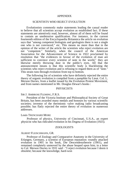# APPENDIX

# SCIENTISTS WHO REJECT EVOLUTION

Evolutionists commonly make statements leading the casual reader to believe that all scientists accept evolution as established fact. If these statements are attentively read, however, almost all of them will be found to contain an unobtrusive qualification. For instance, in the current fourteenth edition of the Encyclopaedia Britannica the article on evolution says that "among competent biologists and geologists there is not a single one who is not convinced," etc. This means no more than that in the opinion of the writer of the article the scientists who reject evolution are not "competent." Similarly, when the council of the American Association for the Advancement of Science in 1922 proclaimed by resolution that "the evidences in favour of the evolution of man are sufficient to convince every scientist of note in the world," they are likewise merely throwing dust in the public's eyes. All that the announcement means is that this scientific body is blacklisting the scientists who reject evolution and is refusing to regard them as of "note." This strain runs through evolution from top to bottom.

The following list of scientists who have definitely rejected the entire theory of organic evolution is compiled from a pamphlet by Lieut. Col. L. Merson Davies, from a leaflet issued by the Evolution Protest Movement, and from names mentioned in Mr. Douglas Dewar's books :

# PHYSICISTS

## SIR J. AMBROSE FLEMING, F.R.S.

President of the Victoria Institute and Philosophical Society of Great Britain, has been awarded many medals and honours by various scientific societies; inventor of the thermionic valve making radio broadcasting possible; has flatly rejected the entire theory of evolution in numerous addresses.

## Louis TRENCHARD MORE

Professor of physics, University of Cincinnati, U.S.A., an expert physicist who has ridiculed evolution in his Dogma of Evolution (1925).

# ZOOLOGISTS

## ALBERT FLEISCHMANN, GR.

Professor of Zoology and Comparative Anatomy in the University of Erlangen, Germany, a scientist of European reputation: roundly attacked evolution in 1901 in his book, Die Descendenztheorie (1901), and remained completely unmoved by the abuse heaped upon him; in a letter to Col. Merson Davies in 1931 said : "I reject evolution because I deem it obsolete; because the knowledge, hard-won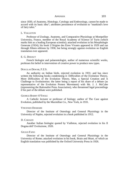#### APPENDIX 103

since 1830, of Anatomy, Histology, Cytology and Embryology, cannot be made to accord with its basic idea"; attributes persistence of evolution to "mankind's love of fairy tales."

## L. VIALLETON

Professor of Zoology, Anatomy, and Comparative Physiology at Montpellier University, France, member of the Royal Academy of Science of Turin (which marks him as a leading European scientist); attacked evolution in his Morphologie Generate (1924); his book L'Origine des Etres Vivants appeared in 1929 and ran through fifteen editions by 1930, but being strongly against evolution no English translation ever appeared.

# E. G. DEHAUT

French biologist and palaeontologist, author of numerous scientific works, professes his belief in intervention of creative power to produce new types.

# DOUGLAS DEWAR, F.Z.S.

An authority on Indian birds, rejected evolution in 1931; and has since written the following books condemning it: Difficulties of the Evolution Theory, More Difficulties of the Evolution Theory, Man, a Special Creation and A Challenge to Evolutionists: the latter being a report of his share of a debate (as representative of the Evolution Protest Movement) with Mr. J. J. McCabe (representing the Rationalist Press Association), who threatened legal proceedings if his part of the debate were published.

# GEORGE BARRY O'TOOLE

A Catholic lecturer or professor of biology; author of The Case against Evolution, published by the Macmillan Co., New York, in 1931.

# VINCENZO DIAMARE

Director of the Institute of Osteology and General Physiology in the University of Naples, rejected evolution in a book published in 1912.

# D. CARAZZI

Another Italian biologist quoted by Vialleton, rejected evolution in his Il Dogma dell' Evoluzione, 1920.

# GIULIO FANO

Director of the Institute of Osteology and General Physiology in the University of Rome; attacked evolution in his book, Brain and Heart, of which an English translation was published by the Oxford University Press in 1926.